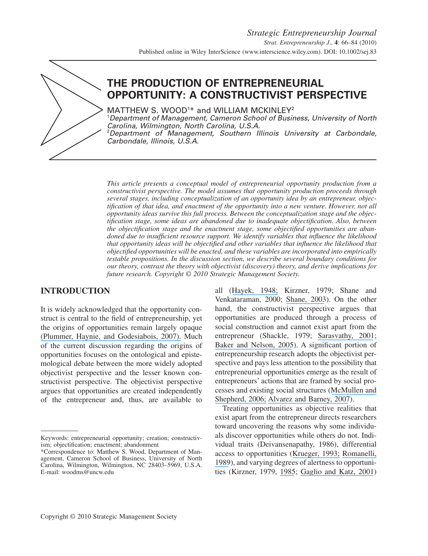

# **THE PRODUCTION OF ENTREPRENEURIAL OPPORTUNITY: A CONSTRUCTIVIST PERSPECTIVE**

 $M$ ATTHEW S. WOOD<sup>1\*</sup> and WILLIAM MCKINLEY<sup>2</sup> 1 *Department of Management, Cameron School of Business, University of North Carolina, Wilmington, North Carolina, U.S.A.* 2 *Department of Management, Southern Illinois University at Carbondale, Carbondale, Illinois, U.S.A.*

*This article presents a conceptual model of entrepreneurial opportunity production from a constructivist perspective. The model assumes that opportunity production proceeds through several stages, including conceptualization of an opportunity idea by an entrepreneur, objectifi cation of that idea, and enactment of the opportunity into a new venture. However, not all opportunity ideas survive this full process. Between the conceptualization stage and the objec*tification stage, some ideas are abandoned due to inadequate objectification. Also, between the objectification stage and the enactment stage, some objectified opportunities are abandoned due to insufficient resource support. We identify variables that influence the likelihood *that opportunity ideas will be objectified and other variables that influence the likelihood that objectified opportunities will be enacted, and these variables are incorporated into empirically testable propositions. In the discussion section, we describe several boundary conditions for our theory, contrast the theory with objectivist (discovery) theory, and derive implications for future research. Copyright © 2010 Strategic Management Society.*

# **INTRODUCTION**

It is widely acknowledged that the opportunity construct is central to the field of entrepreneurship, yet the origins of opportunities remain largely opaque [\(Plummer, Haynie, and Godesiabois, 2007\).](https://www.researchgate.net/publication/225957263_An_Essay_on_the_Origins_of_Entrepreneurial_Opportunity?el=1_x_8&enrichId=rgreq-231502218c1c7098ff9d7ac86c528375-XXX&enrichSource=Y292ZXJQYWdlOzIyNzY2MzE1MjtBUzoxMzIyMzcyMTU0MDgxMjlAMTQwODUzOTIxNzI0Mg==) Much of the current discussion regarding the origins of opportunities focuses on the ontological and epistemological debate between the more widely adopted objectivist perspective and the lesser known constructivist perspective. The objectivist perspective argues that opportunities are created independently of the entrepreneur and, thus, are available to

all ([Hayek, 1948;](https://www.researchgate.net/publication/243513604_Individualism_and_Economic_Order?el=1_x_8&enrichId=rgreq-231502218c1c7098ff9d7ac86c528375-XXX&enrichSource=Y292ZXJQYWdlOzIyNzY2MzE1MjtBUzoxMzIyMzcyMTU0MDgxMjlAMTQwODUzOTIxNzI0Mg==) Kirzner, 1979; Shane and Venkataraman, 2000; [Shane, 2003](https://www.researchgate.net/publication/287312699_A_General_Theory_of_Entrepreneurship_The_Individual-Opportunity_Nexus?el=1_x_8&enrichId=rgreq-231502218c1c7098ff9d7ac86c528375-XXX&enrichSource=Y292ZXJQYWdlOzIyNzY2MzE1MjtBUzoxMzIyMzcyMTU0MDgxMjlAMTQwODUzOTIxNzI0Mg==)). On the other hand, the constructivist perspective argues that opportunities are produced through a process of social construction and cannot exist apart from the entrepreneur (Shackle, 1979; [Sarasvathy, 2001](https://www.researchgate.net/publication/228264546_Causation_and_Effectuation_Toward_A_Theoretical_Shift_from_Economic_Inevitability_to_Entrepreneurial_Contingency?el=1_x_8&enrichId=rgreq-231502218c1c7098ff9d7ac86c528375-XXX&enrichSource=Y292ZXJQYWdlOzIyNzY2MzE1MjtBUzoxMzIyMzcyMTU0MDgxMjlAMTQwODUzOTIxNzI0Mg==); [Baker and Nelson, 2005](https://www.researchgate.net/publication/228316078_Creating_Something_From_Nothing_Resource_Construction_Through_Entrepreneurial_Bricolage?el=1_x_8&enrichId=rgreq-231502218c1c7098ff9d7ac86c528375-XXX&enrichSource=Y292ZXJQYWdlOzIyNzY2MzE1MjtBUzoxMzIyMzcyMTU0MDgxMjlAMTQwODUzOTIxNzI0Mg==)). A significant portion of entrepreneurship research adopts the objectivist perspective and pays less attention to the possibility that entrepreneurial opportunities emerge as the result of entrepreneurs' actions that are framed by social processes and existing social structures ([McMullen and](https://www.researchgate.net/publication/255606121_Entrepreneurial_Action_and_the_Role_of_Uncertainty_in_the_Theory_of_Entrepreneur?el=1_x_8&enrichId=rgreq-231502218c1c7098ff9d7ac86c528375-XXX&enrichSource=Y292ZXJQYWdlOzIyNzY2MzE1MjtBUzoxMzIyMzcyMTU0MDgxMjlAMTQwODUzOTIxNzI0Mg==)  [Shepherd, 2006;](https://www.researchgate.net/publication/255606121_Entrepreneurial_Action_and_the_Role_of_Uncertainty_in_the_Theory_of_Entrepreneur?el=1_x_8&enrichId=rgreq-231502218c1c7098ff9d7ac86c528375-XXX&enrichSource=Y292ZXJQYWdlOzIyNzY2MzE1MjtBUzoxMzIyMzcyMTU0MDgxMjlAMTQwODUzOTIxNzI0Mg==) [Alvarez and Barney, 2007](https://www.researchgate.net/publication/228143089_Discovery_and_Creation_Alternative_Theories_of_Entrepreneurial_Action?el=1_x_8&enrichId=rgreq-231502218c1c7098ff9d7ac86c528375-XXX&enrichSource=Y292ZXJQYWdlOzIyNzY2MzE1MjtBUzoxMzIyMzcyMTU0MDgxMjlAMTQwODUzOTIxNzI0Mg==)).

Treating opportunities as objective realities that exist apart from the entrepreneur directs researchers toward uncovering the reasons why some individuals discover opportunities while others do not. Individual traits (Deivansenapathy, 1986), differential access to opportunities ([Krueger, 1993;](https://www.researchgate.net/publication/228314730_The_Impact_of_Prior_Entrepreneurial_Exposure_on_Perceptions_of_New_Venture_Feasibility_and_Desirability?el=1_x_8&enrichId=rgreq-231502218c1c7098ff9d7ac86c528375-XXX&enrichSource=Y292ZXJQYWdlOzIyNzY2MzE1MjtBUzoxMzIyMzcyMTU0MDgxMjlAMTQwODUzOTIxNzI0Mg==) [Romanelli,](https://www.researchgate.net/publication/247083098_Organization_birth_and_population_variety_A_community_perspective_on_origins?el=1_x_8&enrichId=rgreq-231502218c1c7098ff9d7ac86c528375-XXX&enrichSource=Y292ZXJQYWdlOzIyNzY2MzE1MjtBUzoxMzIyMzcyMTU0MDgxMjlAMTQwODUzOTIxNzI0Mg==)  [1989](https://www.researchgate.net/publication/247083098_Organization_birth_and_population_variety_A_community_perspective_on_origins?el=1_x_8&enrichId=rgreq-231502218c1c7098ff9d7ac86c528375-XXX&enrichSource=Y292ZXJQYWdlOzIyNzY2MzE1MjtBUzoxMzIyMzcyMTU0MDgxMjlAMTQwODUzOTIxNzI0Mg==)), and varying degrees of alertness to opportunities (Kirzner, 1979, [1985](https://www.researchgate.net/publication/270483391_Discovery_and_the_Capitalist_Process?el=1_x_8&enrichId=rgreq-231502218c1c7098ff9d7ac86c528375-XXX&enrichSource=Y292ZXJQYWdlOzIyNzY2MzE1MjtBUzoxMzIyMzcyMTU0MDgxMjlAMTQwODUzOTIxNzI0Mg==); [Gaglio and Katz, 2001](https://www.researchgate.net/publication/263308139_The_Psychological_Basis_of_Opportunity_Identification_Entrepreneurial_Alertness?el=1_x_8&enrichId=rgreq-231502218c1c7098ff9d7ac86c528375-XXX&enrichSource=Y292ZXJQYWdlOzIyNzY2MzE1MjtBUzoxMzIyMzcyMTU0MDgxMjlAMTQwODUzOTIxNzI0Mg==))

Keywords: entrepreneurial opportunity; creation; constructivism; objectification; enactment; abandonment

<sup>\*</sup>Correspondence to: Matthew S. Wood, Department of Management, Cameron School of Business, University of North Carolina, Wilmington, Wilmington, NC 28403–5969, U.S.A. E-mail: woodms@uncw.edu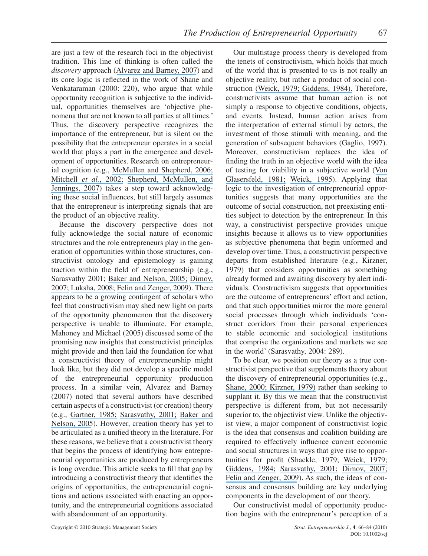are just a few of the research foci in the objectivist tradition. This line of thinking is often called the *discovery* approach ([Alvarez and Barney, 2007](https://www.researchgate.net/publication/228143089_Discovery_and_Creation_Alternative_Theories_of_Entrepreneurial_Action?el=1_x_8&enrichId=rgreq-231502218c1c7098ff9d7ac86c528375-XXX&enrichSource=Y292ZXJQYWdlOzIyNzY2MzE1MjtBUzoxMzIyMzcyMTU0MDgxMjlAMTQwODUzOTIxNzI0Mg==)) and its core logic is reflected in the work of Shane and Venkataraman (2000: 220), who argue that while opportunity recognition is subjective to the individual, opportunities themselves are 'objective phenomena that are not known to all parties at all times.' Thus, the discovery perspective recognizes the importance of the entrepreneur, but is silent on the possibility that the entrepreneur operates in a social world that plays a part in the emergence and development of opportunities. Research on entrepreneurial cognition (e.g., [McMullen and Shepherd, 2006;](https://www.researchgate.net/publication/255606121_Entrepreneurial_Action_and_the_Role_of_Uncertainty_in_the_Theory_of_Entrepreneur?el=1_x_8&enrichId=rgreq-231502218c1c7098ff9d7ac86c528375-XXX&enrichSource=Y292ZXJQYWdlOzIyNzY2MzE1MjtBUzoxMzIyMzcyMTU0MDgxMjlAMTQwODUzOTIxNzI0Mg==) [Mitchell](https://www.researchgate.net/publication/229787107_Toward_A_Theory_of_Entrepreneurial_Cognition_Rethinking_the_People_Side_of_Entrepreneurship_Research?el=1_x_8&enrichId=rgreq-231502218c1c7098ff9d7ac86c528375-XXX&enrichSource=Y292ZXJQYWdlOzIyNzY2MzE1MjtBUzoxMzIyMzcyMTU0MDgxMjlAMTQwODUzOTIxNzI0Mg==) *et al.*, 2002; [Shepherd, McMullen, and](https://www.researchgate.net/publication/227763231_The_Formation_of_Opportunity_Beliefs_Overcoming_Ignorance_and_Reducing_Doubt?el=1_x_8&enrichId=rgreq-231502218c1c7098ff9d7ac86c528375-XXX&enrichSource=Y292ZXJQYWdlOzIyNzY2MzE1MjtBUzoxMzIyMzcyMTU0MDgxMjlAMTQwODUzOTIxNzI0Mg==) [Jennings, 2007](https://www.researchgate.net/publication/227763231_The_Formation_of_Opportunity_Beliefs_Overcoming_Ignorance_and_Reducing_Doubt?el=1_x_8&enrichId=rgreq-231502218c1c7098ff9d7ac86c528375-XXX&enrichSource=Y292ZXJQYWdlOzIyNzY2MzE1MjtBUzoxMzIyMzcyMTU0MDgxMjlAMTQwODUzOTIxNzI0Mg==)) takes a step toward acknowledging these social influences, but still largely assumes that the entrepreneur is interpreting signals that are the product of an objective reality.

Because the discovery perspective does not fully acknowledge the social nature of economic structures and the role entrepreneurs play in the generation of opportunities within those structures, constructivist ontology and epistemology is gaining traction within the field of entrepreneurship (e.g., Sarasvathy 2001; [Baker and Nelson, 2005;](https://www.researchgate.net/publication/228316078_Creating_Something_From_Nothing_Resource_Construction_Through_Entrepreneurial_Bricolage?el=1_x_8&enrichId=rgreq-231502218c1c7098ff9d7ac86c528375-XXX&enrichSource=Y292ZXJQYWdlOzIyNzY2MzE1MjtBUzoxMzIyMzcyMTU0MDgxMjlAMTQwODUzOTIxNzI0Mg==) [Dimov,](https://www.researchgate.net/publication/227680891_From_Opportunity_Insight_to_Opportunity_Intention_The_Importance_of_Person-Situation_Learning_Match?el=1_x_8&enrichId=rgreq-231502218c1c7098ff9d7ac86c528375-XXX&enrichSource=Y292ZXJQYWdlOzIyNzY2MzE1MjtBUzoxMzIyMzcyMTU0MDgxMjlAMTQwODUzOTIxNzI0Mg==) [2007;](https://www.researchgate.net/publication/227680891_From_Opportunity_Insight_to_Opportunity_Intention_The_Importance_of_Person-Situation_Learning_Match?el=1_x_8&enrichId=rgreq-231502218c1c7098ff9d7ac86c528375-XXX&enrichSource=Y292ZXJQYWdlOzIyNzY2MzE1MjtBUzoxMzIyMzcyMTU0MDgxMjlAMTQwODUzOTIxNzI0Mg==) [Luksha, 2008;](https://www.researchgate.net/publication/229796558_Niche_Construction_The_Process_of_Opportunity_Creation_in_the_Environment?el=1_x_8&enrichId=rgreq-231502218c1c7098ff9d7ac86c528375-XXX&enrichSource=Y292ZXJQYWdlOzIyNzY2MzE1MjtBUzoxMzIyMzcyMTU0MDgxMjlAMTQwODUzOTIxNzI0Mg==) [Felin and Zenger, 2009](https://www.researchgate.net/publication/227643124_Entrepreneurs_as_theorists_On_the_origins_of_collective_beliefs_and_novel_strategies?el=1_x_8&enrichId=rgreq-231502218c1c7098ff9d7ac86c528375-XXX&enrichSource=Y292ZXJQYWdlOzIyNzY2MzE1MjtBUzoxMzIyMzcyMTU0MDgxMjlAMTQwODUzOTIxNzI0Mg==)). There appears to be a growing contingent of scholars who feel that constructivism may shed new light on parts of the opportunity phenomenon that the discovery perspective is unable to illuminate. For example, Mahoney and Michael (2005) discussed some of the promising new insights that constructivist principles might provide and then laid the foundation for what a constructivist theory of entrepreneurship might look like, but they did not develop a specific model of the entrepreneurial opportunity production process. In a similar vein, Alvarez and Barney (2007) noted that several authors have described certain aspects of a constructivist (or creation) theory (e.g., [Gartner, 1985;](https://www.researchgate.net/publication/228314467_A_Conceptual_Framework_for_Describing_the_Phenomenon_of_New_Venture_Creation?el=1_x_8&enrichId=rgreq-231502218c1c7098ff9d7ac86c528375-XXX&enrichSource=Y292ZXJQYWdlOzIyNzY2MzE1MjtBUzoxMzIyMzcyMTU0MDgxMjlAMTQwODUzOTIxNzI0Mg==) [Sarasvathy, 2001;](https://www.researchgate.net/publication/228264546_Causation_and_Effectuation_Toward_A_Theoretical_Shift_from_Economic_Inevitability_to_Entrepreneurial_Contingency?el=1_x_8&enrichId=rgreq-231502218c1c7098ff9d7ac86c528375-XXX&enrichSource=Y292ZXJQYWdlOzIyNzY2MzE1MjtBUzoxMzIyMzcyMTU0MDgxMjlAMTQwODUzOTIxNzI0Mg==) [Baker and](https://www.researchgate.net/publication/228316078_Creating_Something_From_Nothing_Resource_Construction_Through_Entrepreneurial_Bricolage?el=1_x_8&enrichId=rgreq-231502218c1c7098ff9d7ac86c528375-XXX&enrichSource=Y292ZXJQYWdlOzIyNzY2MzE1MjtBUzoxMzIyMzcyMTU0MDgxMjlAMTQwODUzOTIxNzI0Mg==) [Nelson, 2005](https://www.researchgate.net/publication/228316078_Creating_Something_From_Nothing_Resource_Construction_Through_Entrepreneurial_Bricolage?el=1_x_8&enrichId=rgreq-231502218c1c7098ff9d7ac86c528375-XXX&enrichSource=Y292ZXJQYWdlOzIyNzY2MzE1MjtBUzoxMzIyMzcyMTU0MDgxMjlAMTQwODUzOTIxNzI0Mg==)). However, creation theory has yet to be articulated as a unified theory in the literature. For these reasons, we believe that a constructivist theory that begins the process of identifying how entrepreneurial opportunities are produced by entrepreneurs is long overdue. This article seeks to fill that gap by introducing a constructivist theory that identifies the origins of opportunities, the entrepreneurial cognitions and actions associated with enacting an opportunity, and the entrepreneurial cognitions associated with abandonment of an opportunity.

Our multistage process theory is developed from the tenets of constructivism, which holds that much of the world that is presented to us is not really an objective reality, but rather a product of social construction [\(Weick, 1979;](https://www.researchgate.net/publication/234725802_Organizing_and_The_Social_Psychology_of_Organizing?el=1_x_8&enrichId=rgreq-231502218c1c7098ff9d7ac86c528375-XXX&enrichSource=Y292ZXJQYWdlOzIyNzY2MzE1MjtBUzoxMzIyMzcyMTU0MDgxMjlAMTQwODUzOTIxNzI0Mg==) [Giddens, 198](https://www.researchgate.net/publication/233869963_The_Constitution_of_Society_Outline_of_The_Theory_of_Structuration?el=1_x_8&enrichId=rgreq-231502218c1c7098ff9d7ac86c528375-XXX&enrichSource=Y292ZXJQYWdlOzIyNzY2MzE1MjtBUzoxMzIyMzcyMTU0MDgxMjlAMTQwODUzOTIxNzI0Mg==)[4\).](https://www.researchgate.net/publication/234725802_Organizing_and_The_Social_Psychology_of_Organizing?el=1_x_8&enrichId=rgreq-231502218c1c7098ff9d7ac86c528375-XXX&enrichSource=Y292ZXJQYWdlOzIyNzY2MzE1MjtBUzoxMzIyMzcyMTU0MDgxMjlAMTQwODUzOTIxNzI0Mg==) Therefore, constructivists assume that human action is not simply a response to objective conditions, objects, and events. Instead, human action arises from the interpretation of external stimuli by actors, the investment of those stimuli with meaning, and the generation of subsequent behaviors (Gaglio, 1997). Moreover, constructivism replaces the idea of finding the truth in an objective world with the idea of testing for viability in a subjective world ([Von](https://www.researchgate.net/publication/302235495_The_concepts_of_adaptation_and_viability_in_a_radical_constructivist_theory_of_knowledge?el=1_x_8&enrichId=rgreq-231502218c1c7098ff9d7ac86c528375-XXX&enrichSource=Y292ZXJQYWdlOzIyNzY2MzE1MjtBUzoxMzIyMzcyMTU0MDgxMjlAMTQwODUzOTIxNzI0Mg==) [Glasersfeld, 1981;](https://www.researchgate.net/publication/302235495_The_concepts_of_adaptation_and_viability_in_a_radical_constructivist_theory_of_knowledge?el=1_x_8&enrichId=rgreq-231502218c1c7098ff9d7ac86c528375-XXX&enrichSource=Y292ZXJQYWdlOzIyNzY2MzE1MjtBUzoxMzIyMzcyMTU0MDgxMjlAMTQwODUzOTIxNzI0Mg==) [Weick, 1995](https://www.researchgate.net/publication/215484609_Sensemaking_in_Organizations?el=1_x_8&enrichId=rgreq-231502218c1c7098ff9d7ac86c528375-XXX&enrichSource=Y292ZXJQYWdlOzIyNzY2MzE1MjtBUzoxMzIyMzcyMTU0MDgxMjlAMTQwODUzOTIxNzI0Mg==)). Applying that logic to the investigation of entrepreneurial opportunities suggests that many opportunities are the outcome of social construction, not preexisting entities subject to detection by the entrepreneur. In this way, a constructivist perspective provides unique insights because it allows us to view opportunities as subjective phenomena that begin unformed and develop over time. Thus, a constructivist perspective departs from established literature (e.g., Kirzner, 1979) that considers opportunities as something already formed and awaiting discovery by alert individuals. Constructivism suggests that opportunities are the outcome of entrepreneurs' effort and action, and that such opportunities mirror the more general social processes through which individuals 'construct corridors from their personal experiences to stable economic and sociological institutions that comprise the organizations and markets we see in the world' (Sarasvathy, 2004: 289).

To be clear, we position our theory as a true constructivist perspective that supplements theory about the discovery of entrepreneurial opportunities (e.g., [Shane, 2000; Kirzner, 1979\)](https://www.researchgate.net/publication/228314102_Prior_Knowledge_and_the_Discovery_of_Entrepreneurial_Opportunities_Organization_Science_Jg_11_4_S_448-469?el=1_x_8&enrichId=rgreq-231502218c1c7098ff9d7ac86c528375-XXX&enrichSource=Y292ZXJQYWdlOzIyNzY2MzE1MjtBUzoxMzIyMzcyMTU0MDgxMjlAMTQwODUzOTIxNzI0Mg==) rather than seeking to supplant it. By this we mean that the constructivist perspective is different from, but not necessarily superior to, the objectivist view. Unlike the objectivist view, a major component of constructivist logic is the idea that consensus and coalition building are required to effectively influence current economic and social structures in ways that give rise to oppor-tunities for profit (Shackle, 1979; [Weick, 1979;](https://www.researchgate.net/publication/243597864_The_Social_Psychology_Organizing?el=1_x_8&enrichId=rgreq-231502218c1c7098ff9d7ac86c528375-XXX&enrichSource=Y292ZXJQYWdlOzIyNzY2MzE1MjtBUzoxMzIyMzcyMTU0MDgxMjlAMTQwODUzOTIxNzI0Mg==) [Giddens, 1984;](https://www.researchgate.net/publication/233869963_The_Constitution_of_Society_Outline_of_The_Theory_of_Structuration?el=1_x_8&enrichId=rgreq-231502218c1c7098ff9d7ac86c528375-XXX&enrichSource=Y292ZXJQYWdlOzIyNzY2MzE1MjtBUzoxMzIyMzcyMTU0MDgxMjlAMTQwODUzOTIxNzI0Mg==) [Sarasvathy, 2001;](https://www.researchgate.net/publication/228264546_Causation_and_Effectuation_Toward_A_Theoretical_Shift_from_Economic_Inevitability_to_Entrepreneurial_Contingency?el=1_x_8&enrichId=rgreq-231502218c1c7098ff9d7ac86c528375-XXX&enrichSource=Y292ZXJQYWdlOzIyNzY2MzE1MjtBUzoxMzIyMzcyMTU0MDgxMjlAMTQwODUzOTIxNzI0Mg==) [Dimov, 2007;](https://www.researchgate.net/publication/227680891_From_Opportunity_Insight_to_Opportunity_Intention_The_Importance_of_Person-Situation_Learning_Match?el=1_x_8&enrichId=rgreq-231502218c1c7098ff9d7ac86c528375-XXX&enrichSource=Y292ZXJQYWdlOzIyNzY2MzE1MjtBUzoxMzIyMzcyMTU0MDgxMjlAMTQwODUzOTIxNzI0Mg==) [Felin and Zenger, 2009](https://www.researchgate.net/publication/227643124_Entrepreneurs_as_theorists_On_the_origins_of_collective_beliefs_and_novel_strategies?el=1_x_8&enrichId=rgreq-231502218c1c7098ff9d7ac86c528375-XXX&enrichSource=Y292ZXJQYWdlOzIyNzY2MzE1MjtBUzoxMzIyMzcyMTU0MDgxMjlAMTQwODUzOTIxNzI0Mg==)). As such, the ideas of consensus and consensus building are key underlying components in the development of our theory.

Our constructivist model of opportunity production begins with the entrepreneur's perception of a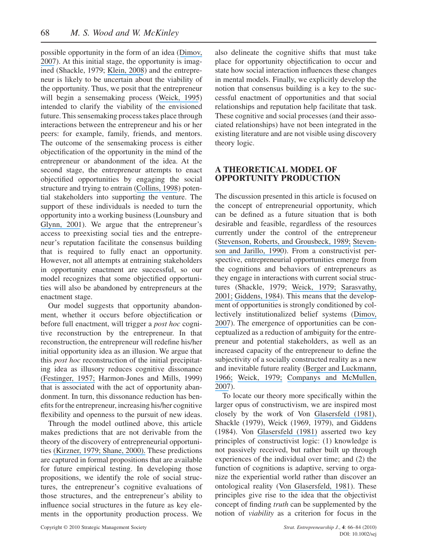possible opportunity in the form of an idea ([Dimov,](https://www.researchgate.net/publication/227680891_From_Opportunity_Insight_to_Opportunity_Intention_The_Importance_of_Person-Situation_Learning_Match?el=1_x_8&enrichId=rgreq-231502218c1c7098ff9d7ac86c528375-XXX&enrichSource=Y292ZXJQYWdlOzIyNzY2MzE1MjtBUzoxMzIyMzcyMTU0MDgxMjlAMTQwODUzOTIxNzI0Mg==)  [2007](https://www.researchgate.net/publication/227680891_From_Opportunity_Insight_to_Opportunity_Intention_The_Importance_of_Person-Situation_Learning_Match?el=1_x_8&enrichId=rgreq-231502218c1c7098ff9d7ac86c528375-XXX&enrichSource=Y292ZXJQYWdlOzIyNzY2MzE1MjtBUzoxMzIyMzcyMTU0MDgxMjlAMTQwODUzOTIxNzI0Mg==)). At this initial stage, the opportunity is imagined (Shackle, 1979; [Klein, 2008](https://www.researchgate.net/publication/227660237_Opportunity_discovery_entrepreneurial_action_and_economic_organization?el=1_x_8&enrichId=rgreq-231502218c1c7098ff9d7ac86c528375-XXX&enrichSource=Y292ZXJQYWdlOzIyNzY2MzE1MjtBUzoxMzIyMzcyMTU0MDgxMjlAMTQwODUzOTIxNzI0Mg==)) and the entrepreneur is likely to be uncertain about the viability of the opportunity. Thus, we posit that the entrepreneur will begin a sensemaking process ([Weick, 1995](https://www.researchgate.net/publication/215484609_Sensemaking_in_Organizations?el=1_x_8&enrichId=rgreq-231502218c1c7098ff9d7ac86c528375-XXX&enrichSource=Y292ZXJQYWdlOzIyNzY2MzE1MjtBUzoxMzIyMzcyMTU0MDgxMjlAMTQwODUzOTIxNzI0Mg==)) intended to clarify the viability of the envisioned future. This sensemaking process takes place through interactions between the entrepreneur and his or her peers: for example, family, friends, and mentors. The outcome of the sensemaking process is either objectification of the opportunity in the mind of the entrepreneur or abandonment of the idea. At the second stage, the entrepreneur attempts to enact objectified opportunities by engaging the social structure and trying to entrain ([Collins, 1998](https://www.researchgate.net/publication/248017386_The_Sociology_of_Philosophies_A_global_theory_of_intellectual_change?el=1_x_8&enrichId=rgreq-231502218c1c7098ff9d7ac86c528375-XXX&enrichSource=Y292ZXJQYWdlOzIyNzY2MzE1MjtBUzoxMzIyMzcyMTU0MDgxMjlAMTQwODUzOTIxNzI0Mg==)) potential stakeholders into supporting the venture. The support of these individuals is needed to turn the opportunity into a working business (Lounsbury and [Glynn, 2001](https://www.researchgate.net/publication/227500720_Cultural_Entrepreneurship_Stories_Legitimacy_and_the_Acquisition_of_Resources?el=1_x_8&enrichId=rgreq-231502218c1c7098ff9d7ac86c528375-XXX&enrichSource=Y292ZXJQYWdlOzIyNzY2MzE1MjtBUzoxMzIyMzcyMTU0MDgxMjlAMTQwODUzOTIxNzI0Mg==)). We argue that the entrepreneur's access to preexisting social ties and the entrepreneur's reputation facilitate the consensus building that is required to fully enact an opportunity. However, not all attempts at entraining stakeholders in opportunity enactment are successful, so our model recognizes that some objectified opportunities will also be abandoned by entrepreneurs at the enactment stage.

Our model suggests that opportunity abandonment, whether it occurs before objectification or before full enactment, will trigger a *post hoc* cognitive reconstruction by the entrepreneur. In that reconstruction, the entrepreneur will redefine his/her initial opportunity idea as an illusion. We argue that this *post hoc* reconstruction of the initial precipitating idea as illusory reduces cognitive dissonance [\(Festinger, 1957;](https://www.researchgate.net/publication/201381816_A_Theory_of_Cognitive_Dissonance?el=1_x_8&enrichId=rgreq-231502218c1c7098ff9d7ac86c528375-XXX&enrichSource=Y292ZXJQYWdlOzIyNzY2MzE1MjtBUzoxMzIyMzcyMTU0MDgxMjlAMTQwODUzOTIxNzI0Mg==) Harmon-Jones and Mills, 1999) that is associated with the act of opportunity abandonment. In turn, this dissonance reduction has benefits for the entrepreneur, increasing his/her cognitive flexibility and openness to the pursuit of new ideas.

Through the model outlined above, this article makes predictions that are not derivable from the theory of the discovery of entrepreneurial opportunities [\(Kirzner, 1979; Shane, 2000\).](https://www.researchgate.net/publication/228314102_Prior_Knowledge_and_the_Discovery_of_Entrepreneurial_Opportunities_Organization_Science_Jg_11_4_S_448-469?el=1_x_8&enrichId=rgreq-231502218c1c7098ff9d7ac86c528375-XXX&enrichSource=Y292ZXJQYWdlOzIyNzY2MzE1MjtBUzoxMzIyMzcyMTU0MDgxMjlAMTQwODUzOTIxNzI0Mg==) These predictions are captured in formal propositions that are available for future empirical testing. In developing those propositions, we identify the role of social structures, the entrepreneur's cognitive evaluations of those structures, and the entrepreneur's ability to influence social structures in the future as key elements in the opportunity production process. We

also delineate the cognitive shifts that must take place for opportunity objectification to occur and state how social interaction influences these changes in mental models. Finally, we explicitly develop the notion that consensus building is a key to the successful enactment of opportunities and that social relationships and reputation help facilitate that task. These cognitive and social processes (and their associated relationships) have not been integrated in the existing literature and are not visible using discovery theory logic.

# **A THEORETICAL MODEL OF OPPORTUNITY PRODUCTION**

The discussion presented in this article is focused on the concept of entrepreneurial opportunity, which can be defined as a future situation that is both desirable and feasible, regardless of the resources currently under the control of the entrepreneur ([Stevenson, Roberts, and Grousbeck, 1989;](https://www.researchgate.net/publication/246934967_New_business_ventures_and_the_entrepreneur?el=1_x_8&enrichId=rgreq-231502218c1c7098ff9d7ac86c528375-XXX&enrichSource=Y292ZXJQYWdlOzIyNzY2MzE1MjtBUzoxMzIyMzcyMTU0MDgxMjlAMTQwODUzOTIxNzI0Mg==) [Steven](https://www.researchgate.net/publication/228314356_A_Paradigm_of_Entrepreneurship_Entrepreneurial_Management?el=1_x_8&enrichId=rgreq-231502218c1c7098ff9d7ac86c528375-XXX&enrichSource=Y292ZXJQYWdlOzIyNzY2MzE1MjtBUzoxMzIyMzcyMTU0MDgxMjlAMTQwODUzOTIxNzI0Mg==)[son and Jarillo, 1990](https://www.researchgate.net/publication/228314356_A_Paradigm_of_Entrepreneurship_Entrepreneurial_Management?el=1_x_8&enrichId=rgreq-231502218c1c7098ff9d7ac86c528375-XXX&enrichSource=Y292ZXJQYWdlOzIyNzY2MzE1MjtBUzoxMzIyMzcyMTU0MDgxMjlAMTQwODUzOTIxNzI0Mg==)). From a constructivist perspective, entrepreneurial opportunities emerge from the cognitions and behaviors of entrepreneurs as they engage in interactions with current social structures (Shackle, 1979; [Weick, 1979;](https://www.researchgate.net/publication/243597864_The_Social_Psychology_Organizing?el=1_x_8&enrichId=rgreq-231502218c1c7098ff9d7ac86c528375-XXX&enrichSource=Y292ZXJQYWdlOzIyNzY2MzE1MjtBUzoxMzIyMzcyMTU0MDgxMjlAMTQwODUzOTIxNzI0Mg==) [Sarasvathy,](https://www.researchgate.net/publication/228264546_Causation_and_Effectuation_Toward_A_Theoretical_Shift_from_Economic_Inevitability_to_Entrepreneurial_Contingency?el=1_x_8&enrichId=rgreq-231502218c1c7098ff9d7ac86c528375-XXX&enrichSource=Y292ZXJQYWdlOzIyNzY2MzE1MjtBUzoxMzIyMzcyMTU0MDgxMjlAMTQwODUzOTIxNzI0Mg==)  [2001;](https://www.researchgate.net/publication/228264546_Causation_and_Effectuation_Toward_A_Theoretical_Shift_from_Economic_Inevitability_to_Entrepreneurial_Contingency?el=1_x_8&enrichId=rgreq-231502218c1c7098ff9d7ac86c528375-XXX&enrichSource=Y292ZXJQYWdlOzIyNzY2MzE1MjtBUzoxMzIyMzcyMTU0MDgxMjlAMTQwODUzOTIxNzI0Mg==) [Giddens, 1984](https://www.researchgate.net/publication/233869963_The_Constitution_of_Society_Outline_of_The_Theory_of_Structuration?el=1_x_8&enrichId=rgreq-231502218c1c7098ff9d7ac86c528375-XXX&enrichSource=Y292ZXJQYWdlOzIyNzY2MzE1MjtBUzoxMzIyMzcyMTU0MDgxMjlAMTQwODUzOTIxNzI0Mg==)). This means that the development of opportunities is strongly conditioned by collectively institutionalized belief systems ([Dimov,](https://www.researchgate.net/publication/227680891_From_Opportunity_Insight_to_Opportunity_Intention_The_Importance_of_Person-Situation_Learning_Match?el=1_x_8&enrichId=rgreq-231502218c1c7098ff9d7ac86c528375-XXX&enrichSource=Y292ZXJQYWdlOzIyNzY2MzE1MjtBUzoxMzIyMzcyMTU0MDgxMjlAMTQwODUzOTIxNzI0Mg==)  [2007](https://www.researchgate.net/publication/227680891_From_Opportunity_Insight_to_Opportunity_Intention_The_Importance_of_Person-Situation_Learning_Match?el=1_x_8&enrichId=rgreq-231502218c1c7098ff9d7ac86c528375-XXX&enrichSource=Y292ZXJQYWdlOzIyNzY2MzE1MjtBUzoxMzIyMzcyMTU0MDgxMjlAMTQwODUzOTIxNzI0Mg==)). The emergence of opportunities can be conceptualized as a reduction of ambiguity for the entrepreneur and potential stakeholders, as well as an increased capacity of the entrepreneur to define the subjectivity of a socially constructed reality as a new and inevitable future reality ([Berger and Luckmann,](https://www.researchgate.net/publication/242474773_The_Social_Construction_Of_Reality_A_Treatise_In_The_Sociology_Of_Knowledge?el=1_x_8&enrichId=rgreq-231502218c1c7098ff9d7ac86c528375-XXX&enrichSource=Y292ZXJQYWdlOzIyNzY2MzE1MjtBUzoxMzIyMzcyMTU0MDgxMjlAMTQwODUzOTIxNzI0Mg==)  [1966;](https://www.researchgate.net/publication/242474773_The_Social_Construction_Of_Reality_A_Treatise_In_The_Sociology_Of_Knowledge?el=1_x_8&enrichId=rgreq-231502218c1c7098ff9d7ac86c528375-XXX&enrichSource=Y292ZXJQYWdlOzIyNzY2MzE1MjtBUzoxMzIyMzcyMTU0MDgxMjlAMTQwODUzOTIxNzI0Mg==) [Weick, 1979;](https://www.researchgate.net/publication/243597864_The_Social_Psychology_Organizing?el=1_x_8&enrichId=rgreq-231502218c1c7098ff9d7ac86c528375-XXX&enrichSource=Y292ZXJQYWdlOzIyNzY2MzE1MjtBUzoxMzIyMzcyMTU0MDgxMjlAMTQwODUzOTIxNzI0Mg==) [Companys and McMullen,](https://www.researchgate.net/publication/5158408_Strategic_Entrepreneurs_at_Work_The_Nature_Discovery_and_Exploitation_of_Entrepreneurial_Opportunities?el=1_x_8&enrichId=rgreq-231502218c1c7098ff9d7ac86c528375-XXX&enrichSource=Y292ZXJQYWdlOzIyNzY2MzE1MjtBUzoxMzIyMzcyMTU0MDgxMjlAMTQwODUzOTIxNzI0Mg==)  [2007](https://www.researchgate.net/publication/5158408_Strategic_Entrepreneurs_at_Work_The_Nature_Discovery_and_Exploitation_of_Entrepreneurial_Opportunities?el=1_x_8&enrichId=rgreq-231502218c1c7098ff9d7ac86c528375-XXX&enrichSource=Y292ZXJQYWdlOzIyNzY2MzE1MjtBUzoxMzIyMzcyMTU0MDgxMjlAMTQwODUzOTIxNzI0Mg==)).

To locate our theory more specifically within the larger opus of constructivism, we are inspired most closely by the work of Von [Glasersfeld \(1981\)](https://www.researchgate.net/publication/302235495_The_concepts_of_adaptation_and_viability_in_a_radical_constructivist_theory_of_knowledge?el=1_x_8&enrichId=rgreq-231502218c1c7098ff9d7ac86c528375-XXX&enrichSource=Y292ZXJQYWdlOzIyNzY2MzE1MjtBUzoxMzIyMzcyMTU0MDgxMjlAMTQwODUzOTIxNzI0Mg==), Shackle (1979), Weick (1969, 1979), and Giddens (1984). Von [Glasersfeld \(1981\)](https://www.researchgate.net/publication/302235495_The_concepts_of_adaptation_and_viability_in_a_radical_constructivist_theory_of_knowledge?el=1_x_8&enrichId=rgreq-231502218c1c7098ff9d7ac86c528375-XXX&enrichSource=Y292ZXJQYWdlOzIyNzY2MzE1MjtBUzoxMzIyMzcyMTU0MDgxMjlAMTQwODUzOTIxNzI0Mg==) asserted two key principles of constructivist logic: (1) knowledge is not passively received, but rather built up through experiences of the individual over time; and (2) the function of cognitions is adaptive, serving to organize the experiential world rather than discover an ontological reality ([Von Glasersfeld, 1981](https://www.researchgate.net/publication/302235495_The_concepts_of_adaptation_and_viability_in_a_radical_constructivist_theory_of_knowledge?el=1_x_8&enrichId=rgreq-231502218c1c7098ff9d7ac86c528375-XXX&enrichSource=Y292ZXJQYWdlOzIyNzY2MzE1MjtBUzoxMzIyMzcyMTU0MDgxMjlAMTQwODUzOTIxNzI0Mg==)). These principles give rise to the idea that the objectivist concept of finding *truth* can be supplemented by the notion of *viability* as a criterion for focus in the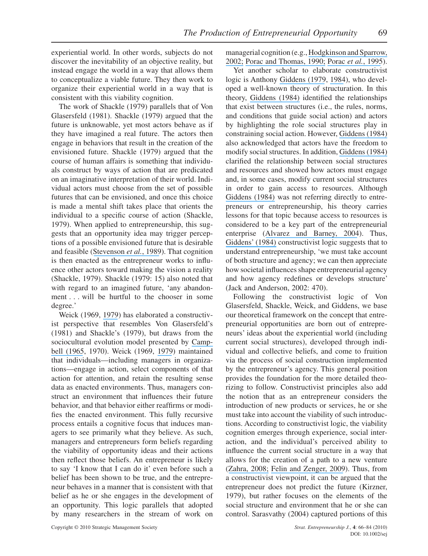experiential world. In other words, subjects do not discover the inevitability of an objective reality, but instead engage the world in a way that allows them to conceptualize a viable future. They then work to organize their experiential world in a way that is consistent with this viability cognition.

The work of Shackle (1979) parallels that of Von Glasersfeld (1981). Shackle (1979) argued that the future is unknowable, yet most actors behave as if they have imagined a real future. The actors then engage in behaviors that result in the creation of the envisioned future. Shackle (1979) argued that the course of human affairs is something that individuals construct by ways of action that are predicated on an imaginative interpretation of their world. Individual actors must choose from the set of possible futures that can be envisioned, and once this choice is made a mental shift takes place that orients the individual to a specific course of action (Shackle, 1979). When applied to entrepreneurship, this suggests that an opportunity idea may trigger perceptions of a possible envisioned future that is desirable and feasible ([Stevenson](https://www.researchgate.net/publication/246934967_New_business_ventures_and_the_entrepreneur?el=1_x_8&enrichId=rgreq-231502218c1c7098ff9d7ac86c528375-XXX&enrichSource=Y292ZXJQYWdlOzIyNzY2MzE1MjtBUzoxMzIyMzcyMTU0MDgxMjlAMTQwODUzOTIxNzI0Mg==) *et al.*, 1989). That cognition is then enacted as the entrepreneur works to influence other actors toward making the vision a reality (Shackle, 1979). Shackle (1979: 15) also noted that with regard to an imagined future, 'any abandonment . . . will be hurtful to the chooser in some degree.'

Weick (1969, [1979](https://www.researchgate.net/publication/243597864_The_Social_Psychology_Organizing?el=1_x_8&enrichId=rgreq-231502218c1c7098ff9d7ac86c528375-XXX&enrichSource=Y292ZXJQYWdlOzIyNzY2MzE1MjtBUzoxMzIyMzcyMTU0MDgxMjlAMTQwODUzOTIxNzI0Mg==)) has elaborated a constructivist perspective that resembles Von Glasersfeld's (1981) and Shackle's (1979), but draws from the sociocultural evolution model presented by [Camp](https://www.researchgate.net/publication/284764131_Variation_and_selective_retention_in_sociocultural_evolution)[bell \(1965](https://www.researchgate.net/publication/284764131_Variation_and_selective_retention_in_sociocultural_evolution), 1970). Weick (1969, [1979](https://www.researchgate.net/publication/243597864_The_Social_Psychology_Organizing?el=1_x_8&enrichId=rgreq-231502218c1c7098ff9d7ac86c528375-XXX&enrichSource=Y292ZXJQYWdlOzIyNzY2MzE1MjtBUzoxMzIyMzcyMTU0MDgxMjlAMTQwODUzOTIxNzI0Mg==)) maintained that individuals—including managers in organizations—engage in action, select components of that action for attention, and retain the resulting sense data as enacted environments. Thus, managers construct an environment that influences their future behavior, and that behavior either reaffirms or modifies the enacted environment. This fully recursive process entails a cognitive focus that induces managers to see primarily what they believe. As such, managers and entrepreneurs form beliefs regarding the viability of opportunity ideas and their actions then reflect those beliefs. An entrepreneur is likely to say 'I know that I can do it' even before such a belief has been shown to be true, and the entrepreneur behaves in a manner that is consistent with that belief as he or she engages in the development of an opportunity. This logic parallels that adopted by many researchers in the stream of work on

managerial cognition (e.g., [Hodgkinson and Sparrow,](https://www.researchgate.net/publication/262179464_The_Competent_Organization_A_Psychological_Analysis_of_The_Strategic_Management_Process?el=1_x_8&enrichId=rgreq-231502218c1c7098ff9d7ac86c528375-XXX&enrichSource=Y292ZXJQYWdlOzIyNzY2MzE1MjtBUzoxMzIyMzcyMTU0MDgxMjlAMTQwODUzOTIxNzI0Mg==) [2002;](https://www.researchgate.net/publication/262179464_The_Competent_Organization_A_Psychological_Analysis_of_The_Strategic_Management_Process?el=1_x_8&enrichId=rgreq-231502218c1c7098ff9d7ac86c528375-XXX&enrichSource=Y292ZXJQYWdlOzIyNzY2MzE1MjtBUzoxMzIyMzcyMTU0MDgxMjlAMTQwODUzOTIxNzI0Mg==) [Porac and Thomas, 1990;](https://www.researchgate.net/publication/243774658_Taxonomic_Mental_Models_in_Competitor_Definition?el=1_x_8&enrichId=rgreq-231502218c1c7098ff9d7ac86c528375-XXX&enrichSource=Y292ZXJQYWdlOzIyNzY2MzE1MjtBUzoxMzIyMzcyMTU0MDgxMjlAMTQwODUzOTIxNzI0Mg==) [Porac](https://www.researchgate.net/publication/240221198_Rivalry_and_the_Industry_Model_of_Scottish_Knitwear_Producers?el=1_x_8&enrichId=rgreq-231502218c1c7098ff9d7ac86c528375-XXX&enrichSource=Y292ZXJQYWdlOzIyNzY2MzE1MjtBUzoxMzIyMzcyMTU0MDgxMjlAMTQwODUzOTIxNzI0Mg==) *et al.*, 1995).

Yet another scholar to elaborate constructivist logic is Anthony [Giddens \(1979](https://www.researchgate.net/publication/243502647_The_Central_Problems_of_Social_Theory?el=1_x_8&enrichId=rgreq-231502218c1c7098ff9d7ac86c528375-XXX&enrichSource=Y292ZXJQYWdlOzIyNzY2MzE1MjtBUzoxMzIyMzcyMTU0MDgxMjlAMTQwODUzOTIxNzI0Mg==), [1984](https://www.researchgate.net/publication/233869963_The_Constitution_of_Society_Outline_of_The_Theory_of_Structuration?el=1_x_8&enrichId=rgreq-231502218c1c7098ff9d7ac86c528375-XXX&enrichSource=Y292ZXJQYWdlOzIyNzY2MzE1MjtBUzoxMzIyMzcyMTU0MDgxMjlAMTQwODUzOTIxNzI0Mg==)), who developed a well-known theory of structuration. In this theory, [Giddens \(1984\)](https://www.researchgate.net/publication/242546217_The_constitution_of_society_outline_of_the_theory_of_structure?el=1_x_8&enrichId=rgreq-231502218c1c7098ff9d7ac86c528375-XXX&enrichSource=Y292ZXJQYWdlOzIyNzY2MzE1MjtBUzoxMzIyMzcyMTU0MDgxMjlAMTQwODUzOTIxNzI0Mg==) identified the relationships that exist between structures (i.e., the rules, norms, and conditions that guide social action) and actors by highlighting the role social structures play in constraining social action. However, [Giddens \(1984\)](https://www.researchgate.net/publication/242546217_The_constitution_of_society_outline_of_the_theory_of_structure?el=1_x_8&enrichId=rgreq-231502218c1c7098ff9d7ac86c528375-XXX&enrichSource=Y292ZXJQYWdlOzIyNzY2MzE1MjtBUzoxMzIyMzcyMTU0MDgxMjlAMTQwODUzOTIxNzI0Mg==) also acknowledged that actors have the freedom to modify social structures. In addition, [Giddens \(1984\)](https://www.researchgate.net/publication/242546217_The_constitution_of_society_outline_of_the_theory_of_structure?el=1_x_8&enrichId=rgreq-231502218c1c7098ff9d7ac86c528375-XXX&enrichSource=Y292ZXJQYWdlOzIyNzY2MzE1MjtBUzoxMzIyMzcyMTU0MDgxMjlAMTQwODUzOTIxNzI0Mg==) clarified the relationship between social structures and resources and showed how actors must engage and, in some cases, modify current social structures in order to gain access to resources. Although [Giddens \(1984\)](https://www.researchgate.net/publication/242546217_The_constitution_of_society_outline_of_the_theory_of_structure?el=1_x_8&enrichId=rgreq-231502218c1c7098ff9d7ac86c528375-XXX&enrichSource=Y292ZXJQYWdlOzIyNzY2MzE1MjtBUzoxMzIyMzcyMTU0MDgxMjlAMTQwODUzOTIxNzI0Mg==) was not referring directly to entrepreneurs or entrepreneurship, his theory carries lessons for that topic because access to resources is considered to be a key part of the entrepreneurial enterprise ([Alvarez and Barney, 2004](https://www.researchgate.net/publication/223073795_Organizing_Rent_Generation_and_Appropriation_Toward_a_Theory_of_the_Entrepreneurial_Firm?el=1_x_8&enrichId=rgreq-231502218c1c7098ff9d7ac86c528375-XXX&enrichSource=Y292ZXJQYWdlOzIyNzY2MzE1MjtBUzoxMzIyMzcyMTU0MDgxMjlAMTQwODUzOTIxNzI0Mg==)). Thus, [Giddens' \(1984\)](https://www.researchgate.net/publication/242546217_The_constitution_of_society_outline_of_the_theory_of_structure?el=1_x_8&enrichId=rgreq-231502218c1c7098ff9d7ac86c528375-XXX&enrichSource=Y292ZXJQYWdlOzIyNzY2MzE1MjtBUzoxMzIyMzcyMTU0MDgxMjlAMTQwODUzOTIxNzI0Mg==) constructivist logic suggests that to understand entrepreneurship, 'we must take account of both structure and agency; we can then appreciate how societal influences shape entrepreneurial agency and how agency redefines or develops structure' (Jack and Anderson, 2002: 470).

Following the constructivist logic of Von Glasersfeld, Shackle, Weick, and Giddens, we base our theoretical framework on the concept that entrepreneurial opportunities are born out of entrepreneurs' ideas about the experiential world (including current social structures), developed through individual and collective beliefs, and come to fruition via the process of social construction implemented by the entrepreneur's agency. This general position provides the foundation for the more detailed theorizing to follow. Constructivist principles also add the notion that as an entrepreneur considers the introduction of new products or services, he or she must take into account the viability of such introductions. According to constructivist logic, the viability cognition emerges through experience, social interaction, and the individual's perceived ability to influence the current social structure in a way that allows for the creation of a path to a new venture ([Zahra, 2008;](https://www.researchgate.net/publication/227796303_The_Virtuous_Cycle_of_Discovery_and_Creation_of_Entrepreneurial_Opportunities?el=1_x_8&enrichId=rgreq-231502218c1c7098ff9d7ac86c528375-XXX&enrichSource=Y292ZXJQYWdlOzIyNzY2MzE1MjtBUzoxMzIyMzcyMTU0MDgxMjlAMTQwODUzOTIxNzI0Mg==) [Felin and Zenger, 2009](https://www.researchgate.net/publication/227643124_Entrepreneurs_as_theorists_On_the_origins_of_collective_beliefs_and_novel_strategies?el=1_x_8&enrichId=rgreq-231502218c1c7098ff9d7ac86c528375-XXX&enrichSource=Y292ZXJQYWdlOzIyNzY2MzE1MjtBUzoxMzIyMzcyMTU0MDgxMjlAMTQwODUzOTIxNzI0Mg==)). Thus, from a constructivist viewpoint, it can be argued that the entrepreneur does not predict the future (Kirzner, 1979), but rather focuses on the elements of the social structure and environment that he or she can control. Sarasvathy (2004) captured portions of this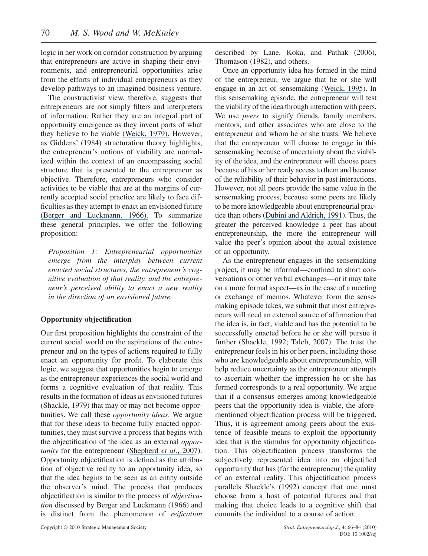logic in her work on corridor construction by arguing that entrepreneurs are active in shaping their environments, and entrepreneurial opportunities arise from the efforts of individual entrepreneurs as they develop pathways to an imagined business venture.

The constructivist view, therefore, suggests that entrepreneurs are not simply filters and interpreters of information. Rather they are an integral part of opportunity emergence as they invent parts of what they believe to be viable [\(Weick, 1979\).](https://www.researchgate.net/publication/234725802_Organizing_and_The_Social_Psychology_of_Organizing?el=1_x_8&enrichId=rgreq-231502218c1c7098ff9d7ac86c528375-XXX&enrichSource=Y292ZXJQYWdlOzIyNzY2MzE1MjtBUzoxMzIyMzcyMTU0MDgxMjlAMTQwODUzOTIxNzI0Mg==) However, as Giddens' (1984) structuration theory highlights, the entrepreneur's notions of viability are normalized within the context of an encompassing social structure that is presented to the entrepreneur as objective. Therefore, entrepreneurs who consider activities to be viable that are at the margins of currently accepted social practice are likely to face difficulties as they attempt to enact an envisioned future [\(Berger and Luckmann, 1966\).](https://www.researchgate.net/publication/215439343_The_Social_Construction_of_Reality_A_Treatise_in_the_Sociology_of_Knowlege?el=1_x_8&enrichId=rgreq-231502218c1c7098ff9d7ac86c528375-XXX&enrichSource=Y292ZXJQYWdlOzIyNzY2MzE1MjtBUzoxMzIyMzcyMTU0MDgxMjlAMTQwODUzOTIxNzI0Mg==) To summarize these general principles, we offer the following proposition:

*Proposition 1: Entrepreneurial opportunities emerge from the interplay between current enacted social structures, the entrepreneur's cognitive evaluation of that reality, and the entrepreneur's perceived ability to enact a new reality in the direction of an envisioned future.*

#### **Opportunity objectification**

Our first proposition highlights the constraint of the current social world on the aspirations of the entrepreneur and on the types of actions required to fully enact an opportunity for profit. To elaborate this logic, we suggest that opportunities begin to emerge as the entrepreneur experiences the social world and forms a cognitive evaluation of that reality. This results in the formation of ideas as envisioned futures (Shackle, 1979) that may or may not become opportunities. We call these *opportunity ideas*. We argue that for these ideas to become fully enacted opportunities, they must survive a process that begins with the objectification of the idea as an external *opportunity* for the entrepreneur ([Shepherd](https://www.researchgate.net/publication/227763231_The_Formation_of_Opportunity_Beliefs_Overcoming_Ignorance_and_Reducing_Doubt?el=1_x_8&enrichId=rgreq-231502218c1c7098ff9d7ac86c528375-XXX&enrichSource=Y292ZXJQYWdlOzIyNzY2MzE1MjtBUzoxMzIyMzcyMTU0MDgxMjlAMTQwODUzOTIxNzI0Mg==) *et al.*, 2007). Opportunity objectification is defined as the attribution of objective reality to an opportunity idea, so that the idea begins to be seen as an entity outside the observer's mind. The process that produces objectification is similar to the process of *objectivation* discussed by Berger and Luckmann (1966) and is distinct from the phenomenon of *reification* 

described by Lane, Koka, and Pathak (2006), Thomason (1982), and others.

Once an opportunity idea has formed in the mind of the entrepreneur, we argue that he or she will engage in an act of sensemaking ([Weick, 1995](https://www.researchgate.net/publication/215484609_Sensemaking_in_Organizations?el=1_x_8&enrichId=rgreq-231502218c1c7098ff9d7ac86c528375-XXX&enrichSource=Y292ZXJQYWdlOzIyNzY2MzE1MjtBUzoxMzIyMzcyMTU0MDgxMjlAMTQwODUzOTIxNzI0Mg==)). In this sensemaking episode, the entrepreneur will test the viability of the idea through interaction with peers. We use *peers* to signify friends, family members, mentors, and other associates who are close to the entrepreneur and whom he or she trusts. We believe that the entrepreneur will choose to engage in this sensemaking because of uncertainty about the viability of the idea, and the entrepreneur will choose peers because of his or her ready access to them and because of the reliability of their behavior in past interactions. However, not all peers provide the same value in the sensemaking process, because some peers are likely to be more knowledgeable about entrepreneurial practice than others ([Dubini and Aldrich, 1991](https://www.researchgate.net/publication/228314339_Personal_and_Extended_Networks_Are_Central_to_the_Entrepreneurial_Process?el=1_x_8&enrichId=rgreq-231502218c1c7098ff9d7ac86c528375-XXX&enrichSource=Y292ZXJQYWdlOzIyNzY2MzE1MjtBUzoxMzIyMzcyMTU0MDgxMjlAMTQwODUzOTIxNzI0Mg==)). Thus, the greater the perceived knowledge a peer has about entrepreneurship, the more the entrepreneur will value the peer's opinion about the actual existence of an opportunity.

As the entrepreneur engages in the sensemaking project, it may be informal—confined to short conversations or other verbal exchanges—or it may take on a more formal aspect—as in the case of a meeting or exchange of memos. Whatever form the sensemaking episode takes, we submit that most entrepreneurs will need an external source of affirmation that the idea is, in fact, viable and has the potential to be successfully enacted before he or she will pursue it further (Shackle, 1992; Taleb, 2007). The trust the entrepreneur feels in his or her peers, including those who are knowledgeable about entrepreneurship, will help reduce uncertainty as the entrepreneur attempts to ascertain whether the impression he or she has formed corresponds to a real opportunity. We argue that if a consensus emerges among knowledgeable peers that the opportunity idea is viable, the aforementioned objectification process will be triggered. Thus, it is agreement among peers about the existence of feasible means to exploit the opportunity idea that is the stimulus for opportunity objectification. This objectification process transforms the subjectively represented idea into an objectified opportunity that has (for the entrepreneur) the quality of an external reality. This objectification process parallels Shackle's (1992) concept that one must choose from a host of potential futures and that making that choice leads to a cognitive shift that commits the individual to a course of action.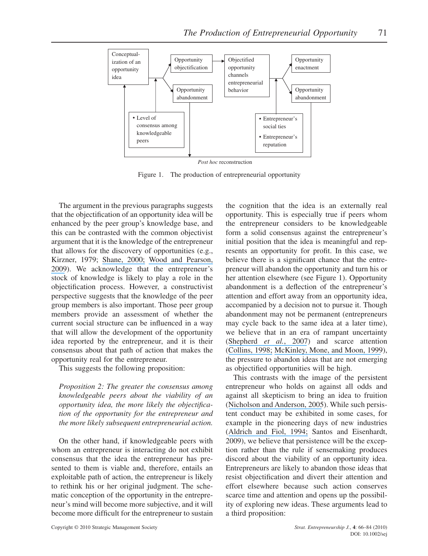

Figure 1. The production of entrepreneurial opportunity

The argument in the previous paragraphs suggests that the objectification of an opportunity idea will be enhanced by the peer group's knowledge base, and this can be contrasted with the common objectivist argument that it is the knowledge of the entrepreneur that allows for the discovery of opportunities (e.g., Kirzner, 1979; [Shane, 2000;](https://www.researchgate.net/publication/284490155_Prior_Knowledge_and_the_Discovery_of_Entrepreneurial_Opportunities?el=1_x_8&enrichId=rgreq-231502218c1c7098ff9d7ac86c528375-XXX&enrichSource=Y292ZXJQYWdlOzIyNzY2MzE1MjtBUzoxMzIyMzcyMTU0MDgxMjlAMTQwODUzOTIxNzI0Mg==) [Wood and Pearson,](https://www.researchgate.net/publication/237938434_Taken_on_Faith_The_Impact_of_Uncertainty_Knowledge_Relatedness_and_Richness_of_Information_on_Entrepreneurial_Opportunity_Exploitation?el=1_x_8&enrichId=rgreq-231502218c1c7098ff9d7ac86c528375-XXX&enrichSource=Y292ZXJQYWdlOzIyNzY2MzE1MjtBUzoxMzIyMzcyMTU0MDgxMjlAMTQwODUzOTIxNzI0Mg==) [2009](https://www.researchgate.net/publication/237938434_Taken_on_Faith_The_Impact_of_Uncertainty_Knowledge_Relatedness_and_Richness_of_Information_on_Entrepreneurial_Opportunity_Exploitation?el=1_x_8&enrichId=rgreq-231502218c1c7098ff9d7ac86c528375-XXX&enrichSource=Y292ZXJQYWdlOzIyNzY2MzE1MjtBUzoxMzIyMzcyMTU0MDgxMjlAMTQwODUzOTIxNzI0Mg==)). We acknowledge that the entrepreneur's stock of knowledge is likely to play a role in the objectification process. However, a constructivist perspective suggests that the knowledge of the peer group members is also important. Those peer group members provide an assessment of whether the current social structure can be influenced in a way that will allow the development of the opportunity idea reported by the entrepreneur, and it is their consensus about that path of action that makes the opportunity real for the entrepreneur.

This suggests the following proposition:

*Proposition 2: The greater the consensus among knowledgeable peers about the viability of an opportunity idea, the more likely the objectification of the opportunity for the entrepreneur and the more likely subsequent entrepreneurial action.*

On the other hand, if knowledgeable peers with whom an entrepreneur is interacting do not exhibit consensus that the idea the entrepreneur has presented to them is viable and, therefore, entails an exploitable path of action, the entrepreneur is likely to rethink his or her original judgment. The schematic conception of the opportunity in the entrepreneur's mind will become more subjective, and it will become more difficult for the entrepreneur to sustain

the cognition that the idea is an externally real opportunity. This is especially true if peers whom the entrepreneur considers to be knowledgeable form a solid consensus against the entrepreneur's initial position that the idea is meaningful and represents an opportunity for profit. In this case, we believe there is a significant chance that the entrepreneur will abandon the opportunity and turn his or her attention elsewhere (see Figure 1). Opportunity abandonment is a deflection of the entrepreneur's attention and effort away from an opportunity idea, accompanied by a decision not to pursue it. Though abandonment may not be permanent (entrepreneurs may cycle back to the same idea at a later time), we believe that in an era of rampant uncertainty ([Shepherd](https://www.researchgate.net/publication/227763231_The_Formation_of_Opportunity_Beliefs_Overcoming_Ignorance_and_Reducing_Doubt?el=1_x_8&enrichId=rgreq-231502218c1c7098ff9d7ac86c528375-XXX&enrichSource=Y292ZXJQYWdlOzIyNzY2MzE1MjtBUzoxMzIyMzcyMTU0MDgxMjlAMTQwODUzOTIxNzI0Mg==) *et al.*, 2007) and scarce attention ([Collins, 1998;](https://www.researchgate.net/publication/248017386_The_Sociology_of_Philosophies_A_global_theory_of_intellectual_change?el=1_x_8&enrichId=rgreq-231502218c1c7098ff9d7ac86c528375-XXX&enrichSource=Y292ZXJQYWdlOzIyNzY2MzE1MjtBUzoxMzIyMzcyMTU0MDgxMjlAMTQwODUzOTIxNzI0Mg==) [McKinley, Mone, and Moon, 1999](https://www.researchgate.net/publication/272581528_Determinants_and_Development_of_Schools_in_Organization_Theory?el=1_x_8&enrichId=rgreq-231502218c1c7098ff9d7ac86c528375-XXX&enrichSource=Y292ZXJQYWdlOzIyNzY2MzE1MjtBUzoxMzIyMzcyMTU0MDgxMjlAMTQwODUzOTIxNzI0Mg==)), the pressure to abandon ideas that are not emerging as objectified opportunities will be high.

This contrasts with the image of the persistent entrepreneur who holds on against all odds and against all skepticism to bring an idea to fruition ([Nicholson and Anderson, 2005](https://www.researchgate.net/publication/43294362_News_and_Nuances_of_the_Entrepreneurial_Myth_and_Metaphor_Linguistic_Games_in_Entrepreneurial_Sense-Making_and_Sense-Giving?el=1_x_8&enrichId=rgreq-231502218c1c7098ff9d7ac86c528375-XXX&enrichSource=Y292ZXJQYWdlOzIyNzY2MzE1MjtBUzoxMzIyMzcyMTU0MDgxMjlAMTQwODUzOTIxNzI0Mg==)). While such persistent conduct may be exhibited in some cases, for example in the pioneering days of new industries ([Aldrich and Fiol, 1994;](https://www.researchgate.net/publication/282828021_Fools_Rush_In_The_Institutional_Context_of_Industry_Creation?el=1_x_8&enrichId=rgreq-231502218c1c7098ff9d7ac86c528375-XXX&enrichSource=Y292ZXJQYWdlOzIyNzY2MzE1MjtBUzoxMzIyMzcyMTU0MDgxMjlAMTQwODUzOTIxNzI0Mg==) Santos and Eisenhardt, 2009), we believe that persistence will be the exception rather than the rule if sensemaking produces discord about the viability of an opportunity idea. Entrepreneurs are likely to abandon those ideas that resist objectification and divert their attention and effort elsewhere because such action conserves scarce time and attention and opens up the possibility of exploring new ideas. These arguments lead to a third proposition: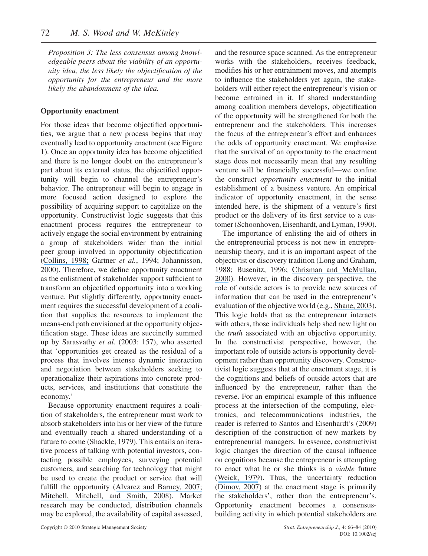*Proposition 3: The less consensus among knowledgeable peers about the viability of an opportunity idea, the less likely the objectification of the opportunity for the entrepreneur and the more likely the abandonment of the idea.*

#### **Opportunity enactment**

For those ideas that become objectified opportunities, we argue that a new process begins that may eventually lead to opportunity enactment (see Figure 1). Once an opportunity idea has become objectified and there is no longer doubt on the entrepreneur's part about its external status, the objectified opportunity will begin to channel the entrepreneur's behavior. The entrepreneur will begin to engage in more focused action designed to explore the possibility of acquiring support to capitalize on the opportunity. Constructivist logic suggests that this enactment process requires the entrepreneur to actively engage the social environment by entraining a group of stakeholders wider than the initial peer group involved in opportunity objectification ([Collins, 1998;](https://www.researchgate.net/publication/248017386_The_Sociology_of_Philosophies_A_global_theory_of_intellectual_change?el=1_x_8&enrichId=rgreq-231502218c1c7098ff9d7ac86c528375-XXX&enrichSource=Y292ZXJQYWdlOzIyNzY2MzE1MjtBUzoxMzIyMzcyMTU0MDgxMjlAMTQwODUzOTIxNzI0Mg==) Gartner *et al.*, 1994; Johannisson, 2000). Therefore, we define opportunity enactment as the enlistment of stakeholder support sufficient to transform an objectified opportunity into a working venture. Put slightly differently, opportunity enactment requires the successful development of a coalition that supplies the resources to implement the means-end path envisioned at the opportunity objectification stage. These ideas are succinctly summed up by Sarasvathy *et al.* (2003: 157), who asserted that 'opportunities get created as the residual of a process that involves intense dynamic interaction and negotiation between stakeholders seeking to operationalize their aspirations into concrete products, services, and institutions that constitute the economy.'

Because opportunity enactment requires a coalition of stakeholders, the entrepreneur must work to absorb stakeholders into his or her view of the future and eventually reach a shared understanding of a future to come (Shackle, 1979). This entails an iterative process of talking with potential investors, contacting possible employees, surveying potential customers, and searching for technology that might be used to create the product or service that will fulfill the opportunity (Alvarez and Barney, 2007; [Mitchell, Mitchell, and Smith, 2008](https://www.researchgate.net/publication/227669004_Inside_Opportunity_Formation_Enterprise_Failure_Cognition_and_the_Creation_of_Opportunities?el=1_x_8&enrichId=rgreq-231502218c1c7098ff9d7ac86c528375-XXX&enrichSource=Y292ZXJQYWdlOzIyNzY2MzE1MjtBUzoxMzIyMzcyMTU0MDgxMjlAMTQwODUzOTIxNzI0Mg==)). Market research may be conducted, distribution channels may be explored, the availability of capital assessed,

and the resource space scanned. As the entrepreneur works with the stakeholders, receives feedback, modifies his or her entrainment moves, and attempts to influence the stakeholders yet again, the stakeholders will either reject the entrepreneur's vision or become entrained in it. If shared understanding among coalition members develops, objectification of the opportunity will be strengthened for both the entrepreneur and the stakeholders. This increases the focus of the entrepreneur's effort and enhances the odds of opportunity enactment. We emphasize that the survival of an opportunity to the enactment stage does not necessarily mean that any resulting venture will be financially successful—we confine the construct *opportunity enactment* to the initial establishment of a business venture. An empirical indicator of opportunity enactment, in the sense intended here, is the shipment of a venture's first product or the delivery of its first service to a customer (Schoonhoven, Eisenhardt, and Lyman, 1990).

The importance of enlisting the aid of others in the entrepreneurial process is not new in entrepreneurship theory, and it is an important aspect of the objectivist or discovery tradition (Long and Graham, 1988; Busenitz, 1996; [Chrisman and McMullan,](https://www.researchgate.net/publication/284201690_A_preliminary_assessment_of_outsider_assistance_as_a_knowledge_resource_The_longer-term_impact_of_new_venture_counseling?el=1_x_8&enrichId=rgreq-231502218c1c7098ff9d7ac86c528375-XXX&enrichSource=Y292ZXJQYWdlOzIyNzY2MzE1MjtBUzoxMzIyMzcyMTU0MDgxMjlAMTQwODUzOTIxNzI0Mg==)  [2000](https://www.researchgate.net/publication/284201690_A_preliminary_assessment_of_outsider_assistance_as_a_knowledge_resource_The_longer-term_impact_of_new_venture_counseling?el=1_x_8&enrichId=rgreq-231502218c1c7098ff9d7ac86c528375-XXX&enrichSource=Y292ZXJQYWdlOzIyNzY2MzE1MjtBUzoxMzIyMzcyMTU0MDgxMjlAMTQwODUzOTIxNzI0Mg==)). However, in the discovery perspective, the role of outside actors is to provide new sources of information that can be used in the entrepreneur's evaluation of the objective world (e.g., [Shane, 2003](https://www.researchgate.net/publication/287312699_A_General_Theory_of_Entrepreneurship_The_Individual-Opportunity_Nexus?el=1_x_8&enrichId=rgreq-231502218c1c7098ff9d7ac86c528375-XXX&enrichSource=Y292ZXJQYWdlOzIyNzY2MzE1MjtBUzoxMzIyMzcyMTU0MDgxMjlAMTQwODUzOTIxNzI0Mg==)). This logic holds that as the entrepreneur interacts with others, those individuals help shed new light on the *truth* associated with an objective opportunity. In the constructivist perspective, however, the important role of outside actors is opportunity development rather than opportunity discovery. Constructivist logic suggests that at the enactment stage, it is the cognitions and beliefs of outside actors that are influenced by the entrepreneur, rather than the reverse. For an empirical example of this influence process at the intersection of the computing, electronics, and telecommunications industries, the reader is referred to Santos and Eisenhardt's (2009) description of the construction of new markets by entrepreneurial managers. In essence, constructivist logic changes the direction of the causal influence on cognitions because the entrepreneur is attempting to enact what he or she thinks is a *viable* future ([Weick, 1979](https://www.researchgate.net/publication/243597864_The_Social_Psychology_Organizing?el=1_x_8&enrichId=rgreq-231502218c1c7098ff9d7ac86c528375-XXX&enrichSource=Y292ZXJQYWdlOzIyNzY2MzE1MjtBUzoxMzIyMzcyMTU0MDgxMjlAMTQwODUzOTIxNzI0Mg==)). Thus, the uncertainty reduction ([Dimov, 2007](https://www.researchgate.net/publication/227680891_From_Opportunity_Insight_to_Opportunity_Intention_The_Importance_of_Person-Situation_Learning_Match?el=1_x_8&enrichId=rgreq-231502218c1c7098ff9d7ac86c528375-XXX&enrichSource=Y292ZXJQYWdlOzIyNzY2MzE1MjtBUzoxMzIyMzcyMTU0MDgxMjlAMTQwODUzOTIxNzI0Mg==)) at the enactment stage is primarily the stakeholders', rather than the entrepreneur's. Opportunity enactment becomes a consensusbuilding activity in which potential stakeholders are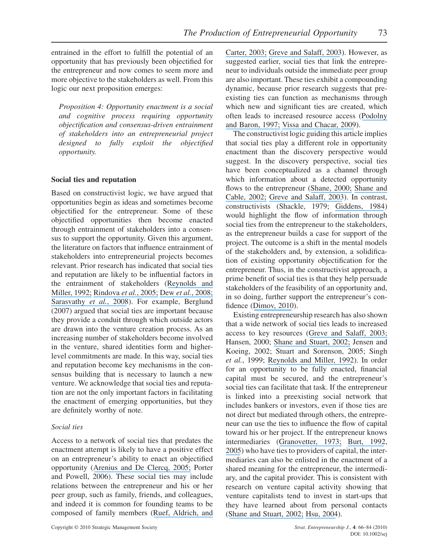entrained in the effort to fulfill the potential of an opportunity that has previously been objectified for the entrepreneur and now comes to seem more and more objective to the stakeholders as well. From this logic our next proposition emerges:

*Proposition 4: Opportunity enactment is a social and cognitive process requiring opportunity objectifi cation and consensus-driven entrainment of stakeholders into an entrepreneurial project designed to fully exploit the objectified opportunity.*

### **Social ties and reputation**

Based on constructivist logic, we have argued that opportunities begin as ideas and sometimes become objectified for the entrepreneur. Some of these objectified opportunities then become enacted through entrainment of stakeholders into a consensus to support the opportunity. Given this argument, the literature on factors that influence entrainment of stakeholders into entrepreneurial projects becomes relevant. Prior research has indicated that social ties and reputation are likely to be influential factors in the entrainment of stakeholders ([Reynolds and](https://www.researchgate.net/publication/223224590_New_Firm_Gestation_Conception_Birth_and_Implications_for_Research?el=1_x_8&enrichId=rgreq-231502218c1c7098ff9d7ac86c528375-XXX&enrichSource=Y292ZXJQYWdlOzIyNzY2MzE1MjtBUzoxMzIyMzcyMTU0MDgxMjlAMTQwODUzOTIxNzI0Mg==) [Miller, 1992;](https://www.researchgate.net/publication/223224590_New_Firm_Gestation_Conception_Birth_and_Implications_for_Research?el=1_x_8&enrichId=rgreq-231502218c1c7098ff9d7ac86c528375-XXX&enrichSource=Y292ZXJQYWdlOzIyNzY2MzE1MjtBUzoxMzIyMzcyMTU0MDgxMjlAMTQwODUzOTIxNzI0Mg==) [Rindova](https://www.researchgate.net/publication/242206867_Being_good_or_being_known_An_empirical_examination_of_the_dimensions_antecedents_and_consequences_of_organizational_reputation?el=1_x_8&enrichId=rgreq-231502218c1c7098ff9d7ac86c528375-XXX&enrichSource=Y292ZXJQYWdlOzIyNzY2MzE1MjtBUzoxMzIyMzcyMTU0MDgxMjlAMTQwODUzOTIxNzI0Mg==) *et al.*, 2005; Dew *et al.*[, 2008;](https://www.researchgate.net/publication/222431043_Outlines_of_a_Behavioral_Theory_of_the_Entrepreneurial_Firm?el=1_x_8&enrichId=rgreq-231502218c1c7098ff9d7ac86c528375-XXX&enrichSource=Y292ZXJQYWdlOzIyNzY2MzE1MjtBUzoxMzIyMzcyMTU0MDgxMjlAMTQwODUzOTIxNzI0Mg==) [Sarasvathy](https://www.researchgate.net/publication/228264427_Designing_Organizations_that_Design_Environments_Lessons_from_Entrepreneurial_Expertise?el=1_x_8&enrichId=rgreq-231502218c1c7098ff9d7ac86c528375-XXX&enrichSource=Y292ZXJQYWdlOzIyNzY2MzE1MjtBUzoxMzIyMzcyMTU0MDgxMjlAMTQwODUzOTIxNzI0Mg==) *et al.*, 2008). For example, Berglund (2007) argued that social ties are important because they provide a conduit through which outside actors are drawn into the venture creation process. As an increasing number of stakeholders become involved in the venture, shared identities form and higherlevel commitments are made. In this way, social ties and reputation become key mechanisms in the consensus building that is necessary to launch a new venture. We acknowledge that social ties and reputation are not the only important factors in facilitating the enactment of emerging opportunities, but they are definitely worthy of note.

### *Social ties*

Access to a network of social ties that predates the enactment attempt is likely to have a positive effect on an entrepreneur's ability to enact an objectified opportunity ([Arenius and De Clercq, 2005;](https://www.researchgate.net/publication/5158279_A_Network-based_Approach_on_Opportunity_Recognition?el=1_x_8&enrichId=rgreq-231502218c1c7098ff9d7ac86c528375-XXX&enrichSource=Y292ZXJQYWdlOzIyNzY2MzE1MjtBUzoxMzIyMzcyMTU0MDgxMjlAMTQwODUzOTIxNzI0Mg==) Porter and Powell, 2006). These social ties may include relations between the entrepreneur and his or her peer group, such as family, friends, and colleagues, and indeed it is common for founding teams to be composed of family members ([Ruef, Aldrich, and](https://www.researchgate.net/publication/228264239_The_Structure_of_Founding_Teams_Homophily_Strong_Ties_and_Isolation_among_US_Entrepreneurs?el=1_x_8&enrichId=rgreq-231502218c1c7098ff9d7ac86c528375-XXX&enrichSource=Y292ZXJQYWdlOzIyNzY2MzE1MjtBUzoxMzIyMzcyMTU0MDgxMjlAMTQwODUzOTIxNzI0Mg==) [Carter, 2003;](https://www.researchgate.net/publication/228264239_The_Structure_of_Founding_Teams_Homophily_Strong_Ties_and_Isolation_among_US_Entrepreneurs?el=1_x_8&enrichId=rgreq-231502218c1c7098ff9d7ac86c528375-XXX&enrichSource=Y292ZXJQYWdlOzIyNzY2MzE1MjtBUzoxMzIyMzcyMTU0MDgxMjlAMTQwODUzOTIxNzI0Mg==) [Greve and Salaff, 2003](https://www.researchgate.net/publication/227708282_Social_Networks_and_Entrepreneurship?el=1_x_8&enrichId=rgreq-231502218c1c7098ff9d7ac86c528375-XXX&enrichSource=Y292ZXJQYWdlOzIyNzY2MzE1MjtBUzoxMzIyMzcyMTU0MDgxMjlAMTQwODUzOTIxNzI0Mg==)). However, as suggested earlier, social ties that link the entrepreneur to individuals outside the immediate peer group are also important. These ties exhibit a compounding dynamic, because prior research suggests that preexisting ties can function as mechanisms through which new and significant ties are created, which often leads to increased resource access ([Podolny](https://www.researchgate.net/publication/228309438_Resources_and_Relationships_Social_Networks_and_Mobility_in_the_Workplace?el=1_x_8&enrichId=rgreq-231502218c1c7098ff9d7ac86c528375-XXX&enrichSource=Y292ZXJQYWdlOzIyNzY2MzE1MjtBUzoxMzIyMzcyMTU0MDgxMjlAMTQwODUzOTIxNzI0Mg==) [and Baron, 1997;](https://www.researchgate.net/publication/228309438_Resources_and_Relationships_Social_Networks_and_Mobility_in_the_Workplace?el=1_x_8&enrichId=rgreq-231502218c1c7098ff9d7ac86c528375-XXX&enrichSource=Y292ZXJQYWdlOzIyNzY2MzE1MjtBUzoxMzIyMzcyMTU0MDgxMjlAMTQwODUzOTIxNzI0Mg==) [Vissa and Chacar, 2009](https://www.researchgate.net/publication/227521959_Leveraging_Ties_The_Contingent_Value_of_Entrepreneurial_Teams)).

The constructivist logic guiding this article implies that social ties play a different role in opportunity enactment than the discovery perspective would suggest. In the discovery perspective, social ties have been conceptualized as a channel through which information about a detected opportunity flows to the entrepreneur ([Shane, 2000;](https://www.researchgate.net/publication/284490155_Prior_Knowledge_and_the_Discovery_of_Entrepreneurial_Opportunities?el=1_x_8&enrichId=rgreq-231502218c1c7098ff9d7ac86c528375-XXX&enrichSource=Y292ZXJQYWdlOzIyNzY2MzE1MjtBUzoxMzIyMzcyMTU0MDgxMjlAMTQwODUzOTIxNzI0Mg==) [Shane and](https://www.researchgate.net/publication/284401749_Network_ties_reputation_and_the_financing_of_new_ventures?el=1_x_8&enrichId=rgreq-231502218c1c7098ff9d7ac86c528375-XXX&enrichSource=Y292ZXJQYWdlOzIyNzY2MzE1MjtBUzoxMzIyMzcyMTU0MDgxMjlAMTQwODUzOTIxNzI0Mg==) [Cable, 2002;](https://www.researchgate.net/publication/284401749_Network_ties_reputation_and_the_financing_of_new_ventures?el=1_x_8&enrichId=rgreq-231502218c1c7098ff9d7ac86c528375-XXX&enrichSource=Y292ZXJQYWdlOzIyNzY2MzE1MjtBUzoxMzIyMzcyMTU0MDgxMjlAMTQwODUzOTIxNzI0Mg==) [Greve and Salaff, 2003](https://www.researchgate.net/publication/227708282_Social_Networks_and_Entrepreneurship?el=1_x_8&enrichId=rgreq-231502218c1c7098ff9d7ac86c528375-XXX&enrichSource=Y292ZXJQYWdlOzIyNzY2MzE1MjtBUzoxMzIyMzcyMTU0MDgxMjlAMTQwODUzOTIxNzI0Mg==)). In contrast, constructivists (Shackle, 1979; [Giddens, 1984](https://www.researchgate.net/publication/233869963_The_Constitution_of_Society_Outline_of_The_Theory_of_Structuration?el=1_x_8&enrichId=rgreq-231502218c1c7098ff9d7ac86c528375-XXX&enrichSource=Y292ZXJQYWdlOzIyNzY2MzE1MjtBUzoxMzIyMzcyMTU0MDgxMjlAMTQwODUzOTIxNzI0Mg==)) would highlight the flow of information through social ties from the entrepreneur to the stakeholders, as the entrepreneur builds a case for support of the project. The outcome is a shift in the mental models of the stakeholders and, by extension, a solidification of existing opportunity objectification for the entrepreneur. Thus, in the constructivist approach, a prime benefit of social ties is that they help persuade stakeholders of the feasibility of an opportunity and, in so doing, further support the entrepreneur's con-fidence ([Dimov, 2010](https://www.researchgate.net/publication/227375575_Nascent_Entrepreneurs_and_Venture_Emergence_Opportunity_Confidence_Human_Capital_and_Early_Planning?el=1_x_8&enrichId=rgreq-231502218c1c7098ff9d7ac86c528375-XXX&enrichSource=Y292ZXJQYWdlOzIyNzY2MzE1MjtBUzoxMzIyMzcyMTU0MDgxMjlAMTQwODUzOTIxNzI0Mg==)).

Existing entrepreneurship research has also shown that a wide network of social ties leads to increased access to key resources ([Greve and Salaff, 2003;](https://www.researchgate.net/publication/227708282_Social_Networks_and_Entrepreneurship?el=1_x_8&enrichId=rgreq-231502218c1c7098ff9d7ac86c528375-XXX&enrichSource=Y292ZXJQYWdlOzIyNzY2MzE1MjtBUzoxMzIyMzcyMTU0MDgxMjlAMTQwODUzOTIxNzI0Mg==) Hansen, 2000; [Shane and Stuart, 2002;](https://www.researchgate.net/publication/227447456_Organizational_Endowments_and_the_Performance_of_University_Start-ups?el=1_x_8&enrichId=rgreq-231502218c1c7098ff9d7ac86c528375-XXX&enrichSource=Y292ZXJQYWdlOzIyNzY2MzE1MjtBUzoxMzIyMzcyMTU0MDgxMjlAMTQwODUzOTIxNzI0Mg==) Jensen and Koeing, 2002; Stuart and Sorenson, 2005; Singh *et al.*, 1999; [Reynolds and Miller, 1992](https://www.researchgate.net/publication/223224590_New_Firm_Gestation_Conception_Birth_and_Implications_for_Research?el=1_x_8&enrichId=rgreq-231502218c1c7098ff9d7ac86c528375-XXX&enrichSource=Y292ZXJQYWdlOzIyNzY2MzE1MjtBUzoxMzIyMzcyMTU0MDgxMjlAMTQwODUzOTIxNzI0Mg==)). In order for an opportunity to be fully enacted, financial capital must be secured, and the entrepreneur's social ties can facilitate that task. If the entrepreneur is linked into a preexisting social network that includes bankers or investors, even if those ties are not direct but mediated through others, the entrepreneur can use the ties to influence the flow of capital toward his or her project. If the entrepreneur knows intermediaries ([Granovetter, 1973;](https://www.researchgate.net/publication/248390464_The_Strength_of_Weak_Ties?el=1_x_8&enrichId=rgreq-231502218c1c7098ff9d7ac86c528375-XXX&enrichSource=Y292ZXJQYWdlOzIyNzY2MzE1MjtBUzoxMzIyMzcyMTU0MDgxMjlAMTQwODUzOTIxNzI0Mg==) [Burt, 1992](https://www.researchgate.net/publication/37712036_Structural_Holes_The_Social_Structure_of_Competition?el=1_x_8&enrichId=rgreq-231502218c1c7098ff9d7ac86c528375-XXX&enrichSource=Y292ZXJQYWdlOzIyNzY2MzE1MjtBUzoxMzIyMzcyMTU0MDgxMjlAMTQwODUzOTIxNzI0Mg==), [2005](https://www.researchgate.net/publication/281453355_Brokerage_Closure_An_Introduction_to_Social_Capital?el=1_x_8&enrichId=rgreq-231502218c1c7098ff9d7ac86c528375-XXX&enrichSource=Y292ZXJQYWdlOzIyNzY2MzE1MjtBUzoxMzIyMzcyMTU0MDgxMjlAMTQwODUzOTIxNzI0Mg==)) who have ties to providers of capital, the intermediaries can also be enlisted in the enactment of a shared meaning for the entrepreneur, the intermediary, and the capital provider. This is consistent with research on venture capital activity showing that venture capitalists tend to invest in start-ups that they have learned about from personal contacts ([Shane and Stuart, 2002;](https://www.researchgate.net/publication/227447456_Organizational_Endowments_and_the_Performance_of_University_Start-ups?el=1_x_8&enrichId=rgreq-231502218c1c7098ff9d7ac86c528375-XXX&enrichSource=Y292ZXJQYWdlOzIyNzY2MzE1MjtBUzoxMzIyMzcyMTU0MDgxMjlAMTQwODUzOTIxNzI0Mg==) [Hsu, 2004](https://www.researchgate.net/publication/298067636_What_do_Entrepreneurs_Pay_for_Venture_Capital_Affiliation?el=1_x_8&enrichId=rgreq-231502218c1c7098ff9d7ac86c528375-XXX&enrichSource=Y292ZXJQYWdlOzIyNzY2MzE1MjtBUzoxMzIyMzcyMTU0MDgxMjlAMTQwODUzOTIxNzI0Mg==)).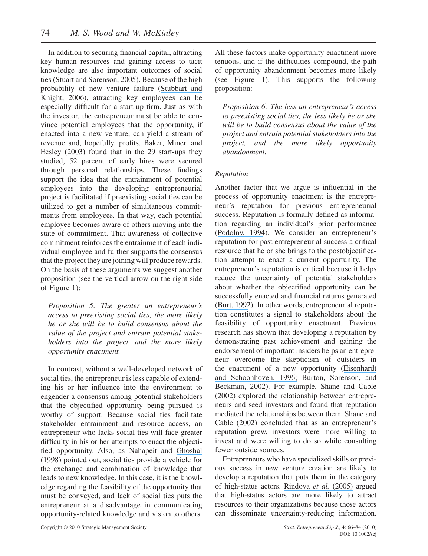In addition to securing financial capital, attracting key human resources and gaining access to tacit knowledge are also important outcomes of social ties (Stuart and Sorenson, 2005). Because of the high probability of new venture failure ([Stubbart and](https://www.researchgate.net/publication/229766679_The_Case_of_the_Disappearing_Firms_Empirical_Evidence_and_Implications?el=1_x_8&enrichId=rgreq-231502218c1c7098ff9d7ac86c528375-XXX&enrichSource=Y292ZXJQYWdlOzIyNzY2MzE1MjtBUzoxMzIyMzcyMTU0MDgxMjlAMTQwODUzOTIxNzI0Mg==)  [Knight, 2006](https://www.researchgate.net/publication/229766679_The_Case_of_the_Disappearing_Firms_Empirical_Evidence_and_Implications?el=1_x_8&enrichId=rgreq-231502218c1c7098ff9d7ac86c528375-XXX&enrichSource=Y292ZXJQYWdlOzIyNzY2MzE1MjtBUzoxMzIyMzcyMTU0MDgxMjlAMTQwODUzOTIxNzI0Mg==)), attracting key employees can be especially difficult for a start-up firm. Just as with the investor, the entrepreneur must be able to convince potential employees that the opportunity, if enacted into a new venture, can yield a stream of revenue and, hopefully, profits. Baker, Miner, and Eesley (2003) found that in the 29 start-ups they studied, 52 percent of early hires were secured through personal relationships. These findings support the idea that the entrainment of potential employees into the developing entrepreneurial project is facilitated if preexisting social ties can be utilized to get a number of simultaneous commitments from employees. In that way, each potential employee becomes aware of others moving into the state of commitment. That awareness of collective commitment reinforces the entrainment of each individual employee and further supports the consensus that the project they are joining will produce rewards. On the basis of these arguments we suggest another proposition (see the vertical arrow on the right side of Figure 1):

*Proposition 5: The greater an entrepreneur's access to preexisting social ties, the more likely he or she will be to build consensus about the value of the project and entrain potential stakeholders into the project, and the more likely opportunity enactment.*

In contrast, without a well-developed network of social ties, the entrepreneur is less capable of extending his or her influence into the environment to engender a consensus among potential stakeholders that the objectified opportunity being pursued is worthy of support. Because social ties facilitate stakeholder entrainment and resource access, an entrepreneur who lacks social ties will face greater difficulty in his or her attempts to enact the objectified opportunity. Also, as Nahapeit and Ghoshal [\(1998\)](https://www.researchgate.net/publication/228314367_Social_Capital_Intellectual_Capital_and_the_Organizational_Advantage?el=1_x_8&enrichId=rgreq-231502218c1c7098ff9d7ac86c528375-XXX&enrichSource=Y292ZXJQYWdlOzIyNzY2MzE1MjtBUzoxMzIyMzcyMTU0MDgxMjlAMTQwODUzOTIxNzI0Mg==) pointed out, social ties provide a vehicle for the exchange and combination of knowledge that leads to new knowledge. In this case, it is the knowledge regarding the feasibility of the opportunity that must be conveyed, and lack of social ties puts the entrepreneur at a disadvantage in communicating opportunity-related knowledge and vision to others.

All these factors make opportunity enactment more tenuous, and if the difficulties compound, the path of opportunity abandonment becomes more likely (see Figure 1). This supports the following proposition:

*Proposition 6: The less an entrepreneur's access to preexisting social ties, the less likely he or she will be to build consensus about the value of the project and entrain potential stakeholders into the project, and the more likely opportunity abandonment.*

#### *Reputation*

Another factor that we argue is influential in the process of opportunity enactment is the entrepreneur's reputation for previous entrepreneurial success. Reputation is formally defined as information regarding an individual's prior performance ([Podolny, 1994](https://www.researchgate.net/publication/238264645_Market_Uncertainty_and_the_Social_Character_of_Social_Exchange?el=1_x_8&enrichId=rgreq-231502218c1c7098ff9d7ac86c528375-XXX&enrichSource=Y292ZXJQYWdlOzIyNzY2MzE1MjtBUzoxMzIyMzcyMTU0MDgxMjlAMTQwODUzOTIxNzI0Mg==)). We consider an entrepreneur's reputation for past entrepreneurial success a critical resource that he or she brings to the postobjectification attempt to enact a current opportunity. The entrepreneur's reputation is critical because it helps reduce the uncertainty of potential stakeholders about whether the objectified opportunity can be successfully enacted and financial returns generated ([Burt, 1992](https://www.researchgate.net/publication/37712036_Structural_Holes_The_Social_Structure_of_Competition?el=1_x_8&enrichId=rgreq-231502218c1c7098ff9d7ac86c528375-XXX&enrichSource=Y292ZXJQYWdlOzIyNzY2MzE1MjtBUzoxMzIyMzcyMTU0MDgxMjlAMTQwODUzOTIxNzI0Mg==)). In other words, entrepreneurial reputation constitutes a signal to stakeholders about the feasibility of opportunity enactment. Previous research has shown that developing a reputation by demonstrating past achievement and gaining the endorsement of important insiders helps an entrepreneur overcome the skepticism of outsiders in the enactment of a new opportunity ([Eisenhardt](https://www.researchgate.net/publication/280800935_Resource-based_View_of_Strategic_Alliance_Formation_Strategic_and_Social_Effects_in_Entrepreneurial_Firms?el=1_x_8&enrichId=rgreq-231502218c1c7098ff9d7ac86c528375-XXX&enrichSource=Y292ZXJQYWdlOzIyNzY2MzE1MjtBUzoxMzIyMzcyMTU0MDgxMjlAMTQwODUzOTIxNzI0Mg==)  [and Schoonhoven, 1996;](https://www.researchgate.net/publication/280800935_Resource-based_View_of_Strategic_Alliance_Formation_Strategic_and_Social_Effects_in_Entrepreneurial_Firms?el=1_x_8&enrichId=rgreq-231502218c1c7098ff9d7ac86c528375-XXX&enrichSource=Y292ZXJQYWdlOzIyNzY2MzE1MjtBUzoxMzIyMzcyMTU0MDgxMjlAMTQwODUzOTIxNzI0Mg==) Burton, Sorenson, and Beckman, 2002). For example, Shane and Cable (2002) explored the relationship between entrepreneurs and seed investors and found that reputation mediated the relationships between them. Shane and [Cable \(2002\)](https://www.researchgate.net/publication/284401749_Network_ties_reputation_and_the_financing_of_new_ventures?el=1_x_8&enrichId=rgreq-231502218c1c7098ff9d7ac86c528375-XXX&enrichSource=Y292ZXJQYWdlOzIyNzY2MzE1MjtBUzoxMzIyMzcyMTU0MDgxMjlAMTQwODUzOTIxNzI0Mg==) concluded that as an entrepreneur's reputation grew, investors were more willing to invest and were willing to do so while consulting fewer outside sources.

Entrepreneurs who have specialized skills or previous success in new venture creation are likely to develop a reputation that puts them in the category of high-status actors. [Rindova](https://www.researchgate.net/publication/242206867_Being_good_or_being_known_An_empirical_examination_of_the_dimensions_antecedents_and_consequences_of_organizational_reputation?el=1_x_8&enrichId=rgreq-231502218c1c7098ff9d7ac86c528375-XXX&enrichSource=Y292ZXJQYWdlOzIyNzY2MzE1MjtBUzoxMzIyMzcyMTU0MDgxMjlAMTQwODUzOTIxNzI0Mg==) *et al.* (2005) argued that high-status actors are more likely to attract resources to their organizations because those actors can disseminate uncertainty-reducing information.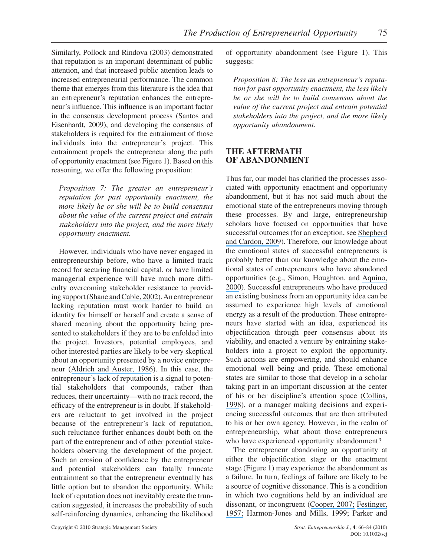Similarly, Pollock and Rindova (2003) demonstrated that reputation is an important determinant of public attention, and that increased public attention leads to increased entrepreneurial performance. The common theme that emerges from this literature is the idea that an entrepreneur's reputation enhances the entrepreneur's influence. This influence is an important factor in the consensus development process (Santos and Eisenhardt, 2009), and developing the consensus of stakeholders is required for the entrainment of those individuals into the entrepreneur's project. This entrainment propels the entrepreneur along the path of opportunity enactment (see Figure 1). Based on this reasoning, we offer the following proposition:

*Proposition 7: The greater an entrepreneur's reputation for past opportunity enactment, the more likely he or she will be to build consensus about the value of the current project and entrain stakeholders into the project, and the more likely opportunity enactment.*

However, individuals who have never engaged in entrepreneurship before, who have a limited track record for securing financial capital, or have limited managerial experience will have much more difficulty overcoming stakeholder resistance to providing support ([Shane and Cable, 2002](https://www.researchgate.net/publication/284401749_Network_ties_reputation_and_the_financing_of_new_ventures?el=1_x_8&enrichId=rgreq-231502218c1c7098ff9d7ac86c528375-XXX&enrichSource=Y292ZXJQYWdlOzIyNzY2MzE1MjtBUzoxMzIyMzcyMTU0MDgxMjlAMTQwODUzOTIxNzI0Mg==)). An entrepreneur lacking reputation must work harder to build an identity for himself or herself and create a sense of shared meaning about the opportunity being presented to stakeholders if they are to be enfolded into the project. Investors, potential employees, and other interested parties are likely to be very skeptical about an opportunity presented by a novice entrepreneur ([Aldrich and Auster, 1986](https://www.researchgate.net/publication/228221131_Even_Dwarfs_Started_Small_Liabilities_of_Age_and_Size_and_Their_Strategic_Implications?el=1_x_8&enrichId=rgreq-231502218c1c7098ff9d7ac86c528375-XXX&enrichSource=Y292ZXJQYWdlOzIyNzY2MzE1MjtBUzoxMzIyMzcyMTU0MDgxMjlAMTQwODUzOTIxNzI0Mg==)). In this case, the entrepreneur's lack of reputation is a signal to potential stakeholders that compounds, rather than reduces, their uncertainty—with no track record, the efficacy of the entrepreneur is in doubt. If stakeholders are reluctant to get involved in the project because of the entrepreneur's lack of reputation, such reluctance further enhances doubt both on the part of the entrepreneur and of other potential stakeholders observing the development of the project. Such an erosion of confidence by the entrepreneur and potential stakeholders can fatally truncate entrainment so that the entrepreneur eventually has little option but to abandon the opportunity. While lack of reputation does not inevitably create the truncation suggested, it increases the probability of such self-reinforcing dynamics, enhancing the likelihood

of opportunity abandonment (see Figure 1). This suggests:

*Proposition 8: The less an entrepreneur's reputation for past opportunity enactment, the less likely he or she will be to build consensus about the value of the current project and entrain potential stakeholders into the project, and the more likely opportunity abandonment.*

# **THE AFTERMATH OF ABANDONMENT**

Thus far, our model has clarified the processes associated with opportunity enactment and opportunity abandonment, but it has not said much about the emotional state of the entrepreneurs moving through these processes. By and large, entrepreneurship scholars have focused on opportunities that have successful outcomes (for an exception, see [Shepherd](https://www.researchgate.net/publication/46540521_Negative_Emotional_Reactions_to_Project_Failure_and_the_Self-Compassion_to_Learn_from_the_Experience?el=1_x_8&enrichId=rgreq-231502218c1c7098ff9d7ac86c528375-XXX&enrichSource=Y292ZXJQYWdlOzIyNzY2MzE1MjtBUzoxMzIyMzcyMTU0MDgxMjlAMTQwODUzOTIxNzI0Mg==) [and Cardon, 2009](https://www.researchgate.net/publication/46540521_Negative_Emotional_Reactions_to_Project_Failure_and_the_Self-Compassion_to_Learn_from_the_Experience?el=1_x_8&enrichId=rgreq-231502218c1c7098ff9d7ac86c528375-XXX&enrichSource=Y292ZXJQYWdlOzIyNzY2MzE1MjtBUzoxMzIyMzcyMTU0MDgxMjlAMTQwODUzOTIxNzI0Mg==)). Therefore, our knowledge about the emotional states of successful entrepreneurs is probably better than our knowledge about the emotional states of entrepreneurs who have abandoned opportunities (e.g., Simon, Houghton, and [Aquino,](https://www.researchgate.net/publication/222181122_Cognitive_biases_risk_perception_and_venture_formation_How_individuals_decide_to_start_companies?el=1_x_8&enrichId=rgreq-231502218c1c7098ff9d7ac86c528375-XXX&enrichSource=Y292ZXJQYWdlOzIyNzY2MzE1MjtBUzoxMzIyMzcyMTU0MDgxMjlAMTQwODUzOTIxNzI0Mg==) [2000](https://www.researchgate.net/publication/222181122_Cognitive_biases_risk_perception_and_venture_formation_How_individuals_decide_to_start_companies?el=1_x_8&enrichId=rgreq-231502218c1c7098ff9d7ac86c528375-XXX&enrichSource=Y292ZXJQYWdlOzIyNzY2MzE1MjtBUzoxMzIyMzcyMTU0MDgxMjlAMTQwODUzOTIxNzI0Mg==)). Successful entrepreneurs who have produced an existing business from an opportunity idea can be assumed to experience high levels of emotional energy as a result of the production. These entrepreneurs have started with an idea, experienced its objectification through peer consensus about its viability, and enacted a venture by entraining stakeholders into a project to exploit the opportunity. Such actions are empowering, and should enhance emotional well being and pride. These emotional states are similar to those that develop in a scholar taking part in an important discussion at the center of his or her discipline's attention space ([Collins,](https://www.researchgate.net/publication/248017386_The_Sociology_of_Philosophies_A_global_theory_of_intellectual_change?el=1_x_8&enrichId=rgreq-231502218c1c7098ff9d7ac86c528375-XXX&enrichSource=Y292ZXJQYWdlOzIyNzY2MzE1MjtBUzoxMzIyMzcyMTU0MDgxMjlAMTQwODUzOTIxNzI0Mg==) [1998](https://www.researchgate.net/publication/248017386_The_Sociology_of_Philosophies_A_global_theory_of_intellectual_change?el=1_x_8&enrichId=rgreq-231502218c1c7098ff9d7ac86c528375-XXX&enrichSource=Y292ZXJQYWdlOzIyNzY2MzE1MjtBUzoxMzIyMzcyMTU0MDgxMjlAMTQwODUzOTIxNzI0Mg==)), or a manager making decisions and experiencing successful outcomes that are then attributed to his or her own agency. However, in the realm of entrepreneurship, what about those entrepreneurs who have experienced opportunity abandonment?

The entrepreneur abandoning an opportunity at either the objectification stage or the enactment stage (Figure 1) may experience the abandonment as a failure. In turn, feelings of failure are likely to be a source of cognitive dissonance. This is a condition in which two cognitions held by an individual are dissonant, or incongruent ([Cooper, 2007;](https://www.researchgate.net/publication/292654308_Cognitive_Dissonance_Fifty_Years_of_a_Classic_Theory?el=1_x_8&enrichId=rgreq-231502218c1c7098ff9d7ac86c528375-XXX&enrichSource=Y292ZXJQYWdlOzIyNzY2MzE1MjtBUzoxMzIyMzcyMTU0MDgxMjlAMTQwODUzOTIxNzI0Mg==) [Festinger,](https://www.researchgate.net/publication/245112135_A_Theory_of_Cognitive_Dissonance?el=1_x_8&enrichId=rgreq-231502218c1c7098ff9d7ac86c528375-XXX&enrichSource=Y292ZXJQYWdlOzIyNzY2MzE1MjtBUzoxMzIyMzcyMTU0MDgxMjlAMTQwODUzOTIxNzI0Mg==) [1957;](https://www.researchgate.net/publication/245112135_A_Theory_of_Cognitive_Dissonance?el=1_x_8&enrichId=rgreq-231502218c1c7098ff9d7ac86c528375-XXX&enrichSource=Y292ZXJQYWdlOzIyNzY2MzE1MjtBUzoxMzIyMzcyMTU0MDgxMjlAMTQwODUzOTIxNzI0Mg==) Harmon-Jones and Mills, 1999; Parker and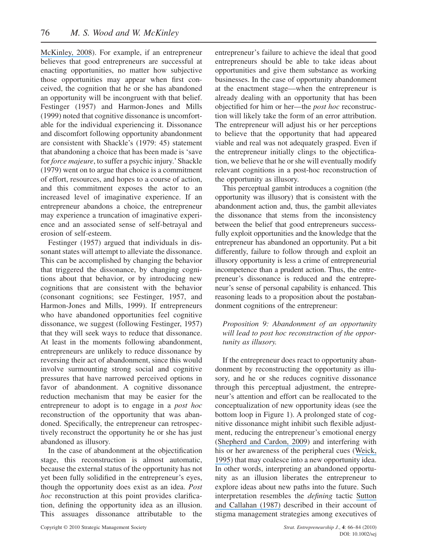[McKinley, 2008](https://www.researchgate.net/publication/247784921_Layoff_AgencyA_Theoretical_Framework?el=1_x_8&enrichId=rgreq-231502218c1c7098ff9d7ac86c528375-XXX&enrichSource=Y292ZXJQYWdlOzIyNzY2MzE1MjtBUzoxMzIyMzcyMTU0MDgxMjlAMTQwODUzOTIxNzI0Mg==)). For example, if an entrepreneur believes that good entrepreneurs are successful at enacting opportunities, no matter how subjective those opportunities may appear when first conceived, the cognition that he or she has abandoned an opportunity will be incongruent with that belief. Festinger (1957) and Harmon-Jones and Mills (1999) noted that cognitive dissonance is uncomfortable for the individual experiencing it. Dissonance and discomfort following opportunity abandonment are consistent with Shackle's (1979: 45) statement that abandoning a choice that has been made is 'save for *force majeure*, to suffer a psychic injury.' Shackle (1979) went on to argue that choice is a commitment of effort, resources, and hopes to a course of action, and this commitment exposes the actor to an increased level of imaginative experience. If an entrepreneur abandons a choice, the entrepreneur may experience a truncation of imaginative experience and an associated sense of self-betrayal and erosion of self-esteem.

Festinger (1957) argued that individuals in dissonant states will attempt to alleviate the dissonance. This can be accomplished by changing the behavior that triggered the dissonance, by changing cognitions about that behavior, or by introducing new cognitions that are consistent with the behavior (consonant cognitions; see Festinger, 1957, and Harmon-Jones and Mills, 1999). If entrepreneurs who have abandoned opportunities feel cognitive dissonance, we suggest (following Festinger, 1957) that they will seek ways to reduce that dissonance. At least in the moments following abandonment, entrepreneurs are unlikely to reduce dissonance by reversing their act of abandonment, since this would involve surmounting strong social and cognitive pressures that have narrowed perceived options in favor of abandonment. A cognitive dissonance reduction mechanism that may be easier for the entrepreneur to adopt is to engage in a *post hoc* reconstruction of the opportunity that was abandoned. Specifically, the entrepreneur can retrospectively reconstruct the opportunity he or she has just abandoned as illusory.

In the case of abandonment at the objectification stage, this reconstruction is almost automatic, because the external status of the opportunity has not yet been fully solidified in the entrepreneur's eyes, though the opportunity does exist as an idea. *Post hoc* reconstruction at this point provides clarification, defining the opportunity idea as an illusion. This assuages dissonance attributable to the

entrepreneur's failure to achieve the ideal that good entrepreneurs should be able to take ideas about opportunities and give them substance as working businesses. In the case of opportunity abandonment at the enactment stage—when the entrepreneur is already dealing with an opportunity that has been objectified for him or her—the *post hoc* reconstruction will likely take the form of an error attribution. The entrepreneur will adjust his or her perceptions to believe that the opportunity that had appeared viable and real was not adequately grasped. Even if the entrepreneur initially clings to the objectification, we believe that he or she will eventually modify relevant cognitions in a post-hoc reconstruction of the opportunity as illusory.

This perceptual gambit introduces a cognition (the opportunity was illusory) that is consistent with the abandonment action and, thus, the gambit alleviates the dissonance that stems from the inconsistency between the belief that good entrepreneurs successfully exploit opportunities and the knowledge that the entrepreneur has abandoned an opportunity. Put a bit differently, failure to follow through and exploit an illusory opportunity is less a crime of entrepreneurial incompetence than a prudent action. Thus, the entrepreneur's dissonance is reduced and the entrepreneur's sense of personal capability is enhanced. This reasoning leads to a proposition about the postabandonment cognitions of the entrepreneur:

### *Proposition 9: Abandonment of an opportunity will lead to post hoc reconstruction of the opportunity as illusory.*

If the entrepreneur does react to opportunity abandonment by reconstructing the opportunity as illusory, and he or she reduces cognitive dissonance through this perceptual adjustment, the entrepreneur's attention and effort can be reallocated to the conceptualization of new opportunity ideas (see the bottom loop in Figure 1). A prolonged state of cognitive dissonance might inhibit such flexible adjustment, reducing the entrepreneur's emotional energy ([Shepherd and Cardon, 2009](https://www.researchgate.net/publication/46540521_Negative_Emotional_Reactions_to_Project_Failure_and_the_Self-Compassion_to_Learn_from_the_Experience?el=1_x_8&enrichId=rgreq-231502218c1c7098ff9d7ac86c528375-XXX&enrichSource=Y292ZXJQYWdlOzIyNzY2MzE1MjtBUzoxMzIyMzcyMTU0MDgxMjlAMTQwODUzOTIxNzI0Mg==)) and interfering with his or her awareness of the peripheral cues ([Weick,](https://www.researchgate.net/publication/215484609_Sensemaking_in_Organizations?el=1_x_8&enrichId=rgreq-231502218c1c7098ff9d7ac86c528375-XXX&enrichSource=Y292ZXJQYWdlOzIyNzY2MzE1MjtBUzoxMzIyMzcyMTU0MDgxMjlAMTQwODUzOTIxNzI0Mg==)  [1995](https://www.researchgate.net/publication/215484609_Sensemaking_in_Organizations?el=1_x_8&enrichId=rgreq-231502218c1c7098ff9d7ac86c528375-XXX&enrichSource=Y292ZXJQYWdlOzIyNzY2MzE1MjtBUzoxMzIyMzcyMTU0MDgxMjlAMTQwODUzOTIxNzI0Mg==)) that may coalesce into a new opportunity idea. In other words, interpreting an abandoned opportunity as an illusion liberates the entrepreneur to explore ideas about new paths into the future. Such interpretation resembles the *defining* tactic Sutton [and Callahan \(1987\)](https://www.researchgate.net/publication/269740584_) described in their account of stigma management strategies among executives of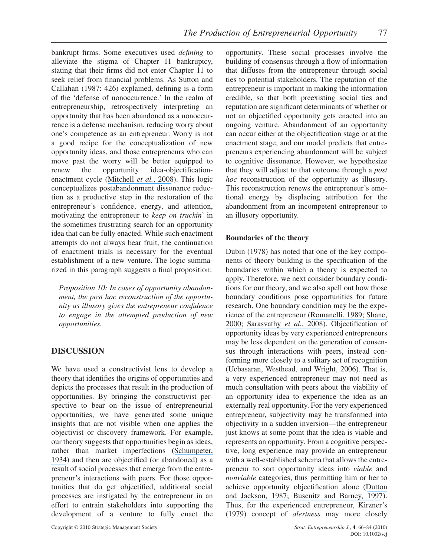bankrupt firms. Some executives used *defining* to alleviate the stigma of Chapter 11 bankruptcy, stating that their firms did not enter Chapter 11 to seek relief from financial problems. As Sutton and Callahan  $(1987: 426)$  explained, defining is a form of the 'defense of nonoccurrence.' In the realm of entrepreneurship, retrospectively interpreting an opportunity that has been abandoned as a nonoccurrence is a defense mechanism, reducing worry about one's competence as an entrepreneur. Worry is not a good recipe for the conceptualization of new opportunity ideas, and those entrepreneurs who can move past the worry will be better equipped to renew the opportunity idea-objectificationenactment cycle ([Mitchell](https://www.researchgate.net/publication/227669004_Inside_Opportunity_Formation_Enterprise_Failure_Cognition_and_the_Creation_of_Opportunities?el=1_x_8&enrichId=rgreq-231502218c1c7098ff9d7ac86c528375-XXX&enrichSource=Y292ZXJQYWdlOzIyNzY2MzE1MjtBUzoxMzIyMzcyMTU0MDgxMjlAMTQwODUzOTIxNzI0Mg==) *et al.*, 2008). This logic conceptualizes postabandonment dissonance reduction as a productive step in the restoration of the entrepreneur's confidence, energy, and attention, motivating the entrepreneur to *keep on truckin*' in the sometimes frustrating search for an opportunity idea that can be fully enacted. While such enactment attempts do not always bear fruit, the continuation of enactment trials is necessary for the eventual establishment of a new venture. The logic summarized in this paragraph suggests a final proposition:

*Proposition 10: In cases of opportunity abandonment, the post hoc reconstruction of the opportunity as illusory gives the entrepreneur confidence to engage in the attempted production of new opportunities.*

# **DISCUSSION**

We have used a constructivist lens to develop a theory that identifies the origins of opportunities and depicts the processes that result in the production of opportunities. By bringing the constructivist perspective to bear on the issue of entrepreneurial opportunities, we have generated some unique insights that are not visible when one applies the objectivist or discovery framework. For example, our theory suggests that opportunities begin as ideas, rather than market imperfections ([Schumpeter,](https://www.researchgate.net/publication/235362880_The_Theory_Of_Economic_Development?el=1_x_8&enrichId=rgreq-231502218c1c7098ff9d7ac86c528375-XXX&enrichSource=Y292ZXJQYWdlOzIyNzY2MzE1MjtBUzoxMzIyMzcyMTU0MDgxMjlAMTQwODUzOTIxNzI0Mg==) [1934](https://www.researchgate.net/publication/235362880_The_Theory_Of_Economic_Development?el=1_x_8&enrichId=rgreq-231502218c1c7098ff9d7ac86c528375-XXX&enrichSource=Y292ZXJQYWdlOzIyNzY2MzE1MjtBUzoxMzIyMzcyMTU0MDgxMjlAMTQwODUzOTIxNzI0Mg==)) and then are objectified (or abandoned) as a result of social processes that emerge from the entrepreneur's interactions with peers. For those opportunities that do get objectified, additional social processes are instigated by the entrepreneur in an effort to entrain stakeholders into supporting the development of a venture to fully enact the opportunity. These social processes involve the building of consensus through a flow of information that diffuses from the entrepreneur through social ties to potential stakeholders. The reputation of the entrepreneur is important in making the information credible, so that both preexisting social ties and reputation are significant determinants of whether or not an objectified opportunity gets enacted into an ongoing venture. Abandonment of an opportunity can occur either at the objectification stage or at the enactment stage, and our model predicts that entrepreneurs experiencing abandonment will be subject to cognitive dissonance. However, we hypothesize that they will adjust to that outcome through a *post hoc* reconstruction of the opportunity as illusory. This reconstruction renews the entrepreneur's emotional energy by displacing attribution for the abandonment from an incompetent entrepreneur to an illusory opportunity.

### **Boundaries of the theory**

Dubin (1978) has noted that one of the key components of theory building is the specification of the boundaries within which a theory is expected to apply. Therefore, we next consider boundary conditions for our theory, and we also spell out how those boundary conditions pose opportunities for future research. One boundary condition may be the experience of the entrepreneur ([Romanelli, 1989;](https://www.researchgate.net/publication/247083098_Organization_birth_and_population_variety_A_community_perspective_on_origins?el=1_x_8&enrichId=rgreq-231502218c1c7098ff9d7ac86c528375-XXX&enrichSource=Y292ZXJQYWdlOzIyNzY2MzE1MjtBUzoxMzIyMzcyMTU0MDgxMjlAMTQwODUzOTIxNzI0Mg==) [Shane,](https://www.researchgate.net/publication/284490155_Prior_Knowledge_and_the_Discovery_of_Entrepreneurial_Opportunities?el=1_x_8&enrichId=rgreq-231502218c1c7098ff9d7ac86c528375-XXX&enrichSource=Y292ZXJQYWdlOzIyNzY2MzE1MjtBUzoxMzIyMzcyMTU0MDgxMjlAMTQwODUzOTIxNzI0Mg==) [2000;](https://www.researchgate.net/publication/284490155_Prior_Knowledge_and_the_Discovery_of_Entrepreneurial_Opportunities?el=1_x_8&enrichId=rgreq-231502218c1c7098ff9d7ac86c528375-XXX&enrichSource=Y292ZXJQYWdlOzIyNzY2MzE1MjtBUzoxMzIyMzcyMTU0MDgxMjlAMTQwODUzOTIxNzI0Mg==) [Sarasvathy](https://www.researchgate.net/publication/228264427_Designing_Organizations_that_Design_Environments_Lessons_from_Entrepreneurial_Expertise?el=1_x_8&enrichId=rgreq-231502218c1c7098ff9d7ac86c528375-XXX&enrichSource=Y292ZXJQYWdlOzIyNzY2MzE1MjtBUzoxMzIyMzcyMTU0MDgxMjlAMTQwODUzOTIxNzI0Mg==) *et al.*, 2008). Objectification of opportunity ideas by very experienced entrepreneurs may be less dependent on the generation of consensus through interactions with peers, instead conforming more closely to a solitary act of recognition (Ucbasaran, Westhead, and Wright, 2006). That is, a very experienced entrepreneur may not need as much consultation with peers about the viability of an opportunity idea to experience the idea as an externally real opportunity. For the very experienced entrepreneur, subjectivity may be transformed into objectivity in a sudden inversion—the entrepreneur just knows at some point that the idea is viable and represents an opportunity. From a cognitive perspective, long experience may provide an entrepreneur with a well-established schema that allows the entrepreneur to sort opportunity ideas into *viable* and *nonviable* categories, thus permitting him or her to achieve opportunity objectification alone ([Dutton](https://www.researchgate.net/publication/243782829_Categorizing_Strategic_Issues_Links_to_Organizational_Action?el=1_x_8&enrichId=rgreq-231502218c1c7098ff9d7ac86c528375-XXX&enrichSource=Y292ZXJQYWdlOzIyNzY2MzE1MjtBUzoxMzIyMzcyMTU0MDgxMjlAMTQwODUzOTIxNzI0Mg==) [and Jackson, 1987;](https://www.researchgate.net/publication/243782829_Categorizing_Strategic_Issues_Links_to_Organizational_Action?el=1_x_8&enrichId=rgreq-231502218c1c7098ff9d7ac86c528375-XXX&enrichSource=Y292ZXJQYWdlOzIyNzY2MzE1MjtBUzoxMzIyMzcyMTU0MDgxMjlAMTQwODUzOTIxNzI0Mg==) [Busenitz and Barney, 1997](https://www.researchgate.net/publication/4967779_Differences_Between_Entrepreneurs_and_Managers_in_Large_Organizations_Biases_and_Heuristics_in_Strategic_Decision-Making?el=1_x_8&enrichId=rgreq-231502218c1c7098ff9d7ac86c528375-XXX&enrichSource=Y292ZXJQYWdlOzIyNzY2MzE1MjtBUzoxMzIyMzcyMTU0MDgxMjlAMTQwODUzOTIxNzI0Mg==)). Thus, for the experienced entrepreneur, Kirzner's (1979) concept of *alertness* may more closely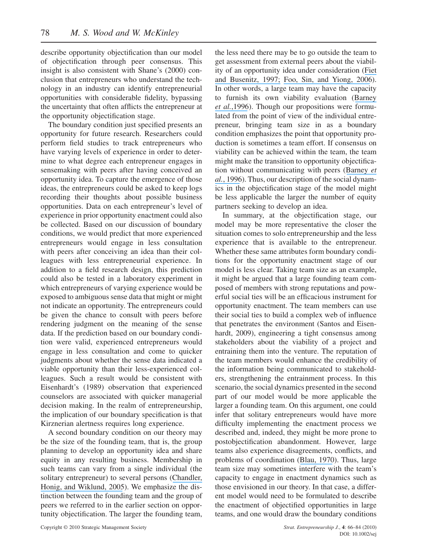describe opportunity objectification than our model of objectification through peer consensus. This insight is also consistent with Shane's (2000) conclusion that entrepreneurs who understand the technology in an industry can identify entrepreneurial opportunities with considerable fidelity, bypassing the uncertainty that often afflicts the entrepreneur at the opportunity objectification stage.

The boundary condition just specified presents an opportunity for future research. Researchers could perform field studies to track entrepreneurs who have varying levels of experience in order to determine to what degree each entrepreneur engages in sensemaking with peers after having conceived an opportunity idea. To capture the emergence of those ideas, the entrepreneurs could be asked to keep logs recording their thoughts about possible business opportunities. Data on each entrepreneur's level of experience in prior opportunity enactment could also be collected. Based on our discussion of boundary conditions, we would predict that more experienced entrepreneurs would engage in less consultation with peers after conceiving an idea than their colleagues with less entrepreneurial experience. In addition to a field research design, this prediction could also be tested in a laboratory experiment in which entrepreneurs of varying experience would be exposed to ambiguous sense data that might or might not indicate an opportunity. The entrepreneurs could be given the chance to consult with peers before rendering judgment on the meaning of the sense data. If the prediction based on our boundary condition were valid, experienced entrepreneurs would engage in less consultation and come to quicker judgments about whether the sense data indicated a viable opportunity than their less-experienced colleagues. Such a result would be consistent with Eisenhardt's (1989) observation that experienced counselors are associated with quicker managerial decision making. In the realm of entrepreneurship, the implication of our boundary specification is that Kirznerian alertness requires long experience.

A second boundary condition on our theory may be the size of the founding team, that is, the group planning to develop an opportunity idea and share equity in any resulting business. Membership in such teams can vary from a single individual (the solitary entrepreneur) to several persons ([Chandler,](https://www.researchgate.net/publication/222538733_Antecedents_Moderators_and_Performance_Consequences_of_Membership_Change_in_New_Venture_Teams?el=1_x_8&enrichId=rgreq-231502218c1c7098ff9d7ac86c528375-XXX&enrichSource=Y292ZXJQYWdlOzIyNzY2MzE1MjtBUzoxMzIyMzcyMTU0MDgxMjlAMTQwODUzOTIxNzI0Mg==)  [Honig, and Wiklund, 2005](https://www.researchgate.net/publication/222538733_Antecedents_Moderators_and_Performance_Consequences_of_Membership_Change_in_New_Venture_Teams?el=1_x_8&enrichId=rgreq-231502218c1c7098ff9d7ac86c528375-XXX&enrichSource=Y292ZXJQYWdlOzIyNzY2MzE1MjtBUzoxMzIyMzcyMTU0MDgxMjlAMTQwODUzOTIxNzI0Mg==)). We emphasize the distinction between the founding team and the group of peers we referred to in the earlier section on opportunity objectification. The larger the founding team,

the less need there may be to go outside the team to get assessment from external peers about the viability of an opportunity idea under consideration ([Fiet](https://www.researchgate.net/publication/236843235_Complementary_theoretical_perspectives_on_the_dismissal_of_new_venture_teams?el=1_x_8&enrichId=rgreq-231502218c1c7098ff9d7ac86c528375-XXX&enrichSource=Y292ZXJQYWdlOzIyNzY2MzE1MjtBUzoxMzIyMzcyMTU0MDgxMjlAMTQwODUzOTIxNzI0Mg==)  [and Busenitz, 1997;](https://www.researchgate.net/publication/236843235_Complementary_theoretical_perspectives_on_the_dismissal_of_new_venture_teams?el=1_x_8&enrichId=rgreq-231502218c1c7098ff9d7ac86c528375-XXX&enrichSource=Y292ZXJQYWdlOzIyNzY2MzE1MjtBUzoxMzIyMzcyMTU0MDgxMjlAMTQwODUzOTIxNzI0Mg==) [Foo, Sin, and Yiong, 2006](https://www.researchgate.net/publication/229923154_Effects_of_Team_Inputs_and_Intrateam_Processes_on_Perceptions_of_Team_Viability_and_Member_Satisfaction_in_Nascent_Ventures?el=1_x_8&enrichId=rgreq-231502218c1c7098ff9d7ac86c528375-XXX&enrichSource=Y292ZXJQYWdlOzIyNzY2MzE1MjtBUzoxMzIyMzcyMTU0MDgxMjlAMTQwODUzOTIxNzI0Mg==)). In other words, a large team may have the capacity to furnish its own viability evaluation ([Barney](https://www.researchgate.net/publication/223242490_New_Venture_Teams)  *[et al.](https://www.researchgate.net/publication/223242490_New_Venture_Teams)*,1996). Though our propositions were formulated from the point of view of the individual entrepreneur, bringing team size in as a boundary condition emphasizes the point that opportunity production is sometimes a team effort. If consensus on viability can be achieved within the team, the team might make the transition to opportunity objectification without communicating with peers ([Barney](https://www.researchgate.net/publication/223242490_New_Venture_Teams) *et al.*[, 1996](https://www.researchgate.net/publication/223242490_New_Venture_Teams)). Thus, our description of the social dynamics in the objectification stage of the model might be less applicable the larger the number of equity partners seeking to develop an idea.

In summary, at the objectification stage, our model may be more representative the closer the situation comes to solo entrepreneurship and the less experience that is available to the entrepreneur. Whether these same attributes form boundary conditions for the opportunity enactment stage of our model is less clear. Taking team size as an example, it might be argued that a large founding team composed of members with strong reputations and powerful social ties will be an efficacious instrument for opportunity enactment. The team members can use their social ties to build a complex web of influence that penetrates the environment (Santos and Eisenhardt, 2009), engineering a tight consensus among stakeholders about the viability of a project and entraining them into the venture. The reputation of the team members would enhance the credibility of the information being communicated to stakeholders, strengthening the entrainment process. In this scenario, the social dynamics presented in the second part of our model would be more applicable the larger a founding team. On this argument, one could infer that solitary entrepreneurs would have more difficulty implementing the enactment process we described and, indeed, they might be more prone to postobjectification abandonment. However, large teams also experience disagreements, conflicts, and problems of coordination ([Blau, 1970](https://www.researchgate.net/publication/242564543_A_Formal_Theory_of_Differentiation_in_Organizations?el=1_x_8&enrichId=rgreq-231502218c1c7098ff9d7ac86c528375-XXX&enrichSource=Y292ZXJQYWdlOzIyNzY2MzE1MjtBUzoxMzIyMzcyMTU0MDgxMjlAMTQwODUzOTIxNzI0Mg==)). Thus, large team size may sometimes interfere with the team's capacity to engage in enactment dynamics such as those envisioned in our theory. In that case, a different model would need to be formulated to describe the enactment of objectified opportunities in large teams, and one would draw the boundary conditions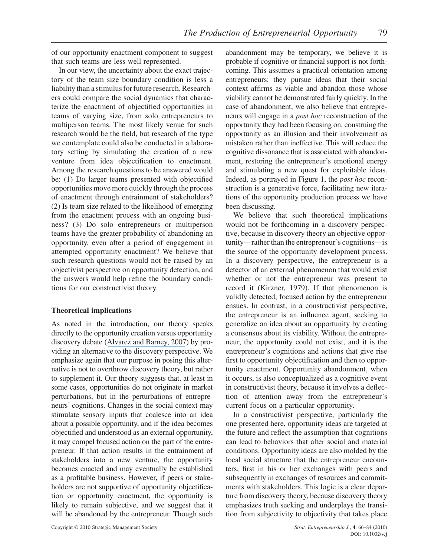of our opportunity enactment component to suggest that such teams are less well represented.

In our view, the uncertainty about the exact trajectory of the team size boundary condition is less a liability than a stimulus for future research. Researchers could compare the social dynamics that characterize the enactment of objectified opportunities in teams of varying size, from solo entrepreneurs to multiperson teams. The most likely venue for such research would be the field, but research of the type we contemplate could also be conducted in a laboratory setting by simulating the creation of a new venture from idea objectification to enactment. Among the research questions to be answered would be: (1) Do larger teams presented with objectified opportunities move more quickly through the process of enactment through entrainment of stakeholders? (2) Is team size related to the likelihood of emerging from the enactment process with an ongoing business? (3) Do solo entrepreneurs or multiperson teams have the greater probability of abandoning an opportunity, even after a period of engagement in attempted opportunity enactment? We believe that such research questions would not be raised by an objectivist perspective on opportunity detection, and the answers would help refine the boundary conditions for our constructivist theory.

#### **Theoretical implications**

As noted in the introduction, our theory speaks directly to the opportunity creation versus opportunity discovery debate ([Alvarez and Barney, 2007](https://www.researchgate.net/publication/228143089_Discovery_and_Creation_Alternative_Theories_of_Entrepreneurial_Action?el=1_x_8&enrichId=rgreq-231502218c1c7098ff9d7ac86c528375-XXX&enrichSource=Y292ZXJQYWdlOzIyNzY2MzE1MjtBUzoxMzIyMzcyMTU0MDgxMjlAMTQwODUzOTIxNzI0Mg==)) by providing an alternative to the discovery perspective. We emphasize again that our purpose in posing this alternative is not to overthrow discovery theory, but rather to supplement it. Our theory suggests that, at least in some cases, opportunities do not originate in market perturbations, but in the perturbations of entrepreneurs' cognitions. Changes in the social context may stimulate sensory inputs that coalesce into an idea about a possible opportunity, and if the idea becomes objectified and understood as an external opportunity, it may compel focused action on the part of the entrepreneur. If that action results in the entrainment of stakeholders into a new venture, the opportunity becomes enacted and may eventually be established as a profitable business. However, if peers or stakeholders are not supportive of opportunity objectification or opportunity enactment, the opportunity is likely to remain subjective, and we suggest that it will be abandoned by the entrepreneur. Though such abandonment may be temporary, we believe it is probable if cognitive or financial support is not forthcoming. This assumes a practical orientation among entrepreneurs: they pursue ideas that their social context affirms as viable and abandon those whose viability cannot be demonstrated fairly quickly. In the case of abandonment, we also believe that entrepreneurs will engage in a *post hoc* reconstruction of the opportunity they had been focusing on, construing the opportunity as an illusion and their involvement as mistaken rather than ineffective. This will reduce the cognitive dissonance that is associated with abandonment, restoring the entrepreneur's emotional energy and stimulating a new quest for exploitable ideas. Indeed, as portrayed in Figure 1, the *post hoc* reconstruction is a generative force, facilitating new iterations of the opportunity production process we have been discussing.

We believe that such theoretical implications would not be forthcoming in a discovery perspective, because in discovery theory an objective opportunity—rather than the entrepreneur's cognitions—is the source of the opportunity development process. In a discovery perspective, the entrepreneur is a detector of an external phenomenon that would exist whether or not the entrepreneur was present to record it (Kirzner, 1979). If that phenomenon is validly detected, focused action by the entrepreneur ensues. In contrast, in a constructivist perspective, the entrepreneur is an influence agent, seeking to generalize an idea about an opportunity by creating a consensus about its viability. Without the entrepreneur, the opportunity could not exist, and it is the entrepreneur's cognitions and actions that give rise first to opportunity objectification and then to opportunity enactment. Opportunity abandonment, when it occurs, is also conceptualized as a cognitive event in constructivist theory, because it involves a deflection of attention away from the entrepreneur's current focus on a particular opportunity.

In a constructivist perspective, particularly the one presented here, opportunity ideas are targeted at the future and reflect the assumption that cognitions can lead to behaviors that alter social and material conditions. Opportunity ideas are also molded by the local social structure that the entrepreneur encounters, first in his or her exchanges with peers and subsequently in exchanges of resources and commitments with stakeholders. This logic is a clear departure from discovery theory, because discovery theory emphasizes truth seeking and underplays the transition from subjectivity to objectivity that takes place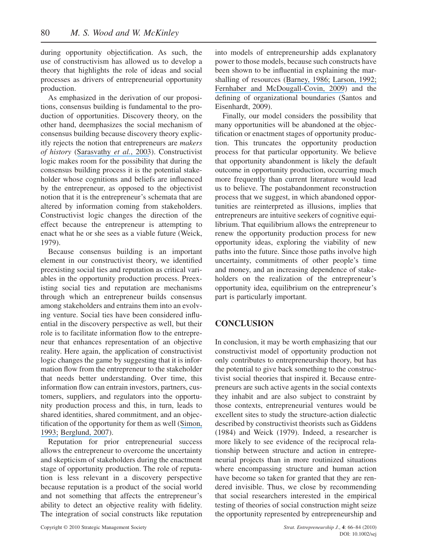during opportunity objectification. As such, the use of constructivism has allowed us to develop a theory that highlights the role of ideas and social processes as drivers of entrepreneurial opportunity production.

As emphasized in the derivation of our propositions, consensus building is fundamental to the production of opportunities. Discovery theory, on the other hand, deemphasizes the social mechanism of consensus building because discovery theory explicitly rejects the notion that entrepreneurs are *makers of history* ([Sarasvathy](https://www.researchgate.net/publication/226721608_Three_Views_of_Entrepreneurial_Opportunity?el=1_x_8&enrichId=rgreq-231502218c1c7098ff9d7ac86c528375-XXX&enrichSource=Y292ZXJQYWdlOzIyNzY2MzE1MjtBUzoxMzIyMzcyMTU0MDgxMjlAMTQwODUzOTIxNzI0Mg==) *et al.*, 2003). Constructivist logic makes room for the possibility that during the consensus building process it is the potential stakeholder whose cognitions and beliefs are influenced by the entrepreneur, as opposed to the objectivist notion that it is the entrepreneur's schemata that are altered by information coming from stakeholders. Constructivist logic changes the direction of the effect because the entrepreneur is attempting to enact what he or she sees as a viable future (Weick, 1979).

Because consensus building is an important element in our constructivist theory, we identified preexisting social ties and reputation as critical variables in the opportunity production process. Preexisting social ties and reputation are mechanisms through which an entrepreneur builds consensus among stakeholders and entrains them into an evolving venture. Social ties have been considered influential in the discovery perspective as well, but their role is to facilitate information flow to the entrepreneur that enhances representation of an objective reality. Here again, the application of constructivist logic changes the game by suggesting that it is information flow from the entrepreneur to the stakeholder that needs better understanding. Over time, this information flow can entrain investors, partners, customers, suppliers, and regulators into the opportunity production process and this, in turn, leads to shared identities, shared commitment, and an objectification of the opportunity for them as well (Simon, [1993;](https://www.researchgate.net/publication/4725254_Altruism_and_Economics?el=1_x_8&enrichId=rgreq-231502218c1c7098ff9d7ac86c528375-XXX&enrichSource=Y292ZXJQYWdlOzIyNzY2MzE1MjtBUzoxMzIyMzcyMTU0MDgxMjlAMTQwODUzOTIxNzI0Mg==) [Berglund, 2007](https://www.researchgate.net/publication/23751432_Opportunities_as_Existing_and_Created_A_Study_of_Entrepreneurs_in_the_Swedish_Mobile_Internet_Industry?el=1_x_8&enrichId=rgreq-231502218c1c7098ff9d7ac86c528375-XXX&enrichSource=Y292ZXJQYWdlOzIyNzY2MzE1MjtBUzoxMzIyMzcyMTU0MDgxMjlAMTQwODUzOTIxNzI0Mg==)).

Reputation for prior entrepreneurial success allows the entrepreneur to overcome the uncertainty and skepticism of stakeholders during the enactment stage of opportunity production. The role of reputation is less relevant in a discovery perspective because reputation is a product of the social world and not something that affects the entrepreneur's ability to detect an objective reality with fidelity. The integration of social constructs like reputation

into models of entrepreneurship adds explanatory power to those models, because such constructs have been shown to be influential in explaining the marshalling of resources ([Barney, 1986;](https://www.researchgate.net/publication/227445676_Strategic_Factor_Markets_Expectations_Luck_and_Business_Strategy?el=1_x_8&enrichId=rgreq-231502218c1c7098ff9d7ac86c528375-XXX&enrichSource=Y292ZXJQYWdlOzIyNzY2MzE1MjtBUzoxMzIyMzcyMTU0MDgxMjlAMTQwODUzOTIxNzI0Mg==) [Larson, 1992;](https://www.researchgate.net/publication/228272847_Network_Dyads_in_Entrepreneurial_Settings_A_Study_of_the_Governance_of_Exchange_Relationships?el=1_x_8&enrichId=rgreq-231502218c1c7098ff9d7ac86c528375-XXX&enrichSource=Y292ZXJQYWdlOzIyNzY2MzE1MjtBUzoxMzIyMzcyMTU0MDgxMjlAMTQwODUzOTIxNzI0Mg==)  [Fernhaber and McDougall-Covin, 2009](https://www.researchgate.net/publication/227675960_Venture_Capitalists_as_Catalysts_to_New_Venture_Internationalization_The_Impact_of_Their_Knowledge_and_Reputation_Resources?el=1_x_8&enrichId=rgreq-231502218c1c7098ff9d7ac86c528375-XXX&enrichSource=Y292ZXJQYWdlOzIyNzY2MzE1MjtBUzoxMzIyMzcyMTU0MDgxMjlAMTQwODUzOTIxNzI0Mg==)) and the defining of organizational boundaries (Santos and Eisenhardt, 2009).

Finally, our model considers the possibility that many opportunities will be abandoned at the objectification or enactment stages of opportunity production. This truncates the opportunity production process for that particular opportunity. We believe that opportunity abandonment is likely the default outcome in opportunity production, occurring much more frequently than current literature would lead us to believe. The postabandonment reconstruction process that we suggest, in which abandoned opportunities are reinterpreted as illusions, implies that entrepreneurs are intuitive seekers of cognitive equilibrium. That equilibrium allows the entrepreneur to renew the opportunity production process for new opportunity ideas, exploring the viability of new paths into the future. Since those paths involve high uncertainty, commitments of other people's time and money, and an increasing dependence of stakeholders on the realization of the entrepreneur's opportunity idea, equilibrium on the entrepreneur's part is particularly important.

# **CONCLUSION**

In conclusion, it may be worth emphasizing that our constructivist model of opportunity production not only contributes to entrepreneurship theory, but has the potential to give back something to the constructivist social theories that inspired it. Because entrepreneurs are such active agents in the social contexts they inhabit and are also subject to constraint by those contexts, entrepreneurial ventures would be excellent sites to study the structure-action dialectic described by constructivist theorists such as Giddens (1984) and Weick (1979). Indeed, a researcher is more likely to see evidence of the reciprocal relationship between structure and action in entrepreneurial projects than in more routinized situations where encompassing structure and human action have become so taken for granted that they are rendered invisible. Thus, we close by recommending that social researchers interested in the empirical testing of theories of social construction might seize the opportunity represented by entrepreneurship and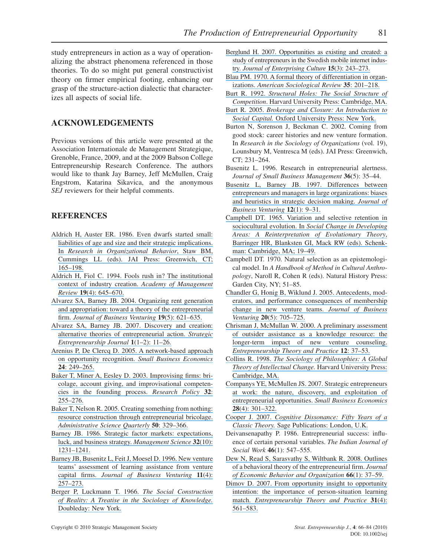study entrepreneurs in action as a way of operationalizing the abstract phenomena referenced in those theories. To do so might put general constructivist theory on firmer empirical footing, enhancing our grasp of the structure-action dialectic that characterizes all aspects of social life.

# **ACKNOWLEDGEMENTS**

Previous versions of this article were presented at the Association Internationale de Management Strategique, Grenoble, France, 2009, and at the 2009 Babson College Entrepreneurship Research Conference. The authors would like to thank Jay Barney, Jeff McMullen, Craig Engstrom, Katarina Sikavica, and the anonymous *SEJ* reviewers for their helpful comments.

#### **REFERENCES**

- [Aldrich H, Auster ER. 1986. Even dwarfs started small:](https://www.researchgate.net/publication/228221131_Even_Dwarfs_Started_Small_Liabilities_of_Age_and_Size_and_Their_Strategic_Implications?el=1_x_8&enrichId=rgreq-231502218c1c7098ff9d7ac86c528375-XXX&enrichSource=Y292ZXJQYWdlOzIyNzY2MzE1MjtBUzoxMzIyMzcyMTU0MDgxMjlAMTQwODUzOTIxNzI0Mg==) [liabilities of age and size and their strategic implications.](https://www.researchgate.net/publication/228221131_Even_Dwarfs_Started_Small_Liabilities_of_Age_and_Size_and_Their_Strategic_Implications?el=1_x_8&enrichId=rgreq-231502218c1c7098ff9d7ac86c528375-XXX&enrichSource=Y292ZXJQYWdlOzIyNzY2MzE1MjtBUzoxMzIyMzcyMTU0MDgxMjlAMTQwODUzOTIxNzI0Mg==) In *[Research in Organizational Behavior](https://www.researchgate.net/publication/228221131_Even_Dwarfs_Started_Small_Liabilities_of_Age_and_Size_and_Their_Strategic_Implications?el=1_x_8&enrichId=rgreq-231502218c1c7098ff9d7ac86c528375-XXX&enrichSource=Y292ZXJQYWdlOzIyNzY2MzE1MjtBUzoxMzIyMzcyMTU0MDgxMjlAMTQwODUzOTIxNzI0Mg==)*, Staw BM, [Cummings LL \(eds\). JAI Press: Greenwich, CT;](https://www.researchgate.net/publication/228221131_Even_Dwarfs_Started_Small_Liabilities_of_Age_and_Size_and_Their_Strategic_Implications?el=1_x_8&enrichId=rgreq-231502218c1c7098ff9d7ac86c528375-XXX&enrichSource=Y292ZXJQYWdlOzIyNzY2MzE1MjtBUzoxMzIyMzcyMTU0MDgxMjlAMTQwODUzOTIxNzI0Mg==) [165–198.](https://www.researchgate.net/publication/228221131_Even_Dwarfs_Started_Small_Liabilities_of_Age_and_Size_and_Their_Strategic_Implications?el=1_x_8&enrichId=rgreq-231502218c1c7098ff9d7ac86c528375-XXX&enrichSource=Y292ZXJQYWdlOzIyNzY2MzE1MjtBUzoxMzIyMzcyMTU0MDgxMjlAMTQwODUzOTIxNzI0Mg==)
- [Aldrich H, Fiol C. 1994. Fools rush in? The institutional](https://www.researchgate.net/publication/282828021_Fools_Rush_In_The_Institutional_Context_of_Industry_Creation?el=1_x_8&enrichId=rgreq-231502218c1c7098ff9d7ac86c528375-XXX&enrichSource=Y292ZXJQYWdlOzIyNzY2MzE1MjtBUzoxMzIyMzcyMTU0MDgxMjlAMTQwODUzOTIxNzI0Mg==) [context of industry creation.](https://www.researchgate.net/publication/282828021_Fools_Rush_In_The_Institutional_Context_of_Industry_Creation?el=1_x_8&enrichId=rgreq-231502218c1c7098ff9d7ac86c528375-XXX&enrichSource=Y292ZXJQYWdlOzIyNzY2MzE1MjtBUzoxMzIyMzcyMTU0MDgxMjlAMTQwODUzOTIxNzI0Mg==) *Academy of Management Review* **19**[\(4\): 645–670.](https://www.researchgate.net/publication/282828021_Fools_Rush_In_The_Institutional_Context_of_Industry_Creation?el=1_x_8&enrichId=rgreq-231502218c1c7098ff9d7ac86c528375-XXX&enrichSource=Y292ZXJQYWdlOzIyNzY2MzE1MjtBUzoxMzIyMzcyMTU0MDgxMjlAMTQwODUzOTIxNzI0Mg==)
- [Alvarez SA, Barney JB. 2004. Organizing rent generation](https://www.researchgate.net/publication/223073795_Organizing_Rent_Generation_and_Appropriation_Toward_a_Theory_of_the_Entrepreneurial_Firm?el=1_x_8&enrichId=rgreq-231502218c1c7098ff9d7ac86c528375-XXX&enrichSource=Y292ZXJQYWdlOzIyNzY2MzE1MjtBUzoxMzIyMzcyMTU0MDgxMjlAMTQwODUzOTIxNzI0Mg==) [and appropriation: toward a theory of the entrepreneurial](https://www.researchgate.net/publication/223073795_Organizing_Rent_Generation_and_Appropriation_Toward_a_Theory_of_the_Entrepreneurial_Firm?el=1_x_8&enrichId=rgreq-231502218c1c7098ff9d7ac86c528375-XXX&enrichSource=Y292ZXJQYWdlOzIyNzY2MzE1MjtBUzoxMzIyMzcyMTU0MDgxMjlAMTQwODUzOTIxNzI0Mg==) firm. *[Journal of Business Venturing](https://www.researchgate.net/publication/223073795_Organizing_Rent_Generation_and_Appropriation_Toward_a_Theory_of_the_Entrepreneurial_Firm?el=1_x_8&enrichId=rgreq-231502218c1c7098ff9d7ac86c528375-XXX&enrichSource=Y292ZXJQYWdlOzIyNzY2MzE1MjtBUzoxMzIyMzcyMTU0MDgxMjlAMTQwODUzOTIxNzI0Mg==)* 19(5): 621-635.
- [Alvarez SA, Barney JB. 2007. Discovery and creation:](https://www.researchgate.net/publication/228143089_Discovery_and_Creation_Alternative_Theories_of_Entrepreneurial_Action?el=1_x_8&enrichId=rgreq-231502218c1c7098ff9d7ac86c528375-XXX&enrichSource=Y292ZXJQYWdlOzIyNzY2MzE1MjtBUzoxMzIyMzcyMTU0MDgxMjlAMTQwODUzOTIxNzI0Mg==) [alternative theories of entrepreneurial action.](https://www.researchgate.net/publication/228143089_Discovery_and_Creation_Alternative_Theories_of_Entrepreneurial_Action?el=1_x_8&enrichId=rgreq-231502218c1c7098ff9d7ac86c528375-XXX&enrichSource=Y292ZXJQYWdlOzIyNzY2MzE1MjtBUzoxMzIyMzcyMTU0MDgxMjlAMTQwODUzOTIxNzI0Mg==) *Strategic [Entrepreneurship Journal](https://www.researchgate.net/publication/228143089_Discovery_and_Creation_Alternative_Theories_of_Entrepreneurial_Action?el=1_x_8&enrichId=rgreq-231502218c1c7098ff9d7ac86c528375-XXX&enrichSource=Y292ZXJQYWdlOzIyNzY2MzE1MjtBUzoxMzIyMzcyMTU0MDgxMjlAMTQwODUzOTIxNzI0Mg==)* **1**(1–2): 11–26.
- [Arenius P, De Clercq D. 2005. A network-based approach](https://www.researchgate.net/publication/5158279_A_Network-based_Approach_on_Opportunity_Recognition?el=1_x_8&enrichId=rgreq-231502218c1c7098ff9d7ac86c528375-XXX&enrichSource=Y292ZXJQYWdlOzIyNzY2MzE1MjtBUzoxMzIyMzcyMTU0MDgxMjlAMTQwODUzOTIxNzI0Mg==) [on opportunity recognition.](https://www.researchgate.net/publication/5158279_A_Network-based_Approach_on_Opportunity_Recognition?el=1_x_8&enrichId=rgreq-231502218c1c7098ff9d7ac86c528375-XXX&enrichSource=Y292ZXJQYWdlOzIyNzY2MzE1MjtBUzoxMzIyMzcyMTU0MDgxMjlAMTQwODUzOTIxNzI0Mg==) *Small Business Economics* **24**[: 249–265.](https://www.researchgate.net/publication/5158279_A_Network-based_Approach_on_Opportunity_Recognition?el=1_x_8&enrichId=rgreq-231502218c1c7098ff9d7ac86c528375-XXX&enrichSource=Y292ZXJQYWdlOzIyNzY2MzE1MjtBUzoxMzIyMzcyMTU0MDgxMjlAMTQwODUzOTIxNzI0Mg==)
- Baker T, Miner A, Eesley D. 2003. Improvising firms: bri[colage, account giving, and improvisational competen](https://www.researchgate.net/publication/4929391_Improvising_firms_Bricolage_account_giving_and_improvisational_competencies_in_the_founding_process?el=1_x_8&enrichId=rgreq-231502218c1c7098ff9d7ac86c528375-XXX&enrichSource=Y292ZXJQYWdlOzIyNzY2MzE1MjtBUzoxMzIyMzcyMTU0MDgxMjlAMTQwODUzOTIxNzI0Mg==)[cies in the founding process.](https://www.researchgate.net/publication/4929391_Improvising_firms_Bricolage_account_giving_and_improvisational_competencies_in_the_founding_process?el=1_x_8&enrichId=rgreq-231502218c1c7098ff9d7ac86c528375-XXX&enrichSource=Y292ZXJQYWdlOzIyNzY2MzE1MjtBUzoxMzIyMzcyMTU0MDgxMjlAMTQwODUzOTIxNzI0Mg==) *Research Policy* **32**: [255–276.](https://www.researchgate.net/publication/4929391_Improvising_firms_Bricolage_account_giving_and_improvisational_competencies_in_the_founding_process?el=1_x_8&enrichId=rgreq-231502218c1c7098ff9d7ac86c528375-XXX&enrichSource=Y292ZXJQYWdlOzIyNzY2MzE1MjtBUzoxMzIyMzcyMTU0MDgxMjlAMTQwODUzOTIxNzI0Mg==)
- [Baker T, Nelson R. 2005. Creating something from nothing:](https://www.researchgate.net/publication/228316078_Creating_Something_From_Nothing_Resource_Construction_Through_Entrepreneurial_Bricolage?el=1_x_8&enrichId=rgreq-231502218c1c7098ff9d7ac86c528375-XXX&enrichSource=Y292ZXJQYWdlOzIyNzY2MzE1MjtBUzoxMzIyMzcyMTU0MDgxMjlAMTQwODUzOTIxNzI0Mg==) [resource construction through entrepreneurial bricolage.](https://www.researchgate.net/publication/228316078_Creating_Something_From_Nothing_Resource_Construction_Through_Entrepreneurial_Bricolage?el=1_x_8&enrichId=rgreq-231502218c1c7098ff9d7ac86c528375-XXX&enrichSource=Y292ZXJQYWdlOzIyNzY2MzE1MjtBUzoxMzIyMzcyMTU0MDgxMjlAMTQwODUzOTIxNzI0Mg==) *[Administrative Science Quarterly](https://www.researchgate.net/publication/228316078_Creating_Something_From_Nothing_Resource_Construction_Through_Entrepreneurial_Bricolage?el=1_x_8&enrichId=rgreq-231502218c1c7098ff9d7ac86c528375-XXX&enrichSource=Y292ZXJQYWdlOzIyNzY2MzE1MjtBUzoxMzIyMzcyMTU0MDgxMjlAMTQwODUzOTIxNzI0Mg==)* **50**: 329–366.
- [Barney JB. 1986. Strategic factor markets: expectations,](https://www.researchgate.net/publication/227445676_Strategic_Factor_Markets_Expectations_Luck_and_Business_Strategy?el=1_x_8&enrichId=rgreq-231502218c1c7098ff9d7ac86c528375-XXX&enrichSource=Y292ZXJQYWdlOzIyNzY2MzE1MjtBUzoxMzIyMzcyMTU0MDgxMjlAMTQwODUzOTIxNzI0Mg==) [luck, and business strategy.](https://www.researchgate.net/publication/227445676_Strategic_Factor_Markets_Expectations_Luck_and_Business_Strategy?el=1_x_8&enrichId=rgreq-231502218c1c7098ff9d7ac86c528375-XXX&enrichSource=Y292ZXJQYWdlOzIyNzY2MzE1MjtBUzoxMzIyMzcyMTU0MDgxMjlAMTQwODUzOTIxNzI0Mg==) *Management Science* **32**(10): [1231–1241.](https://www.researchgate.net/publication/227445676_Strategic_Factor_Markets_Expectations_Luck_and_Business_Strategy?el=1_x_8&enrichId=rgreq-231502218c1c7098ff9d7ac86c528375-XXX&enrichSource=Y292ZXJQYWdlOzIyNzY2MzE1MjtBUzoxMzIyMzcyMTU0MDgxMjlAMTQwODUzOTIxNzI0Mg==)
- [Barney JB, Busenitz L, Feit J, Moesel D. 1996. New venture](https://www.researchgate.net/publication/223242490_New_Venture_Teams) [teams' assessment of learning assistance from venture](https://www.researchgate.net/publication/223242490_New_Venture_Teams) capital firms. *[Journal of Business Venturing](https://www.researchgate.net/publication/223242490_New_Venture_Teams)* 11(4): [257–273.](https://www.researchgate.net/publication/223242490_New_Venture_Teams)
- [Berger P, Luckmann T. 1966.](https://www.researchgate.net/publication/242474773_The_Social_Construction_Of_Reality_A_Treatise_In_The_Sociology_Of_Knowledge?el=1_x_8&enrichId=rgreq-231502218c1c7098ff9d7ac86c528375-XXX&enrichSource=Y292ZXJQYWdlOzIyNzY2MzE1MjtBUzoxMzIyMzcyMTU0MDgxMjlAMTQwODUzOTIxNzI0Mg==) *The Social Construction [of Reality: A Treatise in the Sociology of Knowledge.](https://www.researchgate.net/publication/242474773_The_Social_Construction_Of_Reality_A_Treatise_In_The_Sociology_Of_Knowledge?el=1_x_8&enrichId=rgreq-231502218c1c7098ff9d7ac86c528375-XXX&enrichSource=Y292ZXJQYWdlOzIyNzY2MzE1MjtBUzoxMzIyMzcyMTU0MDgxMjlAMTQwODUzOTIxNzI0Mg==)* [Doubleday: New York.](https://www.researchgate.net/publication/242474773_The_Social_Construction_Of_Reality_A_Treatise_In_The_Sociology_Of_Knowledge?el=1_x_8&enrichId=rgreq-231502218c1c7098ff9d7ac86c528375-XXX&enrichSource=Y292ZXJQYWdlOzIyNzY2MzE1MjtBUzoxMzIyMzcyMTU0MDgxMjlAMTQwODUzOTIxNzI0Mg==)
- [Berglund H. 2007. Opportunities as existing and created: a](https://www.researchgate.net/publication/23751432_Opportunities_as_Existing_and_Created_A_Study_of_Entrepreneurs_in_the_Swedish_Mobile_Internet_Industry?el=1_x_8&enrichId=rgreq-231502218c1c7098ff9d7ac86c528375-XXX&enrichSource=Y292ZXJQYWdlOzIyNzY2MzE1MjtBUzoxMzIyMzcyMTU0MDgxMjlAMTQwODUzOTIxNzI0Mg==) [study of entrepreneurs in the Swedish mobile internet indus](https://www.researchgate.net/publication/23751432_Opportunities_as_Existing_and_Created_A_Study_of_Entrepreneurs_in_the_Swedish_Mobile_Internet_Industry?el=1_x_8&enrichId=rgreq-231502218c1c7098ff9d7ac86c528375-XXX&enrichSource=Y292ZXJQYWdlOzIyNzY2MzE1MjtBUzoxMzIyMzcyMTU0MDgxMjlAMTQwODUzOTIxNzI0Mg==)try. *[Journal of Enterprising Culture](https://www.researchgate.net/publication/23751432_Opportunities_as_Existing_and_Created_A_Study_of_Entrepreneurs_in_the_Swedish_Mobile_Internet_Industry?el=1_x_8&enrichId=rgreq-231502218c1c7098ff9d7ac86c528375-XXX&enrichSource=Y292ZXJQYWdlOzIyNzY2MzE1MjtBUzoxMzIyMzcyMTU0MDgxMjlAMTQwODUzOTIxNzI0Mg==)* **15**(3): 243–273.
- [Blau PM. 1970. A formal theory of differentiation in organ](https://www.researchgate.net/publication/242564543_A_Formal_Theory_of_Differentiation_in_Organizations?el=1_x_8&enrichId=rgreq-231502218c1c7098ff9d7ac86c528375-XXX&enrichSource=Y292ZXJQYWdlOzIyNzY2MzE1MjtBUzoxMzIyMzcyMTU0MDgxMjlAMTQwODUzOTIxNzI0Mg==)izations. *[American Sociological Review](https://www.researchgate.net/publication/242564543_A_Formal_Theory_of_Differentiation_in_Organizations?el=1_x_8&enrichId=rgreq-231502218c1c7098ff9d7ac86c528375-XXX&enrichSource=Y292ZXJQYWdlOzIyNzY2MzE1MjtBUzoxMzIyMzcyMTU0MDgxMjlAMTQwODUzOTIxNzI0Mg==)* **35**: 201–218.
- Burt R. 1992. *[Structural Holes: The Social Structure of](https://www.researchgate.net/publication/37712036_Structural_Holes_The_Social_Structure_of_Competition?el=1_x_8&enrichId=rgreq-231502218c1c7098ff9d7ac86c528375-XXX&enrichSource=Y292ZXJQYWdlOzIyNzY2MzE1MjtBUzoxMzIyMzcyMTU0MDgxMjlAMTQwODUzOTIxNzI0Mg==) Competition*[. Harvard University Press: Cambridge, MA.](https://www.researchgate.net/publication/37712036_Structural_Holes_The_Social_Structure_of_Competition?el=1_x_8&enrichId=rgreq-231502218c1c7098ff9d7ac86c528375-XXX&enrichSource=Y292ZXJQYWdlOzIyNzY2MzE1MjtBUzoxMzIyMzcyMTU0MDgxMjlAMTQwODUzOTIxNzI0Mg==)
- Burt R. 2005. *[Brokerage and Closure: An Introduction to](https://www.researchgate.net/publication/281453355_Brokerage_Closure_An_Introduction_to_Social_Capital?el=1_x_8&enrichId=rgreq-231502218c1c7098ff9d7ac86c528375-XXX&enrichSource=Y292ZXJQYWdlOzIyNzY2MzE1MjtBUzoxMzIyMzcyMTU0MDgxMjlAMTQwODUzOTIxNzI0Mg==) Social Capital.* [Oxford University Press: New York.](https://www.researchgate.net/publication/281453355_Brokerage_Closure_An_Introduction_to_Social_Capital?el=1_x_8&enrichId=rgreq-231502218c1c7098ff9d7ac86c528375-XXX&enrichSource=Y292ZXJQYWdlOzIyNzY2MzE1MjtBUzoxMzIyMzcyMTU0MDgxMjlAMTQwODUzOTIxNzI0Mg==)
- Burton N, Sorenson J, Beckman C. 2002. Coming from good stock: career histories and new venture formation. In *Research in the Sociology of Organizations* (vol. 19), Lounsbury M, Ventresca M (eds). JAI Press: Greenwich, CT; 231–264.
- Busenitz L. 1996. Research in entrepreneurial alertness. *Journal of Small Business Management* **36**(5): 35–44.
- [Busenitz L, Barney JB. 1997. Differences between](https://www.researchgate.net/publication/4967779_Differences_Between_Entrepreneurs_and_Managers_in_Large_Organizations_Biases_and_Heuristics_in_Strategic_Decision-Making?el=1_x_8&enrichId=rgreq-231502218c1c7098ff9d7ac86c528375-XXX&enrichSource=Y292ZXJQYWdlOzIyNzY2MzE1MjtBUzoxMzIyMzcyMTU0MDgxMjlAMTQwODUzOTIxNzI0Mg==) [entrepreneurs and managers in large organizations: biases](https://www.researchgate.net/publication/4967779_Differences_Between_Entrepreneurs_and_Managers_in_Large_Organizations_Biases_and_Heuristics_in_Strategic_Decision-Making?el=1_x_8&enrichId=rgreq-231502218c1c7098ff9d7ac86c528375-XXX&enrichSource=Y292ZXJQYWdlOzIyNzY2MzE1MjtBUzoxMzIyMzcyMTU0MDgxMjlAMTQwODUzOTIxNzI0Mg==) [and heuristics in strategic decision making.](https://www.researchgate.net/publication/4967779_Differences_Between_Entrepreneurs_and_Managers_in_Large_Organizations_Biases_and_Heuristics_in_Strategic_Decision-Making?el=1_x_8&enrichId=rgreq-231502218c1c7098ff9d7ac86c528375-XXX&enrichSource=Y292ZXJQYWdlOzIyNzY2MzE1MjtBUzoxMzIyMzcyMTU0MDgxMjlAMTQwODUzOTIxNzI0Mg==) *Journal of [Business Venturing](https://www.researchgate.net/publication/4967779_Differences_Between_Entrepreneurs_and_Managers_in_Large_Organizations_Biases_and_Heuristics_in_Strategic_Decision-Making?el=1_x_8&enrichId=rgreq-231502218c1c7098ff9d7ac86c528375-XXX&enrichSource=Y292ZXJQYWdlOzIyNzY2MzE1MjtBUzoxMzIyMzcyMTU0MDgxMjlAMTQwODUzOTIxNzI0Mg==)* **12**(1): 9–31.
- [Campbell DT. 1965. Variation and selective retention in](https://www.researchgate.net/publication/284764131_Variation_and_selective_retention_in_sociocultural_evolution) sociocultural evolution. In *[Social Change in Developing](https://www.researchgate.net/publication/284764131_Variation_and_selective_retention_in_sociocultural_evolution) [Areas: A Reinterpretation of Evolutionary Theory](https://www.researchgate.net/publication/284764131_Variation_and_selective_retention_in_sociocultural_evolution)*, [Barringer HR, Blanksten GI, Mack RW \(eds\). Schenk](https://www.researchgate.net/publication/284764131_Variation_and_selective_retention_in_sociocultural_evolution)[man: Cambridge, MA; 19–49.](https://www.researchgate.net/publication/284764131_Variation_and_selective_retention_in_sociocultural_evolution)
- Campbell DT. 1970. Natural selection as an epistemological model. In *A Handbook of Method in Cultural Anthropology*, Naroll R, Cohen R (eds). Natural History Press: Garden City, NY; 51–85.
- [Chandler G, Honig B, Wiklund J. 2005. Antecedents, mod](https://www.researchgate.net/publication/222538733_Antecedents_Moderators_and_Performance_Consequences_of_Membership_Change_in_New_Venture_Teams?el=1_x_8&enrichId=rgreq-231502218c1c7098ff9d7ac86c528375-XXX&enrichSource=Y292ZXJQYWdlOzIyNzY2MzE1MjtBUzoxMzIyMzcyMTU0MDgxMjlAMTQwODUzOTIxNzI0Mg==)[erators, and performance consequences of membership](https://www.researchgate.net/publication/222538733_Antecedents_Moderators_and_Performance_Consequences_of_Membership_Change_in_New_Venture_Teams?el=1_x_8&enrichId=rgreq-231502218c1c7098ff9d7ac86c528375-XXX&enrichSource=Y292ZXJQYWdlOzIyNzY2MzE1MjtBUzoxMzIyMzcyMTU0MDgxMjlAMTQwODUzOTIxNzI0Mg==) [change in new venture teams.](https://www.researchgate.net/publication/222538733_Antecedents_Moderators_and_Performance_Consequences_of_Membership_Change_in_New_Venture_Teams?el=1_x_8&enrichId=rgreq-231502218c1c7098ff9d7ac86c528375-XXX&enrichSource=Y292ZXJQYWdlOzIyNzY2MzE1MjtBUzoxMzIyMzcyMTU0MDgxMjlAMTQwODUzOTIxNzI0Mg==) *Journal of Business Venturing* **20**[\(5\): 705–725.](https://www.researchgate.net/publication/222538733_Antecedents_Moderators_and_Performance_Consequences_of_Membership_Change_in_New_Venture_Teams?el=1_x_8&enrichId=rgreq-231502218c1c7098ff9d7ac86c528375-XXX&enrichSource=Y292ZXJQYWdlOzIyNzY2MzE1MjtBUzoxMzIyMzcyMTU0MDgxMjlAMTQwODUzOTIxNzI0Mg==)
- [Chrisman J, McMullan W. 2000. A preliminary assessment](https://www.researchgate.net/publication/284201690_A_preliminary_assessment_of_outsider_assistance_as_a_knowledge_resource_The_longer-term_impact_of_new_venture_counseling?el=1_x_8&enrichId=rgreq-231502218c1c7098ff9d7ac86c528375-XXX&enrichSource=Y292ZXJQYWdlOzIyNzY2MzE1MjtBUzoxMzIyMzcyMTU0MDgxMjlAMTQwODUzOTIxNzI0Mg==) [of outsider assistance as a knowledge resource: the](https://www.researchgate.net/publication/284201690_A_preliminary_assessment_of_outsider_assistance_as_a_knowledge_resource_The_longer-term_impact_of_new_venture_counseling?el=1_x_8&enrichId=rgreq-231502218c1c7098ff9d7ac86c528375-XXX&enrichSource=Y292ZXJQYWdlOzIyNzY2MzE1MjtBUzoxMzIyMzcyMTU0MDgxMjlAMTQwODUzOTIxNzI0Mg==) [longer-term impact of new venture counseling.](https://www.researchgate.net/publication/284201690_A_preliminary_assessment_of_outsider_assistance_as_a_knowledge_resource_The_longer-term_impact_of_new_venture_counseling?el=1_x_8&enrichId=rgreq-231502218c1c7098ff9d7ac86c528375-XXX&enrichSource=Y292ZXJQYWdlOzIyNzY2MzE1MjtBUzoxMzIyMzcyMTU0MDgxMjlAMTQwODUzOTIxNzI0Mg==) *[Entrepreneurship Theory and Practice](https://www.researchgate.net/publication/284201690_A_preliminary_assessment_of_outsider_assistance_as_a_knowledge_resource_The_longer-term_impact_of_new_venture_counseling?el=1_x_8&enrichId=rgreq-231502218c1c7098ff9d7ac86c528375-XXX&enrichSource=Y292ZXJQYWdlOzIyNzY2MzE1MjtBUzoxMzIyMzcyMTU0MDgxMjlAMTQwODUzOTIxNzI0Mg==)* **12**: 37–53.
- Collins R. 1998. *[The Sociology of Philosophies: A Global](https://www.researchgate.net/publication/248017386_The_Sociology_of_Philosophies_A_global_theory_of_intellectual_change?el=1_x_8&enrichId=rgreq-231502218c1c7098ff9d7ac86c528375-XXX&enrichSource=Y292ZXJQYWdlOzIyNzY2MzE1MjtBUzoxMzIyMzcyMTU0MDgxMjlAMTQwODUzOTIxNzI0Mg==) [Theory of Intellectual Change.](https://www.researchgate.net/publication/248017386_The_Sociology_of_Philosophies_A_global_theory_of_intellectual_change?el=1_x_8&enrichId=rgreq-231502218c1c7098ff9d7ac86c528375-XXX&enrichSource=Y292ZXJQYWdlOzIyNzY2MzE1MjtBUzoxMzIyMzcyMTU0MDgxMjlAMTQwODUzOTIxNzI0Mg==)* Harvard University Press: [Cambridge, MA.](https://www.researchgate.net/publication/248017386_The_Sociology_of_Philosophies_A_global_theory_of_intellectual_change?el=1_x_8&enrichId=rgreq-231502218c1c7098ff9d7ac86c528375-XXX&enrichSource=Y292ZXJQYWdlOzIyNzY2MzE1MjtBUzoxMzIyMzcyMTU0MDgxMjlAMTQwODUzOTIxNzI0Mg==)
- [Companys YE, McMullen JS. 2007. Strategic entrepreneurs](https://www.researchgate.net/publication/5158408_Strategic_Entrepreneurs_at_Work_The_Nature_Discovery_and_Exploitation_of_Entrepreneurial_Opportunities?el=1_x_8&enrichId=rgreq-231502218c1c7098ff9d7ac86c528375-XXX&enrichSource=Y292ZXJQYWdlOzIyNzY2MzE1MjtBUzoxMzIyMzcyMTU0MDgxMjlAMTQwODUzOTIxNzI0Mg==) [at work: the nature, discovery, and exploitation of](https://www.researchgate.net/publication/5158408_Strategic_Entrepreneurs_at_Work_The_Nature_Discovery_and_Exploitation_of_Entrepreneurial_Opportunities?el=1_x_8&enrichId=rgreq-231502218c1c7098ff9d7ac86c528375-XXX&enrichSource=Y292ZXJQYWdlOzIyNzY2MzE1MjtBUzoxMzIyMzcyMTU0MDgxMjlAMTQwODUzOTIxNzI0Mg==) [entrepreneurial opportunities.](https://www.researchgate.net/publication/5158408_Strategic_Entrepreneurs_at_Work_The_Nature_Discovery_and_Exploitation_of_Entrepreneurial_Opportunities?el=1_x_8&enrichId=rgreq-231502218c1c7098ff9d7ac86c528375-XXX&enrichSource=Y292ZXJQYWdlOzIyNzY2MzE1MjtBUzoxMzIyMzcyMTU0MDgxMjlAMTQwODUzOTIxNzI0Mg==) *Small Business Economics* **28**[\(4\): 301–322.](https://www.researchgate.net/publication/5158408_Strategic_Entrepreneurs_at_Work_The_Nature_Discovery_and_Exploitation_of_Entrepreneurial_Opportunities?el=1_x_8&enrichId=rgreq-231502218c1c7098ff9d7ac86c528375-XXX&enrichSource=Y292ZXJQYWdlOzIyNzY2MzE1MjtBUzoxMzIyMzcyMTU0MDgxMjlAMTQwODUzOTIxNzI0Mg==)
- Cooper J. 2007. *[Cognitive Dissonance: Fifty Years of a](https://www.researchgate.net/publication/292654308_Cognitive_Dissonance_Fifty_Years_of_a_Classic_Theory?el=1_x_8&enrichId=rgreq-231502218c1c7098ff9d7ac86c528375-XXX&enrichSource=Y292ZXJQYWdlOzIyNzY2MzE1MjtBUzoxMzIyMzcyMTU0MDgxMjlAMTQwODUzOTIxNzI0Mg==) Classic Theory.* [Sage Publications: London, U.K.](https://www.researchgate.net/publication/292654308_Cognitive_Dissonance_Fifty_Years_of_a_Classic_Theory?el=1_x_8&enrichId=rgreq-231502218c1c7098ff9d7ac86c528375-XXX&enrichSource=Y292ZXJQYWdlOzIyNzY2MzE1MjtBUzoxMzIyMzcyMTU0MDgxMjlAMTQwODUzOTIxNzI0Mg==)
- Deivansenapathy P. 1986. Entrepreneurial success: influence of certain personal variables. *The Indian Journal of Social Work* **46**(1): 547–555.
- [Dew N, Read S, Sarasvathy S, Wiltbank R. 2008. Outlines](https://www.researchgate.net/publication/222431043_Outlines_of_a_Behavioral_Theory_of_the_Entrepreneurial_Firm?el=1_x_8&enrichId=rgreq-231502218c1c7098ff9d7ac86c528375-XXX&enrichSource=Y292ZXJQYWdlOzIyNzY2MzE1MjtBUzoxMzIyMzcyMTU0MDgxMjlAMTQwODUzOTIxNzI0Mg==) of a behavioral theory of the entrepreneurial firm. *Journal [of Economic Behavior and Organization](https://www.researchgate.net/publication/222431043_Outlines_of_a_Behavioral_Theory_of_the_Entrepreneurial_Firm?el=1_x_8&enrichId=rgreq-231502218c1c7098ff9d7ac86c528375-XXX&enrichSource=Y292ZXJQYWdlOzIyNzY2MzE1MjtBUzoxMzIyMzcyMTU0MDgxMjlAMTQwODUzOTIxNzI0Mg==)* **66**(1): 37–59.
- [Dimov D. 2007. From opportunity insight to opportunity](https://www.researchgate.net/publication/227680891_From_Opportunity_Insight_to_Opportunity_Intention_The_Importance_of_Person-Situation_Learning_Match?el=1_x_8&enrichId=rgreq-231502218c1c7098ff9d7ac86c528375-XXX&enrichSource=Y292ZXJQYWdlOzIyNzY2MzE1MjtBUzoxMzIyMzcyMTU0MDgxMjlAMTQwODUzOTIxNzI0Mg==) [intention: the importance of person-situation learning](https://www.researchgate.net/publication/227680891_From_Opportunity_Insight_to_Opportunity_Intention_The_Importance_of_Person-Situation_Learning_Match?el=1_x_8&enrichId=rgreq-231502218c1c7098ff9d7ac86c528375-XXX&enrichSource=Y292ZXJQYWdlOzIyNzY2MzE1MjtBUzoxMzIyMzcyMTU0MDgxMjlAMTQwODUzOTIxNzI0Mg==) match. *[Entrepreneurship Theory and Practice](https://www.researchgate.net/publication/227680891_From_Opportunity_Insight_to_Opportunity_Intention_The_Importance_of_Person-Situation_Learning_Match?el=1_x_8&enrichId=rgreq-231502218c1c7098ff9d7ac86c528375-XXX&enrichSource=Y292ZXJQYWdlOzIyNzY2MzE1MjtBUzoxMzIyMzcyMTU0MDgxMjlAMTQwODUzOTIxNzI0Mg==)* **31**(4): [561–583.](https://www.researchgate.net/publication/227680891_From_Opportunity_Insight_to_Opportunity_Intention_The_Importance_of_Person-Situation_Learning_Match?el=1_x_8&enrichId=rgreq-231502218c1c7098ff9d7ac86c528375-XXX&enrichSource=Y292ZXJQYWdlOzIyNzY2MzE1MjtBUzoxMzIyMzcyMTU0MDgxMjlAMTQwODUzOTIxNzI0Mg==)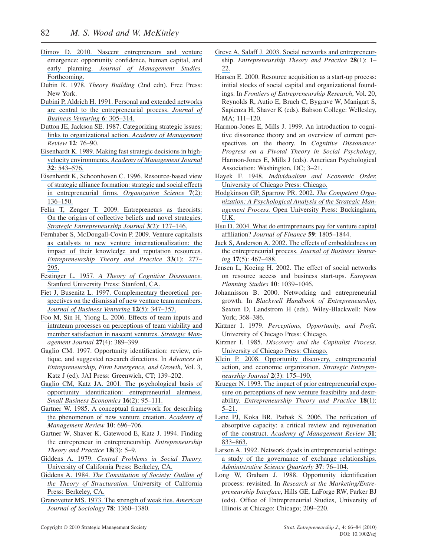- [Dimov D. 2010. Nascent entrepreneurs and venture](https://www.researchgate.net/publication/227375575_Nascent_Entrepreneurs_and_Venture_Emergence_Opportunity_Confidence_Human_Capital_and_Early_Planning?el=1_x_8&enrichId=rgreq-231502218c1c7098ff9d7ac86c528375-XXX&enrichSource=Y292ZXJQYWdlOzIyNzY2MzE1MjtBUzoxMzIyMzcyMTU0MDgxMjlAMTQwODUzOTIxNzI0Mg==)  emergence: opportunity confidence, human capital, and early planning. *[Journal of Management Studies.](https://www.researchgate.net/publication/227375575_Nascent_Entrepreneurs_and_Venture_Emergence_Opportunity_Confidence_Human_Capital_and_Early_Planning?el=1_x_8&enrichId=rgreq-231502218c1c7098ff9d7ac86c528375-XXX&enrichSource=Y292ZXJQYWdlOzIyNzY2MzE1MjtBUzoxMzIyMzcyMTU0MDgxMjlAMTQwODUzOTIxNzI0Mg==)* [Forthcoming.](https://www.researchgate.net/publication/227375575_Nascent_Entrepreneurs_and_Venture_Emergence_Opportunity_Confidence_Human_Capital_and_Early_Planning?el=1_x_8&enrichId=rgreq-231502218c1c7098ff9d7ac86c528375-XXX&enrichSource=Y292ZXJQYWdlOzIyNzY2MzE1MjtBUzoxMzIyMzcyMTU0MDgxMjlAMTQwODUzOTIxNzI0Mg==)
- Dubin R. 1978. *Theory Building* (2nd edn). Free Press: New York.
- [Dubini P, Aldrich H. 1991. Personal and extended networks](https://www.researchgate.net/publication/228314339_Personal_and_Extended_Networks_Are_Central_to_the_Entrepreneurial_Process?el=1_x_8&enrichId=rgreq-231502218c1c7098ff9d7ac86c528375-XXX&enrichSource=Y292ZXJQYWdlOzIyNzY2MzE1MjtBUzoxMzIyMzcyMTU0MDgxMjlAMTQwODUzOTIxNzI0Mg==)  [are central to the entrepreneurial process.](https://www.researchgate.net/publication/228314339_Personal_and_Extended_Networks_Are_Central_to_the_Entrepreneurial_Process?el=1_x_8&enrichId=rgreq-231502218c1c7098ff9d7ac86c528375-XXX&enrichSource=Y292ZXJQYWdlOzIyNzY2MzE1MjtBUzoxMzIyMzcyMTU0MDgxMjlAMTQwODUzOTIxNzI0Mg==) *Journal of [Business Venturing](https://www.researchgate.net/publication/228314339_Personal_and_Extended_Networks_Are_Central_to_the_Entrepreneurial_Process?el=1_x_8&enrichId=rgreq-231502218c1c7098ff9d7ac86c528375-XXX&enrichSource=Y292ZXJQYWdlOzIyNzY2MzE1MjtBUzoxMzIyMzcyMTU0MDgxMjlAMTQwODUzOTIxNzI0Mg==)* **6**: 305–314.
- [Dutton JE, Jackson SE. 1987. Categorizing strategic issues:](https://www.researchgate.net/publication/243782829_Categorizing_Strategic_Issues_Links_to_Organizational_Action?el=1_x_8&enrichId=rgreq-231502218c1c7098ff9d7ac86c528375-XXX&enrichSource=Y292ZXJQYWdlOzIyNzY2MzE1MjtBUzoxMzIyMzcyMTU0MDgxMjlAMTQwODUzOTIxNzI0Mg==)  [links to organizational action.](https://www.researchgate.net/publication/243782829_Categorizing_Strategic_Issues_Links_to_Organizational_Action?el=1_x_8&enrichId=rgreq-231502218c1c7098ff9d7ac86c528375-XXX&enrichSource=Y292ZXJQYWdlOzIyNzY2MzE1MjtBUzoxMzIyMzcyMTU0MDgxMjlAMTQwODUzOTIxNzI0Mg==) *Academy of Management Review* **12**[: 76–90.](https://www.researchgate.net/publication/243782829_Categorizing_Strategic_Issues_Links_to_Organizational_Action?el=1_x_8&enrichId=rgreq-231502218c1c7098ff9d7ac86c528375-XXX&enrichSource=Y292ZXJQYWdlOzIyNzY2MzE1MjtBUzoxMzIyMzcyMTU0MDgxMjlAMTQwODUzOTIxNzI0Mg==)
- [Eisenhardt K. 1989. Making fast strategic decisions in high](https://www.researchgate.net/publication/246749482_Making_Fast_Decisions_in_High-Velocity_Environments?el=1_x_8&enrichId=rgreq-231502218c1c7098ff9d7ac86c528375-XXX&enrichSource=Y292ZXJQYWdlOzIyNzY2MzE1MjtBUzoxMzIyMzcyMTU0MDgxMjlAMTQwODUzOTIxNzI0Mg==)velocity environments. *[Academy of Management Journal](https://www.researchgate.net/publication/246749482_Making_Fast_Decisions_in_High-Velocity_Environments?el=1_x_8&enrichId=rgreq-231502218c1c7098ff9d7ac86c528375-XXX&enrichSource=Y292ZXJQYWdlOzIyNzY2MzE1MjtBUzoxMzIyMzcyMTU0MDgxMjlAMTQwODUzOTIxNzI0Mg==)* **32**[: 543–576.](https://www.researchgate.net/publication/246749482_Making_Fast_Decisions_in_High-Velocity_Environments?el=1_x_8&enrichId=rgreq-231502218c1c7098ff9d7ac86c528375-XXX&enrichSource=Y292ZXJQYWdlOzIyNzY2MzE1MjtBUzoxMzIyMzcyMTU0MDgxMjlAMTQwODUzOTIxNzI0Mg==)
- [Eisenhardt K, Schoonhoven C. 1996. Resource-based view](https://www.researchgate.net/publication/280800935_Resource-based_View_of_Strategic_Alliance_Formation_Strategic_and_Social_Effects_in_Entrepreneurial_Firms?el=1_x_8&enrichId=rgreq-231502218c1c7098ff9d7ac86c528375-XXX&enrichSource=Y292ZXJQYWdlOzIyNzY2MzE1MjtBUzoxMzIyMzcyMTU0MDgxMjlAMTQwODUzOTIxNzI0Mg==)  [of strategic alliance formation: strategic and social effects](https://www.researchgate.net/publication/280800935_Resource-based_View_of_Strategic_Alliance_Formation_Strategic_and_Social_Effects_in_Entrepreneurial_Firms?el=1_x_8&enrichId=rgreq-231502218c1c7098ff9d7ac86c528375-XXX&enrichSource=Y292ZXJQYWdlOzIyNzY2MzE1MjtBUzoxMzIyMzcyMTU0MDgxMjlAMTQwODUzOTIxNzI0Mg==)  in entrepreneurial firms. *Organization Science* 7(2): [136–150.](https://www.researchgate.net/publication/280800935_Resource-based_View_of_Strategic_Alliance_Formation_Strategic_and_Social_Effects_in_Entrepreneurial_Firms?el=1_x_8&enrichId=rgreq-231502218c1c7098ff9d7ac86c528375-XXX&enrichSource=Y292ZXJQYWdlOzIyNzY2MzE1MjtBUzoxMzIyMzcyMTU0MDgxMjlAMTQwODUzOTIxNzI0Mg==)
- [Felin T, Zenger T. 2009. Entrepreneurs as theorists:](https://www.researchgate.net/publication/227643124_Entrepreneurs_as_theorists_On_the_origins_of_collective_beliefs_and_novel_strategies?el=1_x_8&enrichId=rgreq-231502218c1c7098ff9d7ac86c528375-XXX&enrichSource=Y292ZXJQYWdlOzIyNzY2MzE1MjtBUzoxMzIyMzcyMTU0MDgxMjlAMTQwODUzOTIxNzI0Mg==)  [On the origins of collective beliefs and novel strategies.](https://www.researchgate.net/publication/227643124_Entrepreneurs_as_theorists_On_the_origins_of_collective_beliefs_and_novel_strategies?el=1_x_8&enrichId=rgreq-231502218c1c7098ff9d7ac86c528375-XXX&enrichSource=Y292ZXJQYWdlOzIyNzY2MzE1MjtBUzoxMzIyMzcyMTU0MDgxMjlAMTQwODUzOTIxNzI0Mg==)  *[Strategic Entrepreneurship Journal](https://www.researchgate.net/publication/227643124_Entrepreneurs_as_theorists_On_the_origins_of_collective_beliefs_and_novel_strategies?el=1_x_8&enrichId=rgreq-231502218c1c7098ff9d7ac86c528375-XXX&enrichSource=Y292ZXJQYWdlOzIyNzY2MzE1MjtBUzoxMzIyMzcyMTU0MDgxMjlAMTQwODUzOTIxNzI0Mg==)* **3**(2): 127–146.
- [Fernhaber S, McDougall-Covin P. 2009. Venture capitalists](https://www.researchgate.net/publication/227675960_Venture_Capitalists_as_Catalysts_to_New_Venture_Internationalization_The_Impact_of_Their_Knowledge_and_Reputation_Resources?el=1_x_8&enrichId=rgreq-231502218c1c7098ff9d7ac86c528375-XXX&enrichSource=Y292ZXJQYWdlOzIyNzY2MzE1MjtBUzoxMzIyMzcyMTU0MDgxMjlAMTQwODUzOTIxNzI0Mg==)  [as catalysts to new venture internationalization: the](https://www.researchgate.net/publication/227675960_Venture_Capitalists_as_Catalysts_to_New_Venture_Internationalization_The_Impact_of_Their_Knowledge_and_Reputation_Resources?el=1_x_8&enrichId=rgreq-231502218c1c7098ff9d7ac86c528375-XXX&enrichSource=Y292ZXJQYWdlOzIyNzY2MzE1MjtBUzoxMzIyMzcyMTU0MDgxMjlAMTQwODUzOTIxNzI0Mg==)  [impact of their knowledge and reputation resources.](https://www.researchgate.net/publication/227675960_Venture_Capitalists_as_Catalysts_to_New_Venture_Internationalization_The_Impact_of_Their_Knowledge_and_Reputation_Resources?el=1_x_8&enrichId=rgreq-231502218c1c7098ff9d7ac86c528375-XXX&enrichSource=Y292ZXJQYWdlOzIyNzY2MzE1MjtBUzoxMzIyMzcyMTU0MDgxMjlAMTQwODUzOTIxNzI0Mg==)  *[Entrepreneurship Theory and Practice](https://www.researchgate.net/publication/227675960_Venture_Capitalists_as_Catalysts_to_New_Venture_Internationalization_The_Impact_of_Their_Knowledge_and_Reputation_Resources?el=1_x_8&enrichId=rgreq-231502218c1c7098ff9d7ac86c528375-XXX&enrichSource=Y292ZXJQYWdlOzIyNzY2MzE1MjtBUzoxMzIyMzcyMTU0MDgxMjlAMTQwODUzOTIxNzI0Mg==)* **33**(1): 277– [295.](https://www.researchgate.net/publication/227675960_Venture_Capitalists_as_Catalysts_to_New_Venture_Internationalization_The_Impact_of_Their_Knowledge_and_Reputation_Resources?el=1_x_8&enrichId=rgreq-231502218c1c7098ff9d7ac86c528375-XXX&enrichSource=Y292ZXJQYWdlOzIyNzY2MzE1MjtBUzoxMzIyMzcyMTU0MDgxMjlAMTQwODUzOTIxNzI0Mg==)
- Festinger L. 1957. *[A Theory of Cognitive Dissonance.](https://www.researchgate.net/publication/245112135_A_Theory_of_Cognitive_Dissonance?el=1_x_8&enrichId=rgreq-231502218c1c7098ff9d7ac86c528375-XXX&enrichSource=Y292ZXJQYWdlOzIyNzY2MzE1MjtBUzoxMzIyMzcyMTU0MDgxMjlAMTQwODUzOTIxNzI0Mg==)* [Stanford University Press: Stanford, CA.](https://www.researchgate.net/publication/245112135_A_Theory_of_Cognitive_Dissonance?el=1_x_8&enrichId=rgreq-231502218c1c7098ff9d7ac86c528375-XXX&enrichSource=Y292ZXJQYWdlOzIyNzY2MzE1MjtBUzoxMzIyMzcyMTU0MDgxMjlAMTQwODUzOTIxNzI0Mg==)
- [Fiet J, Busenitz L. 1997. Complementary theoretical per](https://www.researchgate.net/publication/236843235_Complementary_theoretical_perspectives_on_the_dismissal_of_new_venture_teams?el=1_x_8&enrichId=rgreq-231502218c1c7098ff9d7ac86c528375-XXX&enrichSource=Y292ZXJQYWdlOzIyNzY2MzE1MjtBUzoxMzIyMzcyMTU0MDgxMjlAMTQwODUzOTIxNzI0Mg==)[spectives on the dismissal of new venture team members.](https://www.researchgate.net/publication/236843235_Complementary_theoretical_perspectives_on_the_dismissal_of_new_venture_teams?el=1_x_8&enrichId=rgreq-231502218c1c7098ff9d7ac86c528375-XXX&enrichSource=Y292ZXJQYWdlOzIyNzY2MzE1MjtBUzoxMzIyMzcyMTU0MDgxMjlAMTQwODUzOTIxNzI0Mg==)  *[Journal of Business Venturing](https://www.researchgate.net/publication/236843235_Complementary_theoretical_perspectives_on_the_dismissal_of_new_venture_teams?el=1_x_8&enrichId=rgreq-231502218c1c7098ff9d7ac86c528375-XXX&enrichSource=Y292ZXJQYWdlOzIyNzY2MzE1MjtBUzoxMzIyMzcyMTU0MDgxMjlAMTQwODUzOTIxNzI0Mg==)* **12**(5): 347–357.
- [Foo M, Sin H, Yiong L. 2006. Effects of team inputs and](https://www.researchgate.net/publication/229923154_Effects_of_Team_Inputs_and_Intrateam_Processes_on_Perceptions_of_Team_Viability_and_Member_Satisfaction_in_Nascent_Ventures?el=1_x_8&enrichId=rgreq-231502218c1c7098ff9d7ac86c528375-XXX&enrichSource=Y292ZXJQYWdlOzIyNzY2MzE1MjtBUzoxMzIyMzcyMTU0MDgxMjlAMTQwODUzOTIxNzI0Mg==)  [intrateam processes on perceptions of team viability and](https://www.researchgate.net/publication/229923154_Effects_of_Team_Inputs_and_Intrateam_Processes_on_Perceptions_of_Team_Viability_and_Member_Satisfaction_in_Nascent_Ventures?el=1_x_8&enrichId=rgreq-231502218c1c7098ff9d7ac86c528375-XXX&enrichSource=Y292ZXJQYWdlOzIyNzY2MzE1MjtBUzoxMzIyMzcyMTU0MDgxMjlAMTQwODUzOTIxNzI0Mg==)  [member satisfaction in nascent ventures.](https://www.researchgate.net/publication/229923154_Effects_of_Team_Inputs_and_Intrateam_Processes_on_Perceptions_of_Team_Viability_and_Member_Satisfaction_in_Nascent_Ventures?el=1_x_8&enrichId=rgreq-231502218c1c7098ff9d7ac86c528375-XXX&enrichSource=Y292ZXJQYWdlOzIyNzY2MzE1MjtBUzoxMzIyMzcyMTU0MDgxMjlAMTQwODUzOTIxNzI0Mg==) *Strategic Man[agement Journal](https://www.researchgate.net/publication/229923154_Effects_of_Team_Inputs_and_Intrateam_Processes_on_Perceptions_of_Team_Viability_and_Member_Satisfaction_in_Nascent_Ventures?el=1_x_8&enrichId=rgreq-231502218c1c7098ff9d7ac86c528375-XXX&enrichSource=Y292ZXJQYWdlOzIyNzY2MzE1MjtBUzoxMzIyMzcyMTU0MDgxMjlAMTQwODUzOTIxNzI0Mg==)* **27**(4): 389–399.
- Gaglio CM. 1997. Opportunity identification: review, critique, and suggested research directions. In *Advances in Entrepreneurship, Firm Emergence, and Growth*, Vol. 3, Katz J (ed). JAI Press: Greenwich, CT; 139–202.
- [Gaglio CM, Katz JA. 2001. The psychological basis of](https://www.researchgate.net/publication/263308139_The_Psychological_Basis_of_Opportunity_Identification_Entrepreneurial_Alertness?el=1_x_8&enrichId=rgreq-231502218c1c7098ff9d7ac86c528375-XXX&enrichSource=Y292ZXJQYWdlOzIyNzY2MzE1MjtBUzoxMzIyMzcyMTU0MDgxMjlAMTQwODUzOTIxNzI0Mg==)  opportunity identification: entrepreneurial alertness. *[Small Business Economics](https://www.researchgate.net/publication/263308139_The_Psychological_Basis_of_Opportunity_Identification_Entrepreneurial_Alertness?el=1_x_8&enrichId=rgreq-231502218c1c7098ff9d7ac86c528375-XXX&enrichSource=Y292ZXJQYWdlOzIyNzY2MzE1MjtBUzoxMzIyMzcyMTU0MDgxMjlAMTQwODUzOTIxNzI0Mg==)* **16**(2): 95–111.
- [Gartner W. 1985. A conceptual framework for describing](https://www.researchgate.net/publication/228314467_A_Conceptual_Framework_for_Describing_the_Phenomenon_of_New_Venture_Creation?el=1_x_8&enrichId=rgreq-231502218c1c7098ff9d7ac86c528375-XXX&enrichSource=Y292ZXJQYWdlOzIyNzY2MzE1MjtBUzoxMzIyMzcyMTU0MDgxMjlAMTQwODUzOTIxNzI0Mg==)  [the phenomenon of new venture creation.](https://www.researchgate.net/publication/228314467_A_Conceptual_Framework_for_Describing_the_Phenomenon_of_New_Venture_Creation?el=1_x_8&enrichId=rgreq-231502218c1c7098ff9d7ac86c528375-XXX&enrichSource=Y292ZXJQYWdlOzIyNzY2MzE1MjtBUzoxMzIyMzcyMTU0MDgxMjlAMTQwODUzOTIxNzI0Mg==) *Academy of [Management Review](https://www.researchgate.net/publication/228314467_A_Conceptual_Framework_for_Describing_the_Phenomenon_of_New_Venture_Creation?el=1_x_8&enrichId=rgreq-231502218c1c7098ff9d7ac86c528375-XXX&enrichSource=Y292ZXJQYWdlOzIyNzY2MzE1MjtBUzoxMzIyMzcyMTU0MDgxMjlAMTQwODUzOTIxNzI0Mg==)* **10**: 696–706.
- Gartner W, Shaver K, Gatewood E, Katz J. 1994. Finding the entrepreneur in entrepreneurship. *Entrepreneurship Theory and Practice* **18**(3): 5–9.
- Giddens A. 1979. *[Central Problems in Social Theory.](https://www.researchgate.net/publication/243502647_The_Central_Problems_of_Social_Theory?el=1_x_8&enrichId=rgreq-231502218c1c7098ff9d7ac86c528375-XXX&enrichSource=Y292ZXJQYWdlOzIyNzY2MzE1MjtBUzoxMzIyMzcyMTU0MDgxMjlAMTQwODUzOTIxNzI0Mg==)* [University of California Press: Berkeley, CA.](https://www.researchgate.net/publication/243502647_The_Central_Problems_of_Social_Theory?el=1_x_8&enrichId=rgreq-231502218c1c7098ff9d7ac86c528375-XXX&enrichSource=Y292ZXJQYWdlOzIyNzY2MzE1MjtBUzoxMzIyMzcyMTU0MDgxMjlAMTQwODUzOTIxNzI0Mg==)
- Giddens A. 1984. *[The Constitution of Society: Outline of](https://www.researchgate.net/publication/233869963_The_Constitution_of_Society_Outline_of_The_Theory_of_Structuration?el=1_x_8&enrichId=rgreq-231502218c1c7098ff9d7ac86c528375-XXX&enrichSource=Y292ZXJQYWdlOzIyNzY2MzE1MjtBUzoxMzIyMzcyMTU0MDgxMjlAMTQwODUzOTIxNzI0Mg==)  [the Theory of Structuration.](https://www.researchgate.net/publication/233869963_The_Constitution_of_Society_Outline_of_The_Theory_of_Structuration?el=1_x_8&enrichId=rgreq-231502218c1c7098ff9d7ac86c528375-XXX&enrichSource=Y292ZXJQYWdlOzIyNzY2MzE1MjtBUzoxMzIyMzcyMTU0MDgxMjlAMTQwODUzOTIxNzI0Mg==)* University of California [Press: Berkeley, CA.](https://www.researchgate.net/publication/233869963_The_Constitution_of_Society_Outline_of_The_Theory_of_Structuration?el=1_x_8&enrichId=rgreq-231502218c1c7098ff9d7ac86c528375-XXX&enrichSource=Y292ZXJQYWdlOzIyNzY2MzE1MjtBUzoxMzIyMzcyMTU0MDgxMjlAMTQwODUzOTIxNzI0Mg==)
- [Granovetter MS. 1973. The strength of weak ties.](https://www.researchgate.net/publication/248390464_The_Strength_of_Weak_Ties?el=1_x_8&enrichId=rgreq-231502218c1c7098ff9d7ac86c528375-XXX&enrichSource=Y292ZXJQYWdlOzIyNzY2MzE1MjtBUzoxMzIyMzcyMTU0MDgxMjlAMTQwODUzOTIxNzI0Mg==) *American [Journal of Sociology](https://www.researchgate.net/publication/248390464_The_Strength_of_Weak_Ties?el=1_x_8&enrichId=rgreq-231502218c1c7098ff9d7ac86c528375-XXX&enrichSource=Y292ZXJQYWdlOzIyNzY2MzE1MjtBUzoxMzIyMzcyMTU0MDgxMjlAMTQwODUzOTIxNzI0Mg==)* **78**: 1360–1380.
- [Greve A, Salaff J. 2003. Social networks and entrepreneur](https://www.researchgate.net/publication/227708282_Social_Networks_and_Entrepreneurship?el=1_x_8&enrichId=rgreq-231502218c1c7098ff9d7ac86c528375-XXX&enrichSource=Y292ZXJQYWdlOzIyNzY2MzE1MjtBUzoxMzIyMzcyMTU0MDgxMjlAMTQwODUzOTIxNzI0Mg==)ship. *[Entrepreneurship Theory and Practice](https://www.researchgate.net/publication/227708282_Social_Networks_and_Entrepreneurship?el=1_x_8&enrichId=rgreq-231502218c1c7098ff9d7ac86c528375-XXX&enrichSource=Y292ZXJQYWdlOzIyNzY2MzE1MjtBUzoxMzIyMzcyMTU0MDgxMjlAMTQwODUzOTIxNzI0Mg==)* **28**(1): 1– [22.](https://www.researchgate.net/publication/227708282_Social_Networks_and_Entrepreneurship?el=1_x_8&enrichId=rgreq-231502218c1c7098ff9d7ac86c528375-XXX&enrichSource=Y292ZXJQYWdlOzIyNzY2MzE1MjtBUzoxMzIyMzcyMTU0MDgxMjlAMTQwODUzOTIxNzI0Mg==)
- Hansen E. 2000. Resource acquisition as a start-up process: initial stocks of social capital and organizational foundings. In *Frontiers of Entrepreneurship Research*, Vol. 20, Reynolds R, Autio E, Bruch C, Bygrave W, Manigart S, Sapienza H, Shaver K (eds). Babson College: Wellesley, MA; 111–120.
- Harmon-Jones E, Mills J. 1999. An introduction to cognitive dissonance theory and an overview of current perspectives on the theory. In *Cognitive Dissonance: Progress on a Pivotal Theory in Social Psychology*, Harmon-Jones E, Mills J (eds). American Psychological Association: Washington, DC; 3–21.
- Hayek F. 1948. *[Individualism and Economic Order.](https://www.researchgate.net/publication/243513604_Individualism_and_Economic_Order?el=1_x_8&enrichId=rgreq-231502218c1c7098ff9d7ac86c528375-XXX&enrichSource=Y292ZXJQYWdlOzIyNzY2MzE1MjtBUzoxMzIyMzcyMTU0MDgxMjlAMTQwODUzOTIxNzI0Mg==)* [University of Chicago Press: Chicago.](https://www.researchgate.net/publication/243513604_Individualism_and_Economic_Order?el=1_x_8&enrichId=rgreq-231502218c1c7098ff9d7ac86c528375-XXX&enrichSource=Y292ZXJQYWdlOzIyNzY2MzE1MjtBUzoxMzIyMzcyMTU0MDgxMjlAMTQwODUzOTIxNzI0Mg==)
- [Hodgkinson GP, Sparrow PR. 2002.](https://www.researchgate.net/publication/262179464_The_Competent_Organization_A_Psychological_Analysis_of_The_Strategic_Management_Process?el=1_x_8&enrichId=rgreq-231502218c1c7098ff9d7ac86c528375-XXX&enrichSource=Y292ZXJQYWdlOzIyNzY2MzE1MjtBUzoxMzIyMzcyMTU0MDgxMjlAMTQwODUzOTIxNzI0Mg==) *The Competent Orga[nization: A Psychological Analysis of the Strategic Man](https://www.researchgate.net/publication/262179464_The_Competent_Organization_A_Psychological_Analysis_of_The_Strategic_Management_Process?el=1_x_8&enrichId=rgreq-231502218c1c7098ff9d7ac86c528375-XXX&enrichSource=Y292ZXJQYWdlOzIyNzY2MzE1MjtBUzoxMzIyMzcyMTU0MDgxMjlAMTQwODUzOTIxNzI0Mg==)agement Process.* [Open University Press: Buckingham,](https://www.researchgate.net/publication/262179464_The_Competent_Organization_A_Psychological_Analysis_of_The_Strategic_Management_Process?el=1_x_8&enrichId=rgreq-231502218c1c7098ff9d7ac86c528375-XXX&enrichSource=Y292ZXJQYWdlOzIyNzY2MzE1MjtBUzoxMzIyMzcyMTU0MDgxMjlAMTQwODUzOTIxNzI0Mg==)  [U.K.](https://www.researchgate.net/publication/262179464_The_Competent_Organization_A_Psychological_Analysis_of_The_Strategic_Management_Process?el=1_x_8&enrichId=rgreq-231502218c1c7098ff9d7ac86c528375-XXX&enrichSource=Y292ZXJQYWdlOzIyNzY2MzE1MjtBUzoxMzIyMzcyMTU0MDgxMjlAMTQwODUzOTIxNzI0Mg==)
- [Hsu D. 2004. What do entrepreneurs pay for venture capital](https://www.researchgate.net/publication/298067636_What_do_Entrepreneurs_Pay_for_Venture_Capital_Affiliation?el=1_x_8&enrichId=rgreq-231502218c1c7098ff9d7ac86c528375-XXX&enrichSource=Y292ZXJQYWdlOzIyNzY2MzE1MjtBUzoxMzIyMzcyMTU0MDgxMjlAMTQwODUzOTIxNzI0Mg==)  affi liation? *[Journal of Finance](https://www.researchgate.net/publication/298067636_What_do_Entrepreneurs_Pay_for_Venture_Capital_Affiliation?el=1_x_8&enrichId=rgreq-231502218c1c7098ff9d7ac86c528375-XXX&enrichSource=Y292ZXJQYWdlOzIyNzY2MzE1MjtBUzoxMzIyMzcyMTU0MDgxMjlAMTQwODUzOTIxNzI0Mg==)* **59**: 1805–1844.
- [Jack S, Anderson A. 2002. The effects of embeddedness on](https://www.researchgate.net/publication/222402880_The_Effects_of_Embeddedness_on_the_Entrepreneurial_Process?el=1_x_8&enrichId=rgreq-231502218c1c7098ff9d7ac86c528375-XXX&enrichSource=Y292ZXJQYWdlOzIyNzY2MzE1MjtBUzoxMzIyMzcyMTU0MDgxMjlAMTQwODUzOTIxNzI0Mg==)  [the entrepreneurial process.](https://www.researchgate.net/publication/222402880_The_Effects_of_Embeddedness_on_the_Entrepreneurial_Process?el=1_x_8&enrichId=rgreq-231502218c1c7098ff9d7ac86c528375-XXX&enrichSource=Y292ZXJQYWdlOzIyNzY2MzE1MjtBUzoxMzIyMzcyMTU0MDgxMjlAMTQwODUzOTIxNzI0Mg==) *Journal of Business Venturing* **17**[\(5\): 467–488.](https://www.researchgate.net/publication/222402880_The_Effects_of_Embeddedness_on_the_Entrepreneurial_Process?el=1_x_8&enrichId=rgreq-231502218c1c7098ff9d7ac86c528375-XXX&enrichSource=Y292ZXJQYWdlOzIyNzY2MzE1MjtBUzoxMzIyMzcyMTU0MDgxMjlAMTQwODUzOTIxNzI0Mg==)
- Jensen L, Koeing H. 2002. The effect of social networks on resource access and business start-ups. *European Planning Studies* **10**: 1039–1046.
- Johannisson B. 2000. Networking and entrepreneurial growth. In *Blackwell Handbook of Entrepreneurship*, Sexton D, Landstrom H (eds). Wiley-Blackwell: New York; 368–386.
- Kirzner I. 1979. Perceptions, Opportunity, and Profit. University of Chicago Press: Chicago.
- Kirzner I. 1985. *[Discovery and the Capitalist Process.](https://www.researchgate.net/publication/270483391_Discovery_and_the_Capitalist_Process?el=1_x_8&enrichId=rgreq-231502218c1c7098ff9d7ac86c528375-XXX&enrichSource=Y292ZXJQYWdlOzIyNzY2MzE1MjtBUzoxMzIyMzcyMTU0MDgxMjlAMTQwODUzOTIxNzI0Mg==)* [University of Chicago Press: Chicago.](https://www.researchgate.net/publication/270483391_Discovery_and_the_Capitalist_Process?el=1_x_8&enrichId=rgreq-231502218c1c7098ff9d7ac86c528375-XXX&enrichSource=Y292ZXJQYWdlOzIyNzY2MzE1MjtBUzoxMzIyMzcyMTU0MDgxMjlAMTQwODUzOTIxNzI0Mg==)
- [Klein P. 2008. Opportunity discovery, entrepreneurial](https://www.researchgate.net/publication/227660237_Opportunity_discovery_entrepreneurial_action_and_economic_organization?el=1_x_8&enrichId=rgreq-231502218c1c7098ff9d7ac86c528375-XXX&enrichSource=Y292ZXJQYWdlOzIyNzY2MzE1MjtBUzoxMzIyMzcyMTU0MDgxMjlAMTQwODUzOTIxNzI0Mg==)  [action, and economic organization.](https://www.researchgate.net/publication/227660237_Opportunity_discovery_entrepreneurial_action_and_economic_organization?el=1_x_8&enrichId=rgreq-231502218c1c7098ff9d7ac86c528375-XXX&enrichSource=Y292ZXJQYWdlOzIyNzY2MzE1MjtBUzoxMzIyMzcyMTU0MDgxMjlAMTQwODUzOTIxNzI0Mg==) *Strategic Entrepre[neurship Journal](https://www.researchgate.net/publication/227660237_Opportunity_discovery_entrepreneurial_action_and_economic_organization?el=1_x_8&enrichId=rgreq-231502218c1c7098ff9d7ac86c528375-XXX&enrichSource=Y292ZXJQYWdlOzIyNzY2MzE1MjtBUzoxMzIyMzcyMTU0MDgxMjlAMTQwODUzOTIxNzI0Mg==)* **2**(3): 175–190.
- [Krueger N. 1993. The impact of prior entrepreneurial expo](https://www.researchgate.net/publication/228314730_The_Impact_of_Prior_Entrepreneurial_Exposure_on_Perceptions_of_New_Venture_Feasibility_and_Desirability?el=1_x_8&enrichId=rgreq-231502218c1c7098ff9d7ac86c528375-XXX&enrichSource=Y292ZXJQYWdlOzIyNzY2MzE1MjtBUzoxMzIyMzcyMTU0MDgxMjlAMTQwODUzOTIxNzI0Mg==)[sure on perceptions of new venture feasibility and desir](https://www.researchgate.net/publication/228314730_The_Impact_of_Prior_Entrepreneurial_Exposure_on_Perceptions_of_New_Venture_Feasibility_and_Desirability?el=1_x_8&enrichId=rgreq-231502218c1c7098ff9d7ac86c528375-XXX&enrichSource=Y292ZXJQYWdlOzIyNzY2MzE1MjtBUzoxMzIyMzcyMTU0MDgxMjlAMTQwODUzOTIxNzI0Mg==)ability. *[Entrepreneurship Theory and Practice](https://www.researchgate.net/publication/228314730_The_Impact_of_Prior_Entrepreneurial_Exposure_on_Perceptions_of_New_Venture_Feasibility_and_Desirability?el=1_x_8&enrichId=rgreq-231502218c1c7098ff9d7ac86c528375-XXX&enrichSource=Y292ZXJQYWdlOzIyNzY2MzE1MjtBUzoxMzIyMzcyMTU0MDgxMjlAMTQwODUzOTIxNzI0Mg==)* **18**(1): [5–21.](https://www.researchgate.net/publication/228314730_The_Impact_of_Prior_Entrepreneurial_Exposure_on_Perceptions_of_New_Venture_Feasibility_and_Desirability?el=1_x_8&enrichId=rgreq-231502218c1c7098ff9d7ac86c528375-XXX&enrichSource=Y292ZXJQYWdlOzIyNzY2MzE1MjtBUzoxMzIyMzcyMTU0MDgxMjlAMTQwODUzOTIxNzI0Mg==)
- Lane PJ, Koka BR, Pathak S. 2006. The reification of [absorptive capacity: a critical review and rejuvenation](https://www.researchgate.net/publication/230557653_The_Reification_of_Absorptive_Capacity_A_Critical_Review_and_Rejuvenation_of_the_Construct?el=1_x_8&enrichId=rgreq-231502218c1c7098ff9d7ac86c528375-XXX&enrichSource=Y292ZXJQYWdlOzIyNzY2MzE1MjtBUzoxMzIyMzcyMTU0MDgxMjlAMTQwODUzOTIxNzI0Mg==)  of the construct. *[Academy of Management Review](https://www.researchgate.net/publication/230557653_The_Reification_of_Absorptive_Capacity_A_Critical_Review_and_Rejuvenation_of_the_Construct?el=1_x_8&enrichId=rgreq-231502218c1c7098ff9d7ac86c528375-XXX&enrichSource=Y292ZXJQYWdlOzIyNzY2MzE1MjtBUzoxMzIyMzcyMTU0MDgxMjlAMTQwODUzOTIxNzI0Mg==)* **31**: [833–863.](https://www.researchgate.net/publication/230557653_The_Reification_of_Absorptive_Capacity_A_Critical_Review_and_Rejuvenation_of_the_Construct?el=1_x_8&enrichId=rgreq-231502218c1c7098ff9d7ac86c528375-XXX&enrichSource=Y292ZXJQYWdlOzIyNzY2MzE1MjtBUzoxMzIyMzcyMTU0MDgxMjlAMTQwODUzOTIxNzI0Mg==)
- [Larson A. 1992. Network dyads in entrepreneurial settings:](https://www.researchgate.net/publication/228272847_Network_Dyads_in_Entrepreneurial_Settings_A_Study_of_the_Governance_of_Exchange_Relationships?el=1_x_8&enrichId=rgreq-231502218c1c7098ff9d7ac86c528375-XXX&enrichSource=Y292ZXJQYWdlOzIyNzY2MzE1MjtBUzoxMzIyMzcyMTU0MDgxMjlAMTQwODUzOTIxNzI0Mg==)  [a study of the governance of exchange relationships.](https://www.researchgate.net/publication/228272847_Network_Dyads_in_Entrepreneurial_Settings_A_Study_of_the_Governance_of_Exchange_Relationships?el=1_x_8&enrichId=rgreq-231502218c1c7098ff9d7ac86c528375-XXX&enrichSource=Y292ZXJQYWdlOzIyNzY2MzE1MjtBUzoxMzIyMzcyMTU0MDgxMjlAMTQwODUzOTIxNzI0Mg==)  *[Administrative Science Quarterly](https://www.researchgate.net/publication/228272847_Network_Dyads_in_Entrepreneurial_Settings_A_Study_of_the_Governance_of_Exchange_Relationships?el=1_x_8&enrichId=rgreq-231502218c1c7098ff9d7ac86c528375-XXX&enrichSource=Y292ZXJQYWdlOzIyNzY2MzE1MjtBUzoxMzIyMzcyMTU0MDgxMjlAMTQwODUzOTIxNzI0Mg==)* **37**: 76–104.
- Long W, Graham J. 1988. Opportunity identification process: revisited. In *Research at the Marketing/Entrepreneurship Interface*, Hills GE, LaForge RW, Parker BJ (eds). Office of Entrepreneurial Studies, University of Illinois at Chicago: Chicago; 209–220.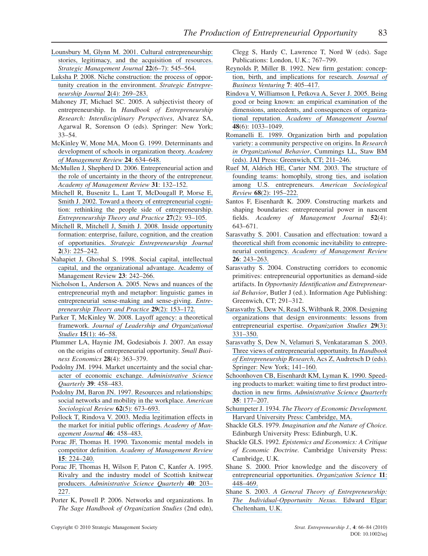- [Lounsbury M, Glynn M. 2001. Cultural entrepreneurship:](https://www.researchgate.net/publication/227500720_Cultural_Entrepreneurship_Stories_Legitimacy_and_the_Acquisition_of_Resources?el=1_x_8&enrichId=rgreq-231502218c1c7098ff9d7ac86c528375-XXX&enrichSource=Y292ZXJQYWdlOzIyNzY2MzE1MjtBUzoxMzIyMzcyMTU0MDgxMjlAMTQwODUzOTIxNzI0Mg==) [stories, legitimacy, and the acquisition of resources.](https://www.researchgate.net/publication/227500720_Cultural_Entrepreneurship_Stories_Legitimacy_and_the_Acquisition_of_Resources?el=1_x_8&enrichId=rgreq-231502218c1c7098ff9d7ac86c528375-XXX&enrichSource=Y292ZXJQYWdlOzIyNzY2MzE1MjtBUzoxMzIyMzcyMTU0MDgxMjlAMTQwODUzOTIxNzI0Mg==) *[Strategic Management Journal](https://www.researchgate.net/publication/227500720_Cultural_Entrepreneurship_Stories_Legitimacy_and_the_Acquisition_of_Resources?el=1_x_8&enrichId=rgreq-231502218c1c7098ff9d7ac86c528375-XXX&enrichSource=Y292ZXJQYWdlOzIyNzY2MzE1MjtBUzoxMzIyMzcyMTU0MDgxMjlAMTQwODUzOTIxNzI0Mg==)* **22**(6–7): 545–564.
- [Luksha P. 2008. Niche construction: the process of oppor](https://www.researchgate.net/publication/229796558_Niche_Construction_The_Process_of_Opportunity_Creation_in_the_Environment?el=1_x_8&enrichId=rgreq-231502218c1c7098ff9d7ac86c528375-XXX&enrichSource=Y292ZXJQYWdlOzIyNzY2MzE1MjtBUzoxMzIyMzcyMTU0MDgxMjlAMTQwODUzOTIxNzI0Mg==)[tunity creation in the environment.](https://www.researchgate.net/publication/229796558_Niche_Construction_The_Process_of_Opportunity_Creation_in_the_Environment?el=1_x_8&enrichId=rgreq-231502218c1c7098ff9d7ac86c528375-XXX&enrichSource=Y292ZXJQYWdlOzIyNzY2MzE1MjtBUzoxMzIyMzcyMTU0MDgxMjlAMTQwODUzOTIxNzI0Mg==) *Strategic Entrepre[neurship Journal](https://www.researchgate.net/publication/229796558_Niche_Construction_The_Process_of_Opportunity_Creation_in_the_Environment?el=1_x_8&enrichId=rgreq-231502218c1c7098ff9d7ac86c528375-XXX&enrichSource=Y292ZXJQYWdlOzIyNzY2MzE1MjtBUzoxMzIyMzcyMTU0MDgxMjlAMTQwODUzOTIxNzI0Mg==)* **2**(4): 269–283.
- Mahoney JT, Michael SC. 2005. A subjectivist theory of entrepreneurship. In *Handbook of Entrepreneurship Research: Interdisciplinary Perspectives*, Alvarez SA, Agarwal R, Sorenson O (eds). Springer: New York; 33–54.
- [McKinley W, Mone MA, Moon G. 1999. Determinants and](https://www.researchgate.net/publication/272581528_Determinants_and_Development_of_Schools_in_Organization_Theory?el=1_x_8&enrichId=rgreq-231502218c1c7098ff9d7ac86c528375-XXX&enrichSource=Y292ZXJQYWdlOzIyNzY2MzE1MjtBUzoxMzIyMzcyMTU0MDgxMjlAMTQwODUzOTIxNzI0Mg==) [development of schools in organization theory.](https://www.researchgate.net/publication/272581528_Determinants_and_Development_of_Schools_in_Organization_Theory?el=1_x_8&enrichId=rgreq-231502218c1c7098ff9d7ac86c528375-XXX&enrichSource=Y292ZXJQYWdlOzIyNzY2MzE1MjtBUzoxMzIyMzcyMTU0MDgxMjlAMTQwODUzOTIxNzI0Mg==) *Academy [of Management Review](https://www.researchgate.net/publication/272581528_Determinants_and_Development_of_Schools_in_Organization_Theory?el=1_x_8&enrichId=rgreq-231502218c1c7098ff9d7ac86c528375-XXX&enrichSource=Y292ZXJQYWdlOzIyNzY2MzE1MjtBUzoxMzIyMzcyMTU0MDgxMjlAMTQwODUzOTIxNzI0Mg==)* **24**: 634–648.
- [McMullen J, Shepherd D. 2006. Entrepreneurial action and](https://www.researchgate.net/publication/255606121_Entrepreneurial_Action_and_the_Role_of_Uncertainty_in_the_Theory_of_Entrepreneur?el=1_x_8&enrichId=rgreq-231502218c1c7098ff9d7ac86c528375-XXX&enrichSource=Y292ZXJQYWdlOzIyNzY2MzE1MjtBUzoxMzIyMzcyMTU0MDgxMjlAMTQwODUzOTIxNzI0Mg==) [the role of uncertainty in the theory of the entrepreneur.](https://www.researchgate.net/publication/255606121_Entrepreneurial_Action_and_the_Role_of_Uncertainty_in_the_Theory_of_Entrepreneur?el=1_x_8&enrichId=rgreq-231502218c1c7098ff9d7ac86c528375-XXX&enrichSource=Y292ZXJQYWdlOzIyNzY2MzE1MjtBUzoxMzIyMzcyMTU0MDgxMjlAMTQwODUzOTIxNzI0Mg==) *[Academy of Management Review](https://www.researchgate.net/publication/255606121_Entrepreneurial_Action_and_the_Role_of_Uncertainty_in_the_Theory_of_Entrepreneur?el=1_x_8&enrichId=rgreq-231502218c1c7098ff9d7ac86c528375-XXX&enrichSource=Y292ZXJQYWdlOzIyNzY2MzE1MjtBUzoxMzIyMzcyMTU0MDgxMjlAMTQwODUzOTIxNzI0Mg==)* **31**: 132–152.
- [Mitchell R, Busenitz L, Lant T, McDougall P, Morse E,](https://www.researchgate.net/publication/229787107_Toward_A_Theory_of_Entrepreneurial_Cognition_Rethinking_the_People_Side_of_Entrepreneurship_Research?el=1_x_8&enrichId=rgreq-231502218c1c7098ff9d7ac86c528375-XXX&enrichSource=Y292ZXJQYWdlOzIyNzY2MzE1MjtBUzoxMzIyMzcyMTU0MDgxMjlAMTQwODUzOTIxNzI0Mg==) [Smith J. 2002. Toward a theory of entrepreneurial cogni](https://www.researchgate.net/publication/229787107_Toward_A_Theory_of_Entrepreneurial_Cognition_Rethinking_the_People_Side_of_Entrepreneurship_Research?el=1_x_8&enrichId=rgreq-231502218c1c7098ff9d7ac86c528375-XXX&enrichSource=Y292ZXJQYWdlOzIyNzY2MzE1MjtBUzoxMzIyMzcyMTU0MDgxMjlAMTQwODUzOTIxNzI0Mg==)[tion: rethinking the people side of entrepreneurship.](https://www.researchgate.net/publication/229787107_Toward_A_Theory_of_Entrepreneurial_Cognition_Rethinking_the_People_Side_of_Entrepreneurship_Research?el=1_x_8&enrichId=rgreq-231502218c1c7098ff9d7ac86c528375-XXX&enrichSource=Y292ZXJQYWdlOzIyNzY2MzE1MjtBUzoxMzIyMzcyMTU0MDgxMjlAMTQwODUzOTIxNzI0Mg==) *[Entrepreneurship Theory and Practice](https://www.researchgate.net/publication/229787107_Toward_A_Theory_of_Entrepreneurial_Cognition_Rethinking_the_People_Side_of_Entrepreneurship_Research?el=1_x_8&enrichId=rgreq-231502218c1c7098ff9d7ac86c528375-XXX&enrichSource=Y292ZXJQYWdlOzIyNzY2MzE1MjtBUzoxMzIyMzcyMTU0MDgxMjlAMTQwODUzOTIxNzI0Mg==)* **27**(2): 93–105.
- [Mitchell R, Mitchell J, Smith J. 2008. Inside opportunity](https://www.researchgate.net/publication/227669004_Inside_Opportunity_Formation_Enterprise_Failure_Cognition_and_the_Creation_of_Opportunities?el=1_x_8&enrichId=rgreq-231502218c1c7098ff9d7ac86c528375-XXX&enrichSource=Y292ZXJQYWdlOzIyNzY2MzE1MjtBUzoxMzIyMzcyMTU0MDgxMjlAMTQwODUzOTIxNzI0Mg==) [formation: enterprise, failure, cognition, and the creation](https://www.researchgate.net/publication/227669004_Inside_Opportunity_Formation_Enterprise_Failure_Cognition_and_the_Creation_of_Opportunities?el=1_x_8&enrichId=rgreq-231502218c1c7098ff9d7ac86c528375-XXX&enrichSource=Y292ZXJQYWdlOzIyNzY2MzE1MjtBUzoxMzIyMzcyMTU0MDgxMjlAMTQwODUzOTIxNzI0Mg==) of opportunities. *[Strategic Entrepreneurship Journal](https://www.researchgate.net/publication/227669004_Inside_Opportunity_Formation_Enterprise_Failure_Cognition_and_the_Creation_of_Opportunities?el=1_x_8&enrichId=rgreq-231502218c1c7098ff9d7ac86c528375-XXX&enrichSource=Y292ZXJQYWdlOzIyNzY2MzE1MjtBUzoxMzIyMzcyMTU0MDgxMjlAMTQwODUzOTIxNzI0Mg==)* **2**[\(3\): 225–242.](https://www.researchgate.net/publication/227669004_Inside_Opportunity_Formation_Enterprise_Failure_Cognition_and_the_Creation_of_Opportunities?el=1_x_8&enrichId=rgreq-231502218c1c7098ff9d7ac86c528375-XXX&enrichSource=Y292ZXJQYWdlOzIyNzY2MzE1MjtBUzoxMzIyMzcyMTU0MDgxMjlAMTQwODUzOTIxNzI0Mg==)
- [Nahapiet J, Ghoshal S. 1998. Social capital, intellectual](https://www.researchgate.net/publication/228314367_Social_Capital_Intellectual_Capital_and_the_Organizational_Advantage?el=1_x_8&enrichId=rgreq-231502218c1c7098ff9d7ac86c528375-XXX&enrichSource=Y292ZXJQYWdlOzIyNzY2MzE1MjtBUzoxMzIyMzcyMTU0MDgxMjlAMTQwODUzOTIxNzI0Mg==) [capital, and the organizational advantage. Academy of](https://www.researchgate.net/publication/228314367_Social_Capital_Intellectual_Capital_and_the_Organizational_Advantage?el=1_x_8&enrichId=rgreq-231502218c1c7098ff9d7ac86c528375-XXX&enrichSource=Y292ZXJQYWdlOzIyNzY2MzE1MjtBUzoxMzIyMzcyMTU0MDgxMjlAMTQwODUzOTIxNzI0Mg==) [Management Review](https://www.researchgate.net/publication/228314367_Social_Capital_Intellectual_Capital_and_the_Organizational_Advantage?el=1_x_8&enrichId=rgreq-231502218c1c7098ff9d7ac86c528375-XXX&enrichSource=Y292ZXJQYWdlOzIyNzY2MzE1MjtBUzoxMzIyMzcyMTU0MDgxMjlAMTQwODUzOTIxNzI0Mg==) **23**: 242–266.
- [Nicholson L, Anderson A. 2005. News and nuances of the](https://www.researchgate.net/publication/43294362_News_and_Nuances_of_the_Entrepreneurial_Myth_and_Metaphor_Linguistic_Games_in_Entrepreneurial_Sense-Making_and_Sense-Giving?el=1_x_8&enrichId=rgreq-231502218c1c7098ff9d7ac86c528375-XXX&enrichSource=Y292ZXJQYWdlOzIyNzY2MzE1MjtBUzoxMzIyMzcyMTU0MDgxMjlAMTQwODUzOTIxNzI0Mg==) [entrepreneurial myth and metaphor: linguistic games in](https://www.researchgate.net/publication/43294362_News_and_Nuances_of_the_Entrepreneurial_Myth_and_Metaphor_Linguistic_Games_in_Entrepreneurial_Sense-Making_and_Sense-Giving?el=1_x_8&enrichId=rgreq-231502218c1c7098ff9d7ac86c528375-XXX&enrichSource=Y292ZXJQYWdlOzIyNzY2MzE1MjtBUzoxMzIyMzcyMTU0MDgxMjlAMTQwODUzOTIxNzI0Mg==) [entrepreneurial sense-making and sense-giving.](https://www.researchgate.net/publication/43294362_News_and_Nuances_of_the_Entrepreneurial_Myth_and_Metaphor_Linguistic_Games_in_Entrepreneurial_Sense-Making_and_Sense-Giving?el=1_x_8&enrichId=rgreq-231502218c1c7098ff9d7ac86c528375-XXX&enrichSource=Y292ZXJQYWdlOzIyNzY2MzE1MjtBUzoxMzIyMzcyMTU0MDgxMjlAMTQwODUzOTIxNzI0Mg==) *Entre[preneurship Theory and Practice](https://www.researchgate.net/publication/43294362_News_and_Nuances_of_the_Entrepreneurial_Myth_and_Metaphor_Linguistic_Games_in_Entrepreneurial_Sense-Making_and_Sense-Giving?el=1_x_8&enrichId=rgreq-231502218c1c7098ff9d7ac86c528375-XXX&enrichSource=Y292ZXJQYWdlOzIyNzY2MzE1MjtBUzoxMzIyMzcyMTU0MDgxMjlAMTQwODUzOTIxNzI0Mg==)* **29**(2): 153–172.
- [Parker T, McKinley W. 2008. Layoff agency: a theoretical](https://www.researchgate.net/publication/247784921_Layoff_AgencyA_Theoretical_Framework?el=1_x_8&enrichId=rgreq-231502218c1c7098ff9d7ac86c528375-XXX&enrichSource=Y292ZXJQYWdlOzIyNzY2MzE1MjtBUzoxMzIyMzcyMTU0MDgxMjlAMTQwODUzOTIxNzI0Mg==) framework. *[Journal of Leadership and Organizational](https://www.researchgate.net/publication/247784921_Layoff_AgencyA_Theoretical_Framework?el=1_x_8&enrichId=rgreq-231502218c1c7098ff9d7ac86c528375-XXX&enrichSource=Y292ZXJQYWdlOzIyNzY2MzE1MjtBUzoxMzIyMzcyMTU0MDgxMjlAMTQwODUzOTIxNzI0Mg==) Studies* **15**[\(1\): 46–58.](https://www.researchgate.net/publication/247784921_Layoff_AgencyA_Theoretical_Framework?el=1_x_8&enrichId=rgreq-231502218c1c7098ff9d7ac86c528375-XXX&enrichSource=Y292ZXJQYWdlOzIyNzY2MzE1MjtBUzoxMzIyMzcyMTU0MDgxMjlAMTQwODUzOTIxNzI0Mg==)
- Plummer LA, Haynie JM, Godesiabois J. 2007. An essay on the origins of entrepreneurial opportunity. *Small Business Economics* **28**(4): 363–379.
- [Podolny JM. 1994. Market uncertainty and the social char](https://www.researchgate.net/publication/238264645_Market_Uncertainty_and_the_Social_Character_of_Social_Exchange?el=1_x_8&enrichId=rgreq-231502218c1c7098ff9d7ac86c528375-XXX&enrichSource=Y292ZXJQYWdlOzIyNzY2MzE1MjtBUzoxMzIyMzcyMTU0MDgxMjlAMTQwODUzOTIxNzI0Mg==)[acter of economic exchange.](https://www.researchgate.net/publication/238264645_Market_Uncertainty_and_the_Social_Character_of_Social_Exchange?el=1_x_8&enrichId=rgreq-231502218c1c7098ff9d7ac86c528375-XXX&enrichSource=Y292ZXJQYWdlOzIyNzY2MzE1MjtBUzoxMzIyMzcyMTU0MDgxMjlAMTQwODUzOTIxNzI0Mg==) *Administrative Science Quarterly* **39**[: 458–483.](https://www.researchgate.net/publication/238264645_Market_Uncertainty_and_the_Social_Character_of_Social_Exchange?el=1_x_8&enrichId=rgreq-231502218c1c7098ff9d7ac86c528375-XXX&enrichSource=Y292ZXJQYWdlOzIyNzY2MzE1MjtBUzoxMzIyMzcyMTU0MDgxMjlAMTQwODUzOTIxNzI0Mg==)
- [Podolny JM, Baron JN. 1997. Resources and relationships:](https://www.researchgate.net/publication/228309438_Resources_and_Relationships_Social_Networks_and_Mobility_in_the_Workplace?el=1_x_8&enrichId=rgreq-231502218c1c7098ff9d7ac86c528375-XXX&enrichSource=Y292ZXJQYWdlOzIyNzY2MzE1MjtBUzoxMzIyMzcyMTU0MDgxMjlAMTQwODUzOTIxNzI0Mg==) [social networks and mobility in the workplace.](https://www.researchgate.net/publication/228309438_Resources_and_Relationships_Social_Networks_and_Mobility_in_the_Workplace?el=1_x_8&enrichId=rgreq-231502218c1c7098ff9d7ac86c528375-XXX&enrichSource=Y292ZXJQYWdlOzIyNzY2MzE1MjtBUzoxMzIyMzcyMTU0MDgxMjlAMTQwODUzOTIxNzI0Mg==) *American [Sociological Review](https://www.researchgate.net/publication/228309438_Resources_and_Relationships_Social_Networks_and_Mobility_in_the_Workplace?el=1_x_8&enrichId=rgreq-231502218c1c7098ff9d7ac86c528375-XXX&enrichSource=Y292ZXJQYWdlOzIyNzY2MzE1MjtBUzoxMzIyMzcyMTU0MDgxMjlAMTQwODUzOTIxNzI0Mg==)* **62**(5): 673–693.
- [Pollock T, Rindova V. 2003. Media legitimation effects in](https://www.researchgate.net/publication/253532094_Media_legitimation_effects_in_the_market_for_initial_public_offerings?el=1_x_8&enrichId=rgreq-231502218c1c7098ff9d7ac86c528375-XXX&enrichSource=Y292ZXJQYWdlOzIyNzY2MzE1MjtBUzoxMzIyMzcyMTU0MDgxMjlAMTQwODUzOTIxNzI0Mg==) [the market for initial public offerings.](https://www.researchgate.net/publication/253532094_Media_legitimation_effects_in_the_market_for_initial_public_offerings?el=1_x_8&enrichId=rgreq-231502218c1c7098ff9d7ac86c528375-XXX&enrichSource=Y292ZXJQYWdlOzIyNzY2MzE1MjtBUzoxMzIyMzcyMTU0MDgxMjlAMTQwODUzOTIxNzI0Mg==) *Academy of Man[agement Journal](https://www.researchgate.net/publication/253532094_Media_legitimation_effects_in_the_market_for_initial_public_offerings?el=1_x_8&enrichId=rgreq-231502218c1c7098ff9d7ac86c528375-XXX&enrichSource=Y292ZXJQYWdlOzIyNzY2MzE1MjtBUzoxMzIyMzcyMTU0MDgxMjlAMTQwODUzOTIxNzI0Mg==)* **46**: 458–483.
- [Porac JF, Thomas H. 1990. Taxonomic mental models in](https://www.researchgate.net/publication/243774658_Taxonomic_Mental_Models_in_Competitor_Definition?el=1_x_8&enrichId=rgreq-231502218c1c7098ff9d7ac86c528375-XXX&enrichSource=Y292ZXJQYWdlOzIyNzY2MzE1MjtBUzoxMzIyMzcyMTU0MDgxMjlAMTQwODUzOTIxNzI0Mg==) competitor definition. *[Academy of Management Review](https://www.researchgate.net/publication/243774658_Taxonomic_Mental_Models_in_Competitor_Definition?el=1_x_8&enrichId=rgreq-231502218c1c7098ff9d7ac86c528375-XXX&enrichSource=Y292ZXJQYWdlOzIyNzY2MzE1MjtBUzoxMzIyMzcyMTU0MDgxMjlAMTQwODUzOTIxNzI0Mg==)* **15**[: 224–240.](https://www.researchgate.net/publication/243774658_Taxonomic_Mental_Models_in_Competitor_Definition?el=1_x_8&enrichId=rgreq-231502218c1c7098ff9d7ac86c528375-XXX&enrichSource=Y292ZXJQYWdlOzIyNzY2MzE1MjtBUzoxMzIyMzcyMTU0MDgxMjlAMTQwODUzOTIxNzI0Mg==)
- [Porac JF, Thomas H, Wilson F, Paton C, Kanfer A. 1995.](https://www.researchgate.net/publication/240221198_Rivalry_and_the_Industry_Model_of_Scottish_Knitwear_Producers?el=1_x_8&enrichId=rgreq-231502218c1c7098ff9d7ac86c528375-XXX&enrichSource=Y292ZXJQYWdlOzIyNzY2MzE1MjtBUzoxMzIyMzcyMTU0MDgxMjlAMTQwODUzOTIxNzI0Mg==) [Rivalry and the industry model of Scottish knitwear](https://www.researchgate.net/publication/240221198_Rivalry_and_the_Industry_Model_of_Scottish_Knitwear_Producers?el=1_x_8&enrichId=rgreq-231502218c1c7098ff9d7ac86c528375-XXX&enrichSource=Y292ZXJQYWdlOzIyNzY2MzE1MjtBUzoxMzIyMzcyMTU0MDgxMjlAMTQwODUzOTIxNzI0Mg==) producers. *[Administrative Science Quarterly](https://www.researchgate.net/publication/240221198_Rivalry_and_the_Industry_Model_of_Scottish_Knitwear_Producers?el=1_x_8&enrichId=rgreq-231502218c1c7098ff9d7ac86c528375-XXX&enrichSource=Y292ZXJQYWdlOzIyNzY2MzE1MjtBUzoxMzIyMzcyMTU0MDgxMjlAMTQwODUzOTIxNzI0Mg==)* **40**: 203– [227.](https://www.researchgate.net/publication/240221198_Rivalry_and_the_Industry_Model_of_Scottish_Knitwear_Producers?el=1_x_8&enrichId=rgreq-231502218c1c7098ff9d7ac86c528375-XXX&enrichSource=Y292ZXJQYWdlOzIyNzY2MzE1MjtBUzoxMzIyMzcyMTU0MDgxMjlAMTQwODUzOTIxNzI0Mg==)
- Porter K, Powell P. 2006. Networks and organizations. In *The Sage Handbook of Organization Studies* (2nd edn),

Clegg S, Hardy C, Lawrence T, Nord W (eds). Sage Publications: London, U.K.; 767–799.

- Reynolds P, Miller B. 1992. New firm gestation: concep[tion, birth, and implications for research.](https://www.researchgate.net/publication/223224590_New_Firm_Gestation_Conception_Birth_and_Implications_for_Research?el=1_x_8&enrichId=rgreq-231502218c1c7098ff9d7ac86c528375-XXX&enrichSource=Y292ZXJQYWdlOzIyNzY2MzE1MjtBUzoxMzIyMzcyMTU0MDgxMjlAMTQwODUzOTIxNzI0Mg==) *Journal of [Business Venturing](https://www.researchgate.net/publication/223224590_New_Firm_Gestation_Conception_Birth_and_Implications_for_Research?el=1_x_8&enrichId=rgreq-231502218c1c7098ff9d7ac86c528375-XXX&enrichSource=Y292ZXJQYWdlOzIyNzY2MzE1MjtBUzoxMzIyMzcyMTU0MDgxMjlAMTQwODUzOTIxNzI0Mg==)* **7**: 405–417.
- [Rindova V, Williamson I, Petkova A, Sever J. 2005. Being](https://www.researchgate.net/publication/242206867_Being_good_or_being_known_An_empirical_examination_of_the_dimensions_antecedents_and_consequences_of_organizational_reputation?el=1_x_8&enrichId=rgreq-231502218c1c7098ff9d7ac86c528375-XXX&enrichSource=Y292ZXJQYWdlOzIyNzY2MzE1MjtBUzoxMzIyMzcyMTU0MDgxMjlAMTQwODUzOTIxNzI0Mg==) [good or being known: an empirical examination of the](https://www.researchgate.net/publication/242206867_Being_good_or_being_known_An_empirical_examination_of_the_dimensions_antecedents_and_consequences_of_organizational_reputation?el=1_x_8&enrichId=rgreq-231502218c1c7098ff9d7ac86c528375-XXX&enrichSource=Y292ZXJQYWdlOzIyNzY2MzE1MjtBUzoxMzIyMzcyMTU0MDgxMjlAMTQwODUzOTIxNzI0Mg==) [dimensions, antecedents, and consequences of organiza](https://www.researchgate.net/publication/242206867_Being_good_or_being_known_An_empirical_examination_of_the_dimensions_antecedents_and_consequences_of_organizational_reputation?el=1_x_8&enrichId=rgreq-231502218c1c7098ff9d7ac86c528375-XXX&enrichSource=Y292ZXJQYWdlOzIyNzY2MzE1MjtBUzoxMzIyMzcyMTU0MDgxMjlAMTQwODUzOTIxNzI0Mg==)tional reputation. *[Academy of Management Journal](https://www.researchgate.net/publication/242206867_Being_good_or_being_known_An_empirical_examination_of_the_dimensions_antecedents_and_consequences_of_organizational_reputation?el=1_x_8&enrichId=rgreq-231502218c1c7098ff9d7ac86c528375-XXX&enrichSource=Y292ZXJQYWdlOzIyNzY2MzE1MjtBUzoxMzIyMzcyMTU0MDgxMjlAMTQwODUzOTIxNzI0Mg==)* **48**[\(6\): 1033–1049.](https://www.researchgate.net/publication/242206867_Being_good_or_being_known_An_empirical_examination_of_the_dimensions_antecedents_and_consequences_of_organizational_reputation?el=1_x_8&enrichId=rgreq-231502218c1c7098ff9d7ac86c528375-XXX&enrichSource=Y292ZXJQYWdlOzIyNzY2MzE1MjtBUzoxMzIyMzcyMTU0MDgxMjlAMTQwODUzOTIxNzI0Mg==)
- [Romanelli E. 1989. Organization birth and population](https://www.researchgate.net/publication/247083098_Organization_birth_and_population_variety_A_community_perspective_on_origins?el=1_x_8&enrichId=rgreq-231502218c1c7098ff9d7ac86c528375-XXX&enrichSource=Y292ZXJQYWdlOzIyNzY2MzE1MjtBUzoxMzIyMzcyMTU0MDgxMjlAMTQwODUzOTIxNzI0Mg==) [variety: a community perspective on origins. In](https://www.researchgate.net/publication/247083098_Organization_birth_and_population_variety_A_community_perspective_on_origins?el=1_x_8&enrichId=rgreq-231502218c1c7098ff9d7ac86c528375-XXX&enrichSource=Y292ZXJQYWdlOzIyNzY2MzE1MjtBUzoxMzIyMzcyMTU0MDgxMjlAMTQwODUzOTIxNzI0Mg==) *Research in Organizational Behavior*[, Cummings LL, Staw BM](https://www.researchgate.net/publication/247083098_Organization_birth_and_population_variety_A_community_perspective_on_origins?el=1_x_8&enrichId=rgreq-231502218c1c7098ff9d7ac86c528375-XXX&enrichSource=Y292ZXJQYWdlOzIyNzY2MzE1MjtBUzoxMzIyMzcyMTU0MDgxMjlAMTQwODUzOTIxNzI0Mg==) [\(eds\). JAI Press: Greenwich, CT; 211–246.](https://www.researchgate.net/publication/247083098_Organization_birth_and_population_variety_A_community_perspective_on_origins?el=1_x_8&enrichId=rgreq-231502218c1c7098ff9d7ac86c528375-XXX&enrichSource=Y292ZXJQYWdlOzIyNzY2MzE1MjtBUzoxMzIyMzcyMTU0MDgxMjlAMTQwODUzOTIxNzI0Mg==)
- [Ruef M, Aldrich HE, Carter NM. 2003. The structure of](https://www.researchgate.net/publication/228264239_The_Structure_of_Founding_Teams_Homophily_Strong_Ties_and_Isolation_among_US_Entrepreneurs?el=1_x_8&enrichId=rgreq-231502218c1c7098ff9d7ac86c528375-XXX&enrichSource=Y292ZXJQYWdlOzIyNzY2MzE1MjtBUzoxMzIyMzcyMTU0MDgxMjlAMTQwODUzOTIxNzI0Mg==) [founding teams: homophily, strong ties, and isolation](https://www.researchgate.net/publication/228264239_The_Structure_of_Founding_Teams_Homophily_Strong_Ties_and_Isolation_among_US_Entrepreneurs?el=1_x_8&enrichId=rgreq-231502218c1c7098ff9d7ac86c528375-XXX&enrichSource=Y292ZXJQYWdlOzIyNzY2MzE1MjtBUzoxMzIyMzcyMTU0MDgxMjlAMTQwODUzOTIxNzI0Mg==) [among U.S. entrepreneurs.](https://www.researchgate.net/publication/228264239_The_Structure_of_Founding_Teams_Homophily_Strong_Ties_and_Isolation_among_US_Entrepreneurs?el=1_x_8&enrichId=rgreq-231502218c1c7098ff9d7ac86c528375-XXX&enrichSource=Y292ZXJQYWdlOzIyNzY2MzE1MjtBUzoxMzIyMzcyMTU0MDgxMjlAMTQwODUzOTIxNzI0Mg==) *American Sociological Review* **68**[\(2\): 195–222.](https://www.researchgate.net/publication/228264239_The_Structure_of_Founding_Teams_Homophily_Strong_Ties_and_Isolation_among_US_Entrepreneurs?el=1_x_8&enrichId=rgreq-231502218c1c7098ff9d7ac86c528375-XXX&enrichSource=Y292ZXJQYWdlOzIyNzY2MzE1MjtBUzoxMzIyMzcyMTU0MDgxMjlAMTQwODUzOTIxNzI0Mg==)
- Santos F, Eisenhardt K. 2009. Constructing markets and shaping boundaries: entrepreneurial power in nascent fi elds. *Academy of Management Journal* **52**(4): 643–671.
- [Sarasvathy S. 2001. Causation and effectuation: toward a](https://www.researchgate.net/publication/228264546_Causation_and_Effectuation_Toward_A_Theoretical_Shift_from_Economic_Inevitability_to_Entrepreneurial_Contingency?el=1_x_8&enrichId=rgreq-231502218c1c7098ff9d7ac86c528375-XXX&enrichSource=Y292ZXJQYWdlOzIyNzY2MzE1MjtBUzoxMzIyMzcyMTU0MDgxMjlAMTQwODUzOTIxNzI0Mg==) [theoretical shift from economic inevitability to entrepre](https://www.researchgate.net/publication/228264546_Causation_and_Effectuation_Toward_A_Theoretical_Shift_from_Economic_Inevitability_to_Entrepreneurial_Contingency?el=1_x_8&enrichId=rgreq-231502218c1c7098ff9d7ac86c528375-XXX&enrichSource=Y292ZXJQYWdlOzIyNzY2MzE1MjtBUzoxMzIyMzcyMTU0MDgxMjlAMTQwODUzOTIxNzI0Mg==)neurial contingency. *[Academy of Management Review](https://www.researchgate.net/publication/228264546_Causation_and_Effectuation_Toward_A_Theoretical_Shift_from_Economic_Inevitability_to_Entrepreneurial_Contingency?el=1_x_8&enrichId=rgreq-231502218c1c7098ff9d7ac86c528375-XXX&enrichSource=Y292ZXJQYWdlOzIyNzY2MzE1MjtBUzoxMzIyMzcyMTU0MDgxMjlAMTQwODUzOTIxNzI0Mg==)* **26**[: 243–263.](https://www.researchgate.net/publication/228264546_Causation_and_Effectuation_Toward_A_Theoretical_Shift_from_Economic_Inevitability_to_Entrepreneurial_Contingency?el=1_x_8&enrichId=rgreq-231502218c1c7098ff9d7ac86c528375-XXX&enrichSource=Y292ZXJQYWdlOzIyNzY2MzE1MjtBUzoxMzIyMzcyMTU0MDgxMjlAMTQwODUzOTIxNzI0Mg==)
- Sarasvathy S. 2004. Constructing corridors to economic primitives: entrepreneurial opportunities as demand-side artifacts. In *Opportunity Identification and Entrepreneurial Behavior*, Butler J (ed.). Information Age Publishing: Greenwich, CT; 291–312.
- [Sarasvathy S, Dew N, Read S, Wiltbank R. 2008. Designing](https://www.researchgate.net/publication/228264427_Designing_Organizations_that_Design_Environments_Lessons_from_Entrepreneurial_Expertise?el=1_x_8&enrichId=rgreq-231502218c1c7098ff9d7ac86c528375-XXX&enrichSource=Y292ZXJQYWdlOzIyNzY2MzE1MjtBUzoxMzIyMzcyMTU0MDgxMjlAMTQwODUzOTIxNzI0Mg==) [organizations that design environments: lessons from](https://www.researchgate.net/publication/228264427_Designing_Organizations_that_Design_Environments_Lessons_from_Entrepreneurial_Expertise?el=1_x_8&enrichId=rgreq-231502218c1c7098ff9d7ac86c528375-XXX&enrichSource=Y292ZXJQYWdlOzIyNzY2MzE1MjtBUzoxMzIyMzcyMTU0MDgxMjlAMTQwODUzOTIxNzI0Mg==) [entrepreneurial expertise.](https://www.researchgate.net/publication/228264427_Designing_Organizations_that_Design_Environments_Lessons_from_Entrepreneurial_Expertise?el=1_x_8&enrichId=rgreq-231502218c1c7098ff9d7ac86c528375-XXX&enrichSource=Y292ZXJQYWdlOzIyNzY2MzE1MjtBUzoxMzIyMzcyMTU0MDgxMjlAMTQwODUzOTIxNzI0Mg==) *Organization Studies* **29**(3): [331–350.](https://www.researchgate.net/publication/228264427_Designing_Organizations_that_Design_Environments_Lessons_from_Entrepreneurial_Expertise?el=1_x_8&enrichId=rgreq-231502218c1c7098ff9d7ac86c528375-XXX&enrichSource=Y292ZXJQYWdlOzIyNzY2MzE1MjtBUzoxMzIyMzcyMTU0MDgxMjlAMTQwODUzOTIxNzI0Mg==)
- [Sarasvathy S, Dew N, Velamuri S, Venkataraman S. 2003.](https://www.researchgate.net/publication/226721608_Three_Views_of_Entrepreneurial_Opportunity?el=1_x_8&enrichId=rgreq-231502218c1c7098ff9d7ac86c528375-XXX&enrichSource=Y292ZXJQYWdlOzIyNzY2MzE1MjtBUzoxMzIyMzcyMTU0MDgxMjlAMTQwODUzOTIxNzI0Mg==) [Three views of entrepreneurial opportunity. In](https://www.researchgate.net/publication/226721608_Three_Views_of_Entrepreneurial_Opportunity?el=1_x_8&enrichId=rgreq-231502218c1c7098ff9d7ac86c528375-XXX&enrichSource=Y292ZXJQYWdlOzIyNzY2MzE1MjtBUzoxMzIyMzcyMTU0MDgxMjlAMTQwODUzOTIxNzI0Mg==) *Handbook [of Entrepreneurship Research](https://www.researchgate.net/publication/226721608_Three_Views_of_Entrepreneurial_Opportunity?el=1_x_8&enrichId=rgreq-231502218c1c7098ff9d7ac86c528375-XXX&enrichSource=Y292ZXJQYWdlOzIyNzY2MzE1MjtBUzoxMzIyMzcyMTU0MDgxMjlAMTQwODUzOTIxNzI0Mg==)*, Acs Z, Audretsch D (eds). [Springer: New York; 141–160.](https://www.researchgate.net/publication/226721608_Three_Views_of_Entrepreneurial_Opportunity?el=1_x_8&enrichId=rgreq-231502218c1c7098ff9d7ac86c528375-XXX&enrichSource=Y292ZXJQYWdlOzIyNzY2MzE1MjtBUzoxMzIyMzcyMTU0MDgxMjlAMTQwODUzOTIxNzI0Mg==)
- [Schoonhoven CB, Eisenhardt KM, Lyman K. 1990. Speed](https://www.researchgate.net/publication/273075728_Speeding_Products_to_Market_Waiting_Time_to_First_Product_Introduction_in_New_Firms?el=1_x_8&enrichId=rgreq-231502218c1c7098ff9d7ac86c528375-XXX&enrichSource=Y292ZXJQYWdlOzIyNzY2MzE1MjtBUzoxMzIyMzcyMTU0MDgxMjlAMTQwODUzOTIxNzI0Mg==)ing products to market: waiting time to first product intro-duction in new firms. [Administrative Science Quarterly](https://www.researchgate.net/publication/273075728_Speeding_Products_to_Market_Waiting_Time_to_First_Product_Introduction_in_New_Firms?el=1_x_8&enrichId=rgreq-231502218c1c7098ff9d7ac86c528375-XXX&enrichSource=Y292ZXJQYWdlOzIyNzY2MzE1MjtBUzoxMzIyMzcyMTU0MDgxMjlAMTQwODUzOTIxNzI0Mg==) **35**[: 177–207.](https://www.researchgate.net/publication/273075728_Speeding_Products_to_Market_Waiting_Time_to_First_Product_Introduction_in_New_Firms?el=1_x_8&enrichId=rgreq-231502218c1c7098ff9d7ac86c528375-XXX&enrichSource=Y292ZXJQYWdlOzIyNzY2MzE1MjtBUzoxMzIyMzcyMTU0MDgxMjlAMTQwODUzOTIxNzI0Mg==)
- Schumpeter J. 1934. *[The Theory of Economic Development.](https://www.researchgate.net/publication/235362880_The_Theory_Of_Economic_Development?el=1_x_8&enrichId=rgreq-231502218c1c7098ff9d7ac86c528375-XXX&enrichSource=Y292ZXJQYWdlOzIyNzY2MzE1MjtBUzoxMzIyMzcyMTU0MDgxMjlAMTQwODUzOTIxNzI0Mg==)* [Harvard University Press: Cambridge, MA.](https://www.researchgate.net/publication/235362880_The_Theory_Of_Economic_Development?el=1_x_8&enrichId=rgreq-231502218c1c7098ff9d7ac86c528375-XXX&enrichSource=Y292ZXJQYWdlOzIyNzY2MzE1MjtBUzoxMzIyMzcyMTU0MDgxMjlAMTQwODUzOTIxNzI0Mg==)
- Shackle GLS. 1979. *Imagination and the Nature of Choice.* Edinburgh University Press: Edinburgh, U.K.
- Shackle GLS. 1992. *Epistemics and Economics: A Critique of Economic Doctrine.* Cambridge University Press: Cambridge, U.K.
- [Shane S. 2000. Prior knowledge and the discovery of](https://www.researchgate.net/publication/284490155_Prior_Knowledge_and_the_Discovery_of_Entrepreneurial_Opportunities?el=1_x_8&enrichId=rgreq-231502218c1c7098ff9d7ac86c528375-XXX&enrichSource=Y292ZXJQYWdlOzIyNzY2MzE1MjtBUzoxMzIyMzcyMTU0MDgxMjlAMTQwODUzOTIxNzI0Mg==) [entrepreneurial opportunities.](https://www.researchgate.net/publication/284490155_Prior_Knowledge_and_the_Discovery_of_Entrepreneurial_Opportunities?el=1_x_8&enrichId=rgreq-231502218c1c7098ff9d7ac86c528375-XXX&enrichSource=Y292ZXJQYWdlOzIyNzY2MzE1MjtBUzoxMzIyMzcyMTU0MDgxMjlAMTQwODUzOTIxNzI0Mg==) *Organization Science* **11**: [448–469.](https://www.researchgate.net/publication/284490155_Prior_Knowledge_and_the_Discovery_of_Entrepreneurial_Opportunities?el=1_x_8&enrichId=rgreq-231502218c1c7098ff9d7ac86c528375-XXX&enrichSource=Y292ZXJQYWdlOzIyNzY2MzE1MjtBUzoxMzIyMzcyMTU0MDgxMjlAMTQwODUzOTIxNzI0Mg==)
- Shane S. 2003. *[A General Theory of Entrepreneurship:](https://www.researchgate.net/publication/287312699_A_General_Theory_of_Entrepreneurship_The_Individual-Opportunity_Nexus?el=1_x_8&enrichId=rgreq-231502218c1c7098ff9d7ac86c528375-XXX&enrichSource=Y292ZXJQYWdlOzIyNzY2MzE1MjtBUzoxMzIyMzcyMTU0MDgxMjlAMTQwODUzOTIxNzI0Mg==) [The Individual-Opportunity Nexus.](https://www.researchgate.net/publication/287312699_A_General_Theory_of_Entrepreneurship_The_Individual-Opportunity_Nexus?el=1_x_8&enrichId=rgreq-231502218c1c7098ff9d7ac86c528375-XXX&enrichSource=Y292ZXJQYWdlOzIyNzY2MzE1MjtBUzoxMzIyMzcyMTU0MDgxMjlAMTQwODUzOTIxNzI0Mg==)* Edward Elgar: [Cheltenham, U.K.](https://www.researchgate.net/publication/287312699_A_General_Theory_of_Entrepreneurship_The_Individual-Opportunity_Nexus?el=1_x_8&enrichId=rgreq-231502218c1c7098ff9d7ac86c528375-XXX&enrichSource=Y292ZXJQYWdlOzIyNzY2MzE1MjtBUzoxMzIyMzcyMTU0MDgxMjlAMTQwODUzOTIxNzI0Mg==)